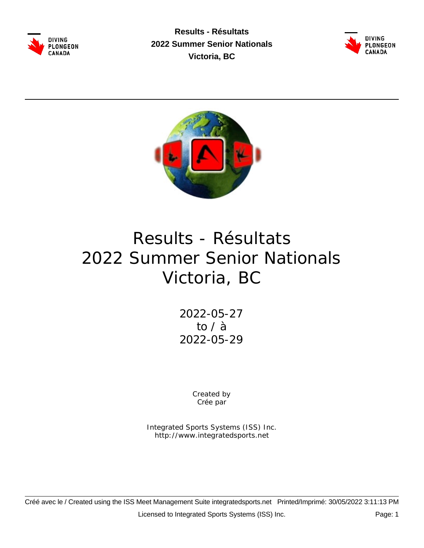

**Results - Résultats 2022 Summer Senior Nationals Victoria, BC**





# Results - Résultats 2022 Summer Senior Nationals Victoria, BC

2022-05-27 to / à 2022-05-29

> Created by Crée par

Integrated Sports Systems (ISS) Inc. http://www.integratedsports.net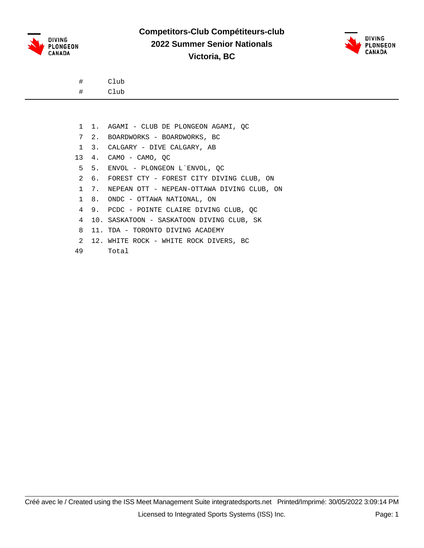



# Club

- # Club
- 1 1. AGAMI CLUB DE PLONGEON AGAMI, QC
- 7 2. BOARDWORKS BOARDWORKS, BC
- 1 3. CALGARY DIVE CALGARY, AB
- 13 4. CAMO CAMO, QC
- 5 5. ENVOL PLONGEON L`ENVOL, QC
- 2 6. FOREST CTY FOREST CITY DIVING CLUB, ON
- 1 7. NEPEAN OTT NEPEAN-OTTAWA DIVING CLUB, ON
- 1 8. ONDC OTTAWA NATIONAL, ON
- 4 9. PCDC POINTE CLAIRE DIVING CLUB, QC
- 4 10. SASKATOON SASKATOON DIVING CLUB, SK
- 8 11. TDA TORONTO DIVING ACADEMY
- 2 12. WHITE ROCK WHITE ROCK DIVERS, BC
- 49 Total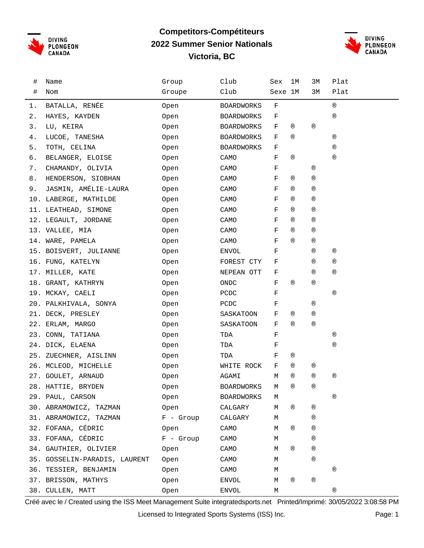

#### **Competitors-Compétiteurs 2022 Summer Senior Nationals Victoria, BC**



| #     | Name                          | Group       | Club              | Sex     | 1M             | 3M             | Plat           |
|-------|-------------------------------|-------------|-------------------|---------|----------------|----------------|----------------|
| #     | Nom                           | Groupe      | Club              | Sexe 1M |                | 3М             | Plat           |
| 1.    | BATALLA, RENÉE                | 0pen        | <b>BOARDWORKS</b> | F       |                |                | $^{\circledR}$ |
| 2.    | HAYES, KAYDEN                 | Open        | <b>BOARDWORKS</b> | F       |                |                | $^{\circledR}$ |
| 3.    | LU, KEIRA                     | Open        | <b>BOARDWORKS</b> | F       | ®              | $^{\circledR}$ |                |
| 4.    | LUCOE, TANESHA                | Open        | <b>BOARDWORKS</b> | F       | $^{\circledR}$ |                | $^{\circledR}$ |
| $5$ . | TOTH, CELINA                  | Open        | <b>BOARDWORKS</b> | F       |                |                | $^{\circledR}$ |
| б.    | BELANGER, ELOISE              | Open        | CAMO              | F       | $^{\circledR}$ |                | $^{\circledR}$ |
| 7.    | CHAMANDY, OLIVIA              | Open        | CAMO              | F       |                | $^{\circledR}$ |                |
| 8.    | HENDERSON, SIOBHAN            | Open        | CAMO              | F       | ®              | $^{\circledR}$ |                |
| 9.    | JASMIN, AMÉLIE-LAURA          | Open        | CAMO              | F       | ®              | $^{\circledR}$ |                |
|       | 10. LABERGE, MATHILDE         | Open        | CAMO              | F       | $^{\circledR}$ | $^{\circledR}$ |                |
|       | 11. LEATHEAD, SIMONE          | 0pen        | CAMO              | F       | $^{\circledR}$ | $^{\circledR}$ |                |
|       | 12. LEGAULT, JORDANE          | Open        | CAMO              | F       | ®              | $^{\circledR}$ |                |
|       | 13. VALLEE, MIA               | 0pen        | CAMO              | F       | ®              | $^{\circledR}$ |                |
|       | 14. WARE, PAMELA              | Open        | CAMO              | F       | $^{\circledR}$ | $^{\circledR}$ |                |
|       | 15. BOISVERT, JULIANNE        | Open        | ENVOL             | F       |                | $^{\circledR}$ | $^{\circledR}$ |
|       | 16. FUNG, KATELYN             | Open        | FOREST CTY        | F       |                | ®              | $^{\circledR}$ |
|       | 17. MILLER, KATE              | Open        | NEPEAN OTT        | F       |                | $^{\circledR}$ | $^{\circledR}$ |
|       | 18. GRANT, KATHRYN            | Open        | ONDC              | F       | $^{\circledR}$ | $^{\circledR}$ |                |
|       | 19. MCKAY, CAELI              | Open        | PCDC              | F       |                |                | $^{\circledR}$ |
|       | 20. PALKHIVALA, SONYA         | Open        | PCDC              | F       |                | $^{\circledR}$ |                |
|       | 21. DECK, PRESLEY             | Open        | SASKATOON         | F       | ®              | $^{\circledR}$ |                |
|       | 22. ERLAM, MARGO              | Open        | SASKATOON         | F       | $^{\circledR}$ | $^\circledR$   |                |
|       | 23. CONN, TATIANA             | Open        | TDA               | F       |                |                | $^{\circledR}$ |
|       | 24. DICK, ELAENA              | Open        | TDA               | F       |                |                | $^\circledR$   |
|       | 25. ZUECHNER, AISLINN         | Open        | TDA               | F       | ®              |                |                |
|       | 26. MCLEOD, MICHELLE          | Open        | WHITE ROCK        | F       | ®              | ®              |                |
|       | 27. GOULET, ARNAUD            | Open        | AGAMI             | М       | $^{\circledR}$ | $^{\circledR}$ | $^{\circledR}$ |
|       | 28. HATTIE, BRYDEN            | Open        | <b>BOARDWORKS</b> | M       | $^{\circledR}$ | $^{\circledR}$ |                |
|       | 29. PAUL, CARSON              | Open        | <b>BOARDWORKS</b> | М       |                |                | $^{\circledR}$ |
|       | 30. ABRAMOWICZ, TAZMAN        | Open        | CALGARY           | М       | $^\circledR$   | $^{\circledR}$ |                |
|       | 31. ABRAMOWICZ, TAZMAN        | $F -$ Group | CALGARY           | М       |                | ®              |                |
|       | 32. FOFANA, CÉDRIC            | Open        | CAMO              | М       | $^{\circledR}$ | ®              |                |
|       | 33. FOFANA, CÉDRIC            | $F -$ Group | CAMO              | М       |                | $^{\circledR}$ |                |
|       | 34. GAUTHIER, OLIVIER         | Open        | CAMO              | М       | ®              | $^{\circledR}$ |                |
|       | 35. GOSSELIN-PARADIS, LAURENT | Open        | CAMO              | М       |                | $^{\circledR}$ |                |
|       | 36. TESSIER, BENJAMIN         | Open        | CAMO              | М       |                |                | $^{\circledR}$ |
|       | 37. BRISSON, MATHYS           | Open        | <b>ENVOL</b>      | М       | ®              | $^{\circledR}$ |                |
|       | 38. CULLEN, MATT              | Open        | ENVOL             | М       |                |                | ®              |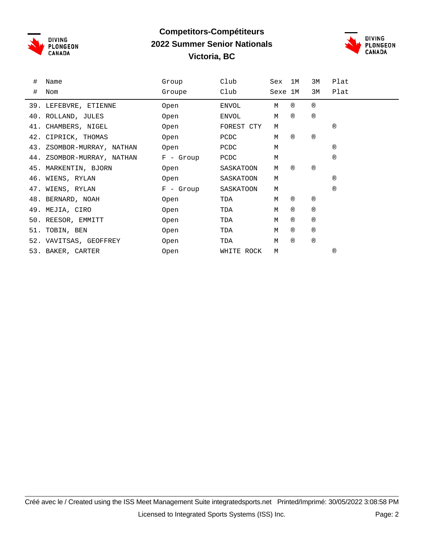

### **Competitors-Compétiteurs 2022 Summer Senior Nationals Victoria, BC**



| # | Name                       | Group       | Club         | Sex     | 1M  | 3M             | Plat           |
|---|----------------------------|-------------|--------------|---------|-----|----------------|----------------|
| # | Nom                        | Groupe      | Club         | Sexe 1M |     | 3M             | Plat           |
|   | 39. LEFEBVRE, ETIENNE      | Open        | ENVOL        | М       | (R) | (R)            |                |
|   | 40. ROLLAND, JULES         | Open        | <b>ENVOL</b> | M       | (R) | (R)            |                |
|   | 41. CHAMBERS, NIGEL        | Open        | FOREST CTY   | M       |     |                | $^{\circledR}$ |
|   | 42. CIPRICK, THOMAS        | Open        | PCDC         | М       | (R) | (R)            |                |
|   | 43. ZSOMBOR-MURRAY, NATHAN | Open        | PCDC         | М       |     |                | (R)            |
|   | 44. ZSOMBOR-MURRAY, NATHAN | $F -$ Group | PCDC         | М       |     |                | $^{\circledR}$ |
|   | 45. MARKENTIN, BJORN       | Open        | SASKATOON    | М       | (R) | (R)            |                |
|   | 46. WIENS, RYLAN           | Open        | SASKATOON    | М       |     |                | $^{\circledR}$ |
|   | 47. WIENS, RYLAN           | $F -$ Group | SASKATOON    | М       |     |                | (R)            |
|   | 48. BERNARD, NOAH          | Open        | TDA          | М       | (R) | $^{\circledR}$ |                |
|   | 49. MEJIA, CIRO            | Open        | TDA          | М       | (R) | $^{\circledR}$ |                |
|   | 50. REESOR, EMMITT         | Open        | TDA          | М       | (R) | (R)            |                |
|   | 51. TOBIN, BEN             | Open        | TDA          | М       | (R) | (R)            |                |
|   | 52. VAVITSAS, GEOFFREY     | Open        | TDA          | М       | (R) | (R)            |                |
|   | 53. BAKER, CARTER          | Open        | WHITE ROCK   | М       |     |                | $^\circledR$   |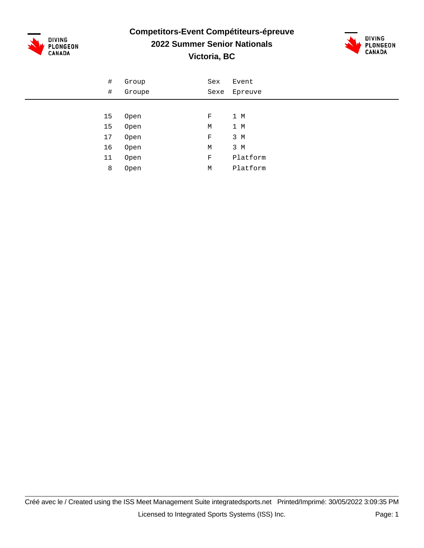

## **Competitors-Event Compétiteurs-épreuve**



### **2022 Summer Senior Nationals**

**Victoria, BC**

| $\#$ | Group  | Sex         | Event        |
|------|--------|-------------|--------------|
| #    | Groupe |             | Sexe Epreuve |
|      |        |             |              |
| 15   | Open   | F           | 1 M          |
| 15   | Open   | М           | 1 M          |
| 17   | Open   | $\rm F$     | 3 M          |
| 16   | Open   | М           | 3 M          |
| 11   | Open   | $\mathbf F$ | Platform     |
| 8    | Open   | М           | Platform     |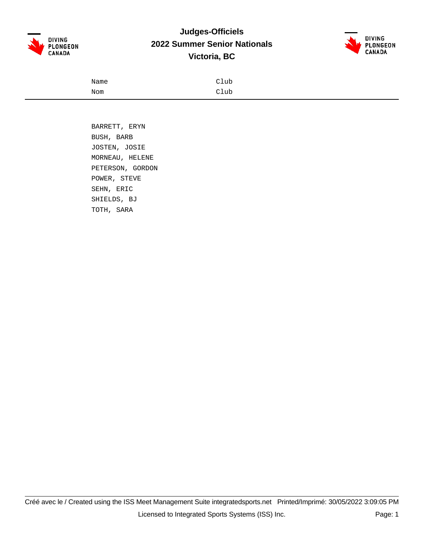

### **Judges-Officiels 2022 Summer Senior Nationals Victoria, BC**



| Name | Club |
|------|------|
| Nom  | Club |

 BARRETT, ERYN BUSH, BARB JOSTEN, JOSIE MORNEAU, HELENE PETERSON, GORDON POWER, STEVE SEHN, ERIC SHIELDS, BJ TOTH, SARA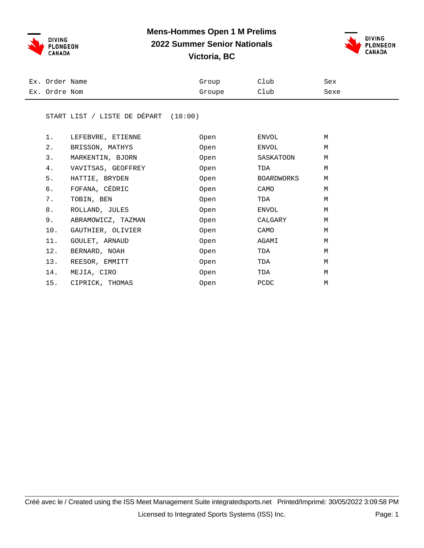



| Ex. Order Name | Group  | Club | Sex  |
|----------------|--------|------|------|
| Ex. Ordre Nom  | Groupe | Club | Sexe |

#### START LIST / LISTE DE DÉPART (10:00)

| 1.    | LEFEBVRE, ETIENNE  | Open | ENVOL      | M |
|-------|--------------------|------|------------|---|
| $2$ . | BRISSON, MATHYS    | Open | ENVOL      | M |
| 3.    | MARKENTIN, BJORN   | Open | SASKATOON  | M |
| 4.    | VAVITSAS, GEOFFREY | Open | TDA        | M |
| 5.    | HATTIE, BRYDEN     | Open | BOARDWORKS | M |
| б.    | FOFANA, CÉDRIC     | Open | CAMO       | M |
| 7.    | TOBIN, BEN         | Open | TDA        | M |
| 8.    | ROLLAND, JULES     | Open | ENVOL      | M |
| 9.    | ABRAMOWICZ, TAZMAN | Open | CALGARY    | M |
| 10.   | GAUTHIER, OLIVIER  | Open | CAMO       | M |
| 11.   | GOULET, ARNAUD     | Open | AGAMI      | M |
| 12.   | BERNARD, NOAH      | Open | TDA        | M |
| 13.   | REESOR, EMMITT     | Open | TDA        | M |
| 14.   | MEJIA, CIRO        | Open | TDA        | M |
| 15.   | CIPRICK, THOMAS    | Open | PCDC       | M |
|       |                    |      |            |   |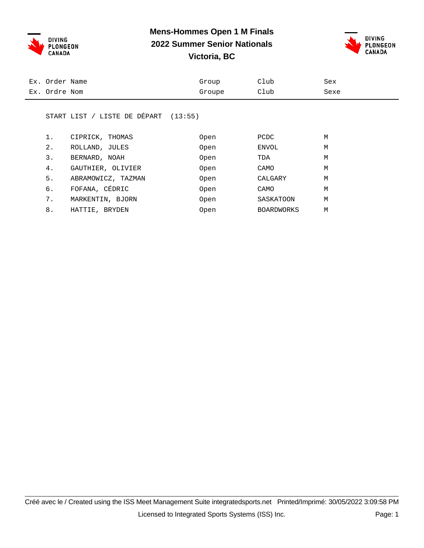



| Ex. Order Name | Group  | Club | Sex  |
|----------------|--------|------|------|
| Ex. Ordre Nom  | Groupe | Club | Sexe |

#### START LIST / LISTE DE DÉPART (13:55)

| 1. | CIPRICK, THOMAS    | Open        | PCDC              | M |
|----|--------------------|-------------|-------------------|---|
| 2. | ROLLAND, JULES     | <b>Open</b> | ENVOL             | M |
| 3. | BERNARD, NOAH      | Open        | TDA               | M |
| 4. | GAUTHIER, OLIVIER  | Open        | CAMO              | M |
| 5. | ABRAMOWICZ, TAZMAN | Open        | CALGARY           | M |
| б. | FOFANA, CÉDRIC     | Open        | CAMO              | M |
| 7. | MARKENTIN, BJORN   | Open        | SASKATOON         | M |
| 8. | HATTIE, BRYDEN     | Open        | <b>BOARDWORKS</b> | M |
|    |                    |             |                   |   |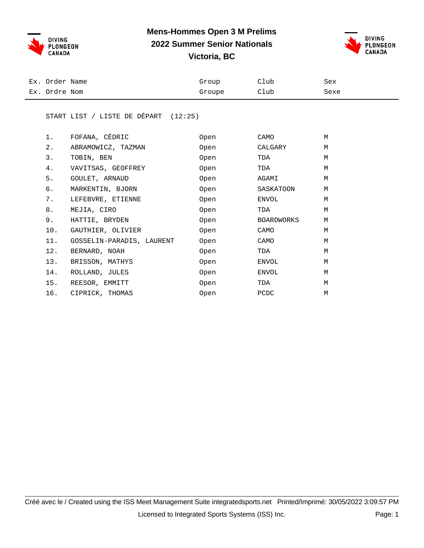



| Ex. Order Name | Group  | Club | Sex  |
|----------------|--------|------|------|
| Ex. Ordre Nom  | Groupe | Club | Sexe |

#### START LIST / LISTE DE DÉPART (12:25)

| 1.    | FOFANA, CÉDRIC            | Open | CAMO       | М |
|-------|---------------------------|------|------------|---|
| $2$ . | ABRAMOWICZ, TAZMAN        | Open | CALGARY    | M |
| 3.    | TOBIN, BEN                | Open | TDA        | M |
| 4.    | VAVITSAS, GEOFFREY        | Open | TDA        | M |
| 5.    | GOULET, ARNAUD            | Open | AGAMI      | M |
| б.    | MARKENTIN, BJORN          | Open | SASKATOON  | M |
| 7.    | LEFEBVRE, ETIENNE         | Open | ENVOL      | М |
| 8.    | MEJIA, CIRO               | Open | TDA        | М |
| 9.    | HATTIE, BRYDEN            | Open | BOARDWORKS | M |
| 10.   | GAUTHIER, OLIVIER         | Open | CAMO       | M |
| 11.   | GOSSELIN-PARADIS, LAURENT | Open | CAMO       | M |
| 12.   | BERNARD, NOAH             | Open | TDA        | M |
| 13.   | BRISSON, MATHYS           | Open | ENVOL      | M |
| 14.   | ROLLAND, JULES            | Open | ENVOL      | M |
| 15.   | REESOR, EMMITT            | Open | TDA        | M |
| 16.   | CIPRICK, THOMAS           | Open | PCDC       | M |
|       |                           |      |            |   |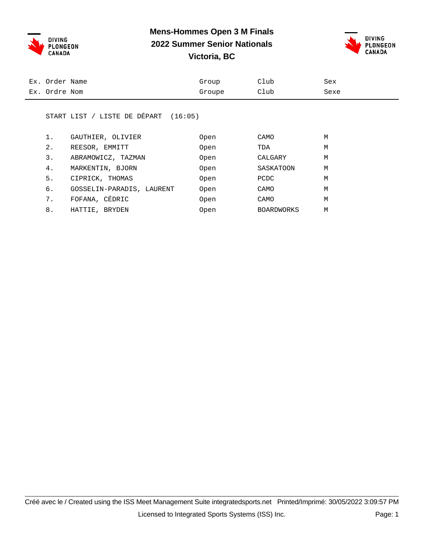



| Ex. Order Name | Group  | Club | Sex  |
|----------------|--------|------|------|
| Ex. Ordre Nom  | Groupe | Club | Sexe |

#### START LIST / LISTE DE DÉPART (16:05)

| 1.    | GAUTHIER, OLIVIER         | Open        | CAMO              | M |
|-------|---------------------------|-------------|-------------------|---|
| $2$ . | REESOR, EMMITT            | Open        | TDA               | M |
| 3.    | ABRAMOWICZ, TAZMAN        | Open        | CALGARY           | M |
| 4.    | MARKENTIN, BJORN          | Open        | SASKATOON         | M |
| 5.    | CIPRICK, THOMAS           | <b>Open</b> | PCDC              | M |
| б.    | GOSSELIN-PARADIS, LAURENT | <b>Open</b> | CAMO              | M |
| 7.    | FOFANA, CÉDRIC            | Open        | CAMO              | M |
| 8.    | HATTIE, BRYDEN            | Open        | <b>BOARDWORKS</b> | M |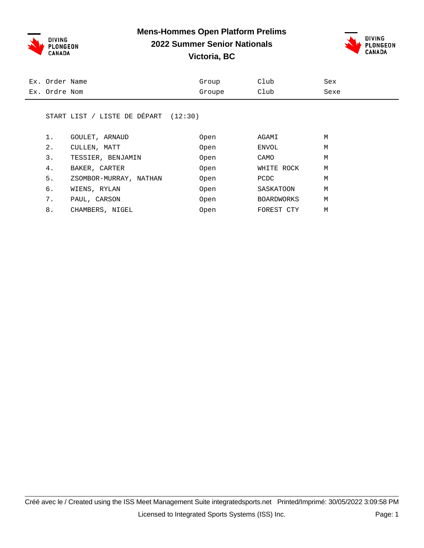**DIVING** PLONGEON **CANADA** 

#### **Mens-Hommes Open Platform Prelims**

## **2022 Summer Senior Nationals**



**Victoria, BC**

| Ex. Order Name | Group  | Club | Sex  |
|----------------|--------|------|------|
| Ex. Ordre Nom  | Groupe | Club | Sexe |
|                |        |      |      |

#### START LIST / LISTE DE DÉPART (12:30)

| 1. | GOULET, ARNAUD         | Open | AGAMI                | M |
|----|------------------------|------|----------------------|---|
| 2. | CULLEN, MATT           | Open | ENVOL                | M |
| 3. | TESSIER, BENJAMIN      | Open | CAMO                 | M |
| 4. | BAKER, CARTER          | Open | WHITE ROCK           | M |
| 5. | ZSOMBOR-MURRAY, NATHAN | Open | PCDC                 | M |
| б. | WIENS, RYLAN           | Open | SASKATOON            | M |
| 7. | PAUL, CARSON           | Open | <b>BOARDWORKS</b>    | M |
| 8. | CHAMBERS, NIGEL        | Open | FOREST<br><b>CTY</b> | M |
|    |                        |      |                      |   |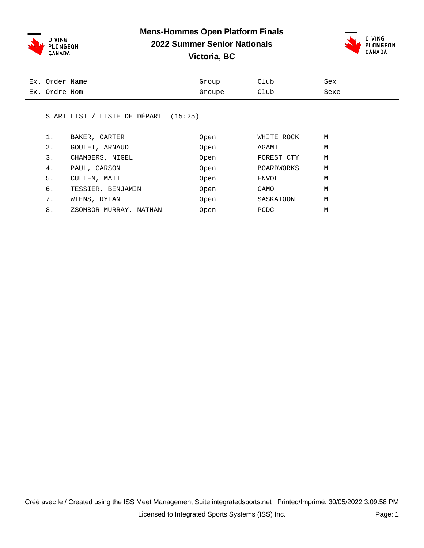

## **Mens-Hommes Open Platform Finals**

**2022 Summer Senior Nationals**



**Victoria, BC**

| Ex. Order Name | Group  | Club | Sex  |
|----------------|--------|------|------|
| Ex. Ordre Nom  | Groupe | Club | Sexe |
|                |        |      |      |

#### START LIST / LISTE DE DÉPART (15:25)

|       | BAKER, CARTER          | Open        | WHITE ROCK        | M |
|-------|------------------------|-------------|-------------------|---|
| $2$ . | GOULET, ARNAUD         | <b>Open</b> | AGAMI             | M |
| 3.    | CHAMBERS, NIGEL        | Open        | FOREST CTY        | M |
| 4.    | PAUL, CARSON           | Open        | <b>BOARDWORKS</b> | M |
| 5.    | CULLEN, MATT           | <b>Open</b> | ENVOL             | M |
| б.    | TESSIER, BENJAMIN      | Open        | CAMO              | M |
| 7.    | WIENS, RYLAN           | Open        | SASKATOON         | M |
| 8.    | ZSOMBOR-MURRAY, NATHAN | Open        | PCDC              | M |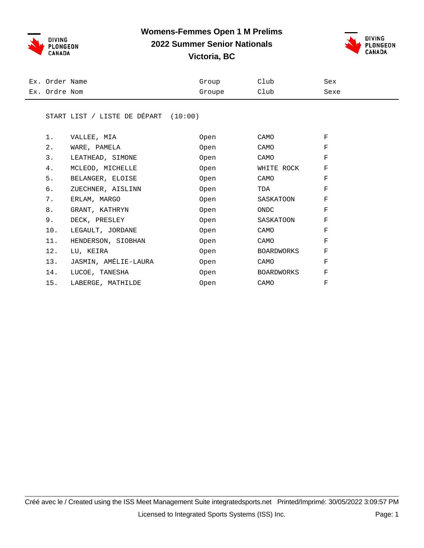

## **Womens-Femmes Open 1 M Prelims**

**2022 Summer Senior Nationals**



**Victoria, BC**

| Ex. Order Name | Group  | Club | Sex  |
|----------------|--------|------|------|
| Ex. Ordre Nom  | Groupe | Club | Sexe |

#### START LIST / LISTE DE DÉPART (10:00)

| $1$ . | VALLEE, MIA          | Open | CAMO       | F |
|-------|----------------------|------|------------|---|
| 2.    | WARE, PAMELA         | Open | CAMO       | F |
| 3.    | LEATHEAD, SIMONE     | Open | CAMO       | F |
| 4.    | MCLEOD, MICHELLE     | Open | WHITE ROCK | F |
| 5.    | BELANGER, ELOISE     | Open | CAMO       | F |
| б.    | ZUECHNER, AISLINN    | Open | TDA        | F |
| 7.    | ERLAM, MARGO         | Open | SASKATOON  | F |
| 8.    | GRANT, KATHRYN       | Open | ONDC       | F |
| 9.    | DECK, PRESLEY        | Open | SASKATOON  | F |
| 10.   | LEGAULT, JORDANE     | Open | CAMO       | F |
| 11.   | HENDERSON, SIOBHAN   | Open | CAMO       | F |
| 12.   | LU, KEIRA            | Open | BOARDWORKS | F |
| 13.   | JASMIN, AMÉLIE-LAURA | Open | CAMO       | F |
| 14.   | LUCOE, TANESHA       | Open | BOARDWORKS | F |
| 15.   | LABERGE, MATHILDE    | Open | CAMO       | F |
|       |                      |      |            |   |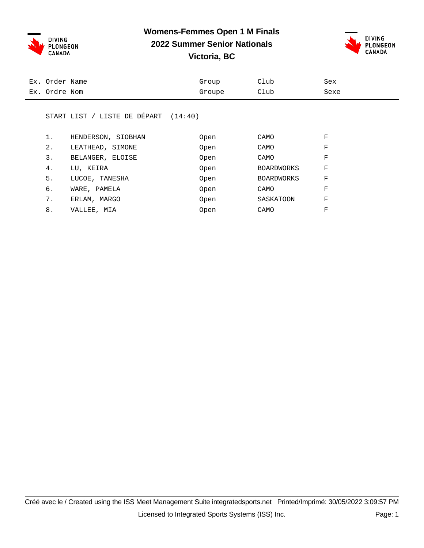

### **Womens-Femmes Open 1 M Finals 2022 Summer Senior Nationals**



**Victoria, BC**

| Ex. Order Name | Group  | Club | Sex  |
|----------------|--------|------|------|
| Ex. Ordre Nom  | Groupe | Club | Sexe |
|                |        |      |      |

#### START LIST / LISTE DE DÉPART (14:40)

| 1. | HENDERSON, SIOBHAN | Open | CAMO              | F |
|----|--------------------|------|-------------------|---|
| 2. | LEATHEAD, SIMONE   | Open | CAMO              | F |
| 3. | BELANGER, ELOISE   | Open | CAMO              | F |
| 4. | LU, KEIRA          | Open | <b>BOARDWORKS</b> | F |
| 5. | LUCOE, TANESHA     | Open | <b>BOARDWORKS</b> | F |
| б. | WARE, PAMELA       | Open | CAMO              | F |
| 7. | ERLAM, MARGO       | Open | SASKATOON         | F |
| 8. | VALLEE, MIA        | Open | CAMO              | F |
|    |                    |      |                   |   |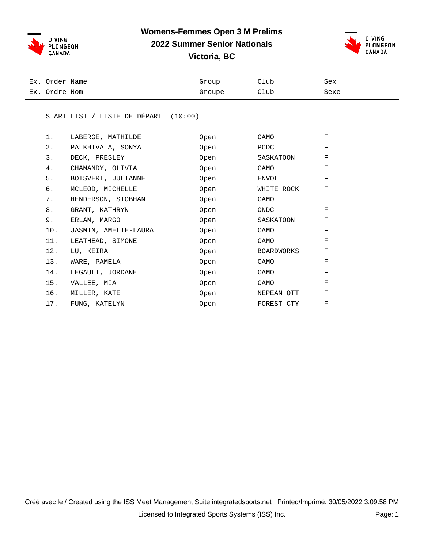

## **Womens-Femmes Open 3 M Prelims**

**2022 Summer Senior Nationals**



**Victoria, BC**

| Ex. Order Name | Group  | Club | Sex  |
|----------------|--------|------|------|
| Ex. Ordre Nom  | Groupe | Club | Sexe |

#### START LIST / LISTE DE DÉPART (10:00)

| 1.    | LABERGE, MATHILDE    | Open | CAMO       | F |
|-------|----------------------|------|------------|---|
| $2$ . | PALKHIVALA, SONYA    | Open | PCDC       | F |
| 3.    | DECK, PRESLEY        | Open | SASKATOON  | F |
| 4.    | CHAMANDY, OLIVIA     | Open | CAMO       | F |
| 5.    | BOISVERT, JULIANNE   | Open | ENVOL      | F |
| б.    | MCLEOD, MICHELLE     | Open | WHITE ROCK | F |
| 7.    | HENDERSON, SIOBHAN   | Open | CAMO       | F |
| 8.    | GRANT, KATHRYN       | Open | ONDC       | F |
| 9.    | ERLAM, MARGO         | Open | SASKATOON  | F |
| 10.   | JASMIN, AMÉLIE-LAURA | Open | CAMO       | F |
| 11.   | LEATHEAD, SIMONE     | Open | CAMO       | F |
| 12.   | LU, KEIRA            | Open | BOARDWORKS | F |
| 13.   | WARE, PAMELA         | Open | CAMO       | F |
| 14.   | LEGAULT, JORDANE     | Open | CAMO       | F |
| 15.   | VALLEE, MIA          | Open | CAMO       | F |
| 16.   | MILLER, KATE         | Open | NEPEAN OTT | F |
| 17.   | FUNG, KATELYN        | Open | FOREST CTY | F |
|       |                      |      |            |   |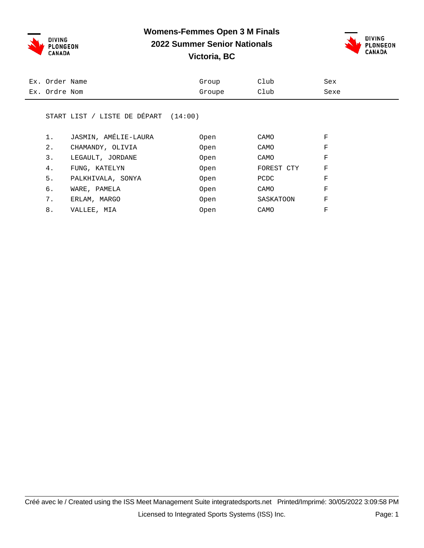**Womens-Femmes Open 3 M Finals**



### **2022 Summer Senior Nationals Victoria, BC**



| Ex. Order Name | Group  | Club | Sex  |
|----------------|--------|------|------|
| Ex. Ordre Nom  | Groupe | Club | Sexe |

#### START LIST / LISTE DE DÉPART (14:00)

| 1. | JASMIN, AMÉLIE-LAURA | Open | CAMO       | F |
|----|----------------------|------|------------|---|
| 2. | CHAMANDY, OLIVIA     | Open | CAMO       | F |
| 3. | LEGAULT, JORDANE     | Open | CAMO       | F |
| 4. | FUNG, KATELYN        | Open | FOREST CTY | F |
| 5. | PALKHIVALA, SONYA    | Open | PCDC       | F |
| б. | WARE, PAMELA         | Open | CAMO       | F |
| 7. | ERLAM, MARGO         | Open | SASKATOON  | F |
| 8. | VALLEE, MIA          | Open | CAMO       | F |
|    |                      |      |            |   |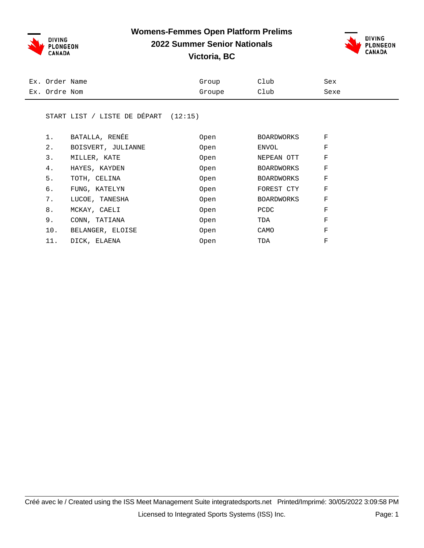

#### **Womens-Femmes Open Platform Prelims**

### **2022 Summer Senior Nationals**



**Victoria, BC**

| Ex. Order Name | Group  | Club | Sex  |
|----------------|--------|------|------|
| Ex. Ordre Nom  | Groupe | Club | Sexe |

#### START LIST / LISTE DE DÉPART (12:15)

| 1.  | BATALLA, RENÉE     | Open | <b>BOARDWORKS</b> | F |
|-----|--------------------|------|-------------------|---|
| 2.  | BOISVERT, JULIANNE | Open | ENVOL             | F |
| 3.  | MILLER, KATE       | Open | NEPEAN OTT        | F |
| 4.  | HAYES, KAYDEN      | Open | <b>BOARDWORKS</b> | F |
| 5.  | TOTH, CELINA       | Open | <b>BOARDWORKS</b> | F |
| б.  | FUNG, KATELYN      | Open | FOREST CTY        | F |
| 7.  | LUCOE, TANESHA     | Open | <b>BOARDWORKS</b> | F |
| 8.  | MCKAY, CAELI       | Open | <b>PCDC</b>       | F |
| 9.  | CONN, TATIANA      | Open | TDA               | F |
| 10. | BELANGER, ELOISE   | Open | CAMO              | F |
| 11. | DICK, ELAENA       | Open | TDA               | F |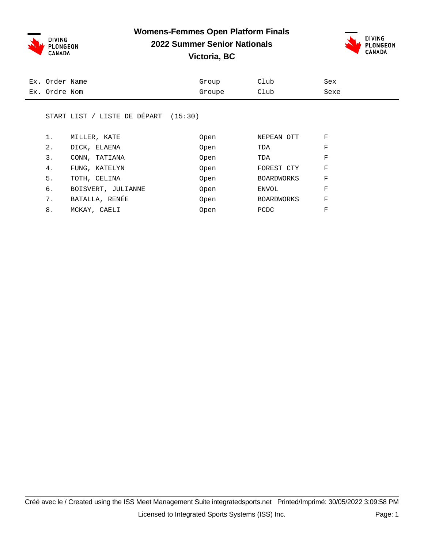**Womens-Femmes Open Platform Finals**



### **2022 Summer Senior Nationals**



**Victoria, BC**

| Club<br>Sexe<br>Groupe | Ex. Order Name | Group | Club | Sex |  |
|------------------------|----------------|-------|------|-----|--|
|                        | Ex. Ordre Nom  |       |      |     |  |

#### START LIST / LISTE DE DÉPART (15:30)

|       | MILLER, KATE       | Open        | NEPEAN OTT        | F |
|-------|--------------------|-------------|-------------------|---|
| $2$ . | DICK, ELAENA       | Open        | TDA               | F |
| 3.    | CONN, TATIANA      | Open        | TDA               | F |
| 4.    | FUNG, KATELYN      | <b>Open</b> | FOREST CTY        | F |
| 5.    | TOTH, CELINA       | Open        | <b>BOARDWORKS</b> | F |
| б.    | BOISVERT, JULIANNE | Open        | ENVOL             | F |
| 7.    | BATALLA, RENÉE     | Open        | <b>BOARDWORKS</b> | F |
| 8.    | MCKAY, CAELI       | Open        | <b>PCDC</b>       | F |
|       |                    |             |                   |   |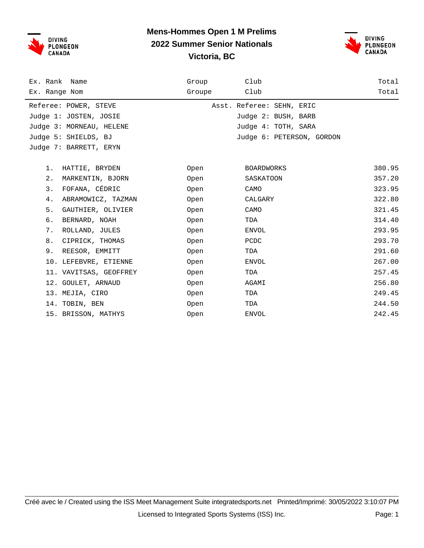



| Ex. Rank Name            | Group  | Club                      | Total  |
|--------------------------|--------|---------------------------|--------|
| Ex. Range Nom            | Groupe | Club                      | Total  |
| Referee: POWER, STEVE    |        | Asst. Referee: SEHN, ERIC |        |
| Judge 1: JOSTEN, JOSIE   |        | Judge 2: BUSH, BARB       |        |
| Judge 3: MORNEAU, HELENE |        | Judge 4: TOTH, SARA       |        |
| Judge 5: SHIELDS, BJ     |        | Judge 6: PETERSON, GORDON |        |
| Judge 7: BARRETT, ERYN   |        |                           |        |
|                          |        |                           |        |
| HATTIE, BRYDEN<br>$1$ .  | Open   | <b>BOARDWORKS</b>         | 380.95 |
| 2.<br>MARKENTIN, BJORN   | Open   | SASKATOON                 | 357.20 |
| 3.<br>FOFANA, CÉDRIC     | Open   | CAMO                      | 323.95 |
| 4.<br>ABRAMOWICZ, TAZMAN | Open   | CALGARY                   | 322.80 |
| 5.<br>GAUTHIER, OLIVIER  | Open   | CAMO                      | 321.45 |
| б.<br>BERNARD, NOAH      | Open   | TDA                       | 314.40 |
| 7.<br>ROLLAND, JULES     | Open   | ENVOL                     | 293.95 |
| 8.<br>CIPRICK, THOMAS    | Open   | PCDC                      | 293.70 |
| 9.<br>REESOR, EMMITT     | Open   | TDA                       | 291.60 |
| 10. LEFEBVRE, ETIENNE    | Open   | <b>ENVOL</b>              | 267.00 |
| 11. VAVITSAS, GEOFFREY   | Open   | TDA                       | 257.45 |
| 12. GOULET, ARNAUD       | Open   | AGAMI                     | 256.80 |
| 13. MEJIA, CIRO          | Open   | TDA                       | 249.45 |
| 14. TOBIN, BEN           | Open   | TDA                       | 244.50 |
| 15. BRISSON, MATHYS      | Open   | <b>ENVOL</b>              | 242.45 |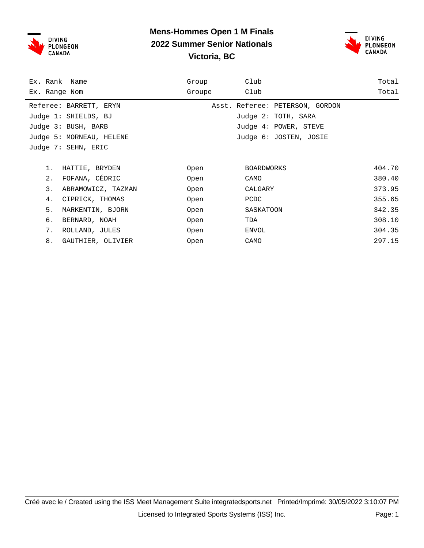



| Ex. Rank Name            | Group  | Club                            | Total  |
|--------------------------|--------|---------------------------------|--------|
| Ex. Range Nom            | Groupe | Club                            | Total  |
| Referee: BARRETT, ERYN   |        | Asst. Referee: PETERSON, GORDON |        |
| Judge 1: SHIELDS, BJ     |        | Judge 2: TOTH, SARA             |        |
| Judge 3: BUSH, BARB      |        | Judge 4: POWER, STEVE           |        |
| Judge 5: MORNEAU, HELENE |        | Judge 6: JOSTEN, JOSIE          |        |
| Judge 7: SEHN, ERIC      |        |                                 |        |
|                          |        |                                 |        |
| 1.<br>HATTIE, BRYDEN     | Open   | BOARDWORKS                      | 404.70 |
| FOFANA, CÉDRIC<br>$2$ .  | Open   | CAMO                            | 380.40 |
| 3.<br>ABRAMOWICZ, TAZMAN | Open   | CALGARY                         | 373.95 |
| 4.<br>CIPRICK, THOMAS    | Open   | PCDC                            | 355.65 |
| 5.<br>MARKENTIN, BJORN   | Open   | SASKATOON                       | 342.35 |
| б.<br>BERNARD, NOAH      | Open   | TDA                             | 308.10 |
| 7.<br>ROLLAND, JULES     | Open   | ENVOL                           | 304.35 |
| 8.<br>GAUTHIER, OLIVIER  | Open   | CAMO                            | 297.15 |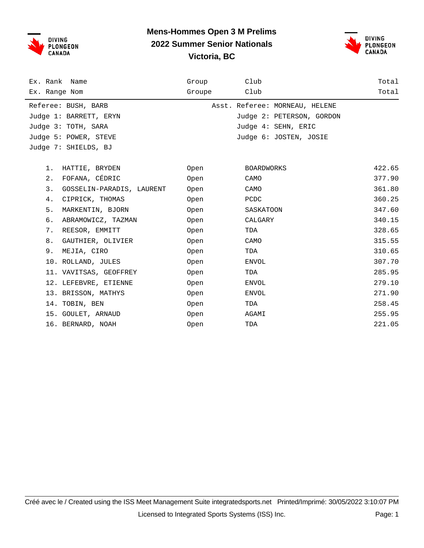



| Ex. Rank Name                   | Group  | Club                           | Total  |
|---------------------------------|--------|--------------------------------|--------|
| Ex. Range Nom                   | Groupe | Club                           | Total  |
| Referee: BUSH, BARB             |        | Asst. Referee: MORNEAU, HELENE |        |
| Judge 1: BARRETT, ERYN          |        | Judge 2: PETERSON, GORDON      |        |
| Judge 3: TOTH, SARA             |        | Judge 4: SEHN, ERIC            |        |
| Judge 5: POWER, STEVE           |        | Judge 6: JOSTEN, JOSIE         |        |
| Judge 7: SHIELDS, BJ            |        |                                |        |
|                                 |        |                                |        |
| HATTIE, BRYDEN<br>1.            | Open   | BOARDWORKS                     | 422.65 |
| FOFANA, CÉDRIC<br>2.            | Open   | CAMO                           | 377.90 |
| 3.<br>GOSSELIN-PARADIS, LAURENT | Open   | CAMO                           | 361.80 |
| 4.<br>CIPRICK, THOMAS           | Open   | PCDC                           | 360.25 |
| 5.<br>MARKENTIN, BJORN          | Open   | SASKATOON                      | 347.60 |
| б.<br>ABRAMOWICZ, TAZMAN        | Open   | CALGARY                        | 340.15 |
| 7.<br>REESOR, EMMITT            | Open   | TDA                            | 328.65 |
| 8.<br>GAUTHIER, OLIVIER         | Open   | CAMO                           | 315.55 |
| 9.<br>MEJIA, CIRO               | Open   | TDA                            | 310.65 |
| 10. ROLLAND, JULES              | Open   | ENVOL                          | 307.70 |
| 11. VAVITSAS, GEOFFREY          | Open   | TDA                            | 285.95 |
| 12. LEFEBVRE, ETIENNE           | Open   | ENVOL                          | 279.10 |
| 13. BRISSON, MATHYS             | Open   | ENVOL                          | 271.90 |
| 14. TOBIN, BEN                  | Open   | TDA                            | 258.45 |
| 15. GOULET, ARNAUD              | Open   | AGAMI                          | 255.95 |
| 16. BERNARD, NOAH               | Open   | TDA                            | 221.05 |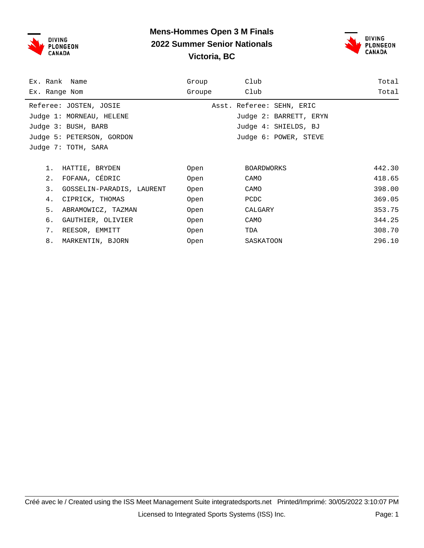



| Ex. Rank Name                   | Group  | Club                      | Total  |
|---------------------------------|--------|---------------------------|--------|
| Ex. Range Nom                   | Groupe | Club                      | Total  |
| Referee: JOSTEN, JOSIE          |        | Asst. Referee: SEHN, ERIC |        |
| Judge 1: MORNEAU, HELENE        |        | Judge 2: BARRETT, ERYN    |        |
| Judge 3: BUSH, BARB             |        | Judge 4: SHIELDS, BJ      |        |
| Judge 5: PETERSON, GORDON       |        | Judge 6: POWER, STEVE     |        |
| Judge 7: TOTH, SARA             |        |                           |        |
|                                 |        |                           |        |
| 1.<br>HATTIE, BRYDEN            | Open   | <b>BOARDWORKS</b>         | 442.30 |
| FOFANA, CÉDRIC<br>2.            | Open   | CAMO                      | 418.65 |
| 3.<br>GOSSELIN-PARADIS, LAURENT | Open   | CAMO                      | 398.00 |
| 4.<br>CIPRICK, THOMAS           | Open   | PCDC                      | 369.05 |
| 5.<br>ABRAMOWICZ, TAZMAN        | Open   | CALGARY                   | 353.75 |
| б.<br>GAUTHIER, OLIVIER         | Open   | CAMO                      | 344.25 |
| 7.<br>REESOR, EMMITT            | Open   | TDA                       | 308.70 |
| 8.<br>MARKENTIN, BJORN          | Open   | SASKATOON                 | 296.10 |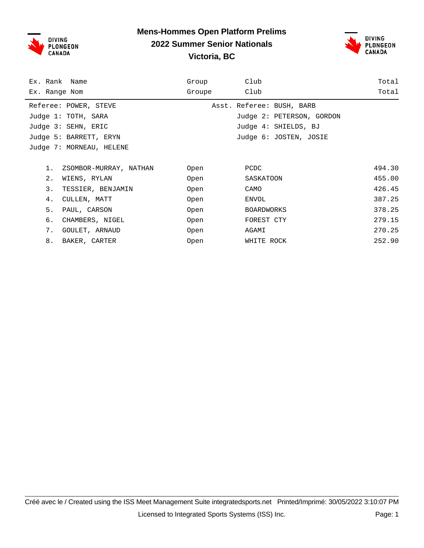



| Ex. Rank Name                | Group  | Club                      | Total  |
|------------------------------|--------|---------------------------|--------|
| Ex. Range Nom                | Groupe | Club                      | Total  |
| Referee: POWER, STEVE        |        | Asst. Referee: BUSH, BARB |        |
| Judge 1: TOTH, SARA          |        | Judge 2: PETERSON, GORDON |        |
| Judge 3: SEHN, ERIC          |        | Judge 4: SHIELDS, BJ      |        |
| Judge 5: BARRETT, ERYN       |        | Judge 6: JOSTEN, JOSIE    |        |
| Judge 7: MORNEAU, HELENE     |        |                           |        |
|                              |        |                           |        |
| 1.<br>ZSOMBOR-MURRAY, NATHAN | Open   | PCDC                      | 494.30 |
| $2$ .<br>WIENS, RYLAN        | Open   | SASKATOON                 | 455.00 |
| 3.<br>TESSIER, BENJAMIN      | Open   | CAMO                      | 426.45 |
| CULLEN, MATT<br>4.           | Open   | ENVOL                     | 387.25 |
| 5.<br>PAUL, CARSON           | Open   | <b>BOARDWORKS</b>         | 378.25 |
| б.<br>CHAMBERS, NIGEL        | Open   | FOREST CTY                | 279.15 |
| 7.<br>GOULET, ARNAUD         | Open   | AGAMI                     | 270.25 |
| 8.<br>BAKER, CARTER          | Open   | WHITE ROCK                | 252.90 |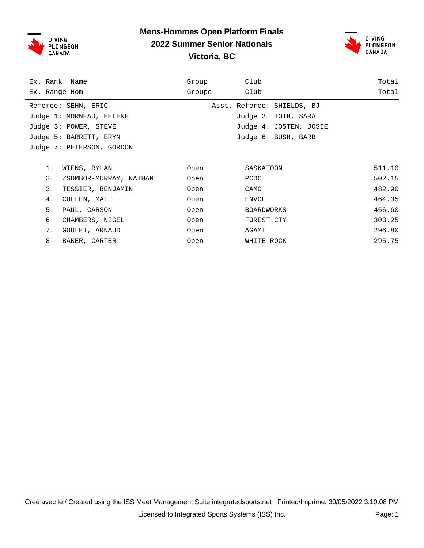

#### **Mens-Hommes Open Platform Finals 2022 Summer Senior Nationals Victoria, BC**



| Ex. Rank Name                | Group  | Club                       | Total  |
|------------------------------|--------|----------------------------|--------|
| Ex. Range Nom                | Groupe | Club                       | Total  |
| Referee: SEHN, ERIC          |        | Asst. Referee: SHIELDS, BJ |        |
| Judge 1: MORNEAU, HELENE     |        | Judge 2: TOTH, SARA        |        |
| Judge 3: POWER, STEVE        |        | Judge 4: JOSTEN, JOSIE     |        |
| Judge 5: BARRETT, ERYN       |        | Judge 6: BUSH, BARB        |        |
| Judge 7: PETERSON, GORDON    |        |                            |        |
|                              |        |                            |        |
| 1.<br>WIENS, RYLAN           | Open   | SASKATOON                  | 511.10 |
| 2.<br>ZSOMBOR-MURRAY, NATHAN | Open   | PCDC                       | 502.15 |
| 3.<br>TESSIER, BENJAMIN      | Open   | CAMO                       | 482.90 |
| 4.<br>CULLEN, MATT           | Open   | ENVOL                      | 464.35 |
| 5.<br>PAUL, CARSON           | Open   | <b>BOARDWORKS</b>          | 456.60 |
| б.<br>CHAMBERS, NIGEL        | Open   | FOREST CTY                 | 303.25 |
| 7.<br>GOULET, ARNAUD         | Open   | AGAMI                      | 296.80 |
| 8.<br>BAKER, CARTER          | Open   | WHITE ROCK                 | 295.75 |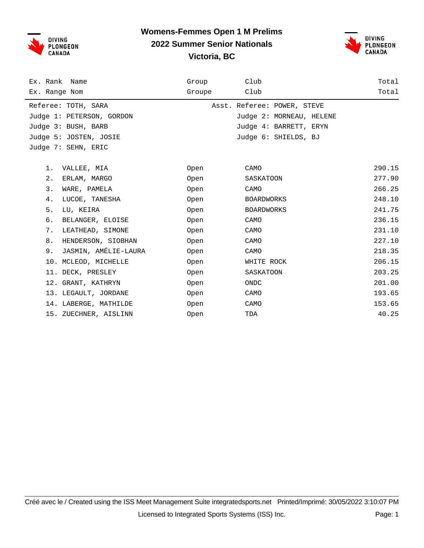



| Ex. Rank Name              | Group  | Club                        | Total  |
|----------------------------|--------|-----------------------------|--------|
| Ex. Range Nom              | Groupe | Club                        | Total  |
| Referee: TOTH, SARA        |        | Asst. Referee: POWER, STEVE |        |
| Judge 1: PETERSON, GORDON  |        | Judge 2: MORNEAU, HELENE    |        |
| Judge 3: BUSH, BARB        |        | Judge 4: BARRETT, ERYN      |        |
| Judge 5: JOSTEN, JOSIE     |        | Judge 6: SHIELDS, BJ        |        |
| Judge 7: SEHN, ERIC        |        |                             |        |
|                            |        |                             |        |
| 1.<br>VALLEE, MIA          | Open   | CAMO                        | 290.15 |
| 2.<br>ERLAM, MARGO         | Open   | SASKATOON                   | 277.90 |
| 3.<br>WARE, PAMELA         | Open   | CAMO                        | 266.25 |
| 4.<br>LUCOE, TANESHA       | Open   | <b>BOARDWORKS</b>           | 248.10 |
| 5.<br>LU, KEIRA            | Open   | <b>BOARDWORKS</b>           | 241.75 |
| б.<br>BELANGER, ELOISE     | Open   | CAMO                        | 236.15 |
| 7.<br>LEATHEAD, SIMONE     | Open   | CAMO                        | 231.10 |
| 8.<br>HENDERSON, SIOBHAN   | Open   | CAMO                        | 227.10 |
| JASMIN, AMÉLIE-LAURA<br>9. | Open   | CAMO                        | 218.35 |
| 10. MCLEOD, MICHELLE       | Open   | WHITE ROCK                  | 206.15 |
| 11. DECK, PRESLEY          | Open   | SASKATOON                   | 203.25 |
| 12. GRANT, KATHRYN         | Open   | ONDC                        | 201.00 |
| 13. LEGAULT, JORDANE       | Open   | CAMO                        | 193.65 |
| 14. LABERGE, MATHILDE      | Open   | CAMO                        | 153.65 |
| 15. ZUECHNER, AISLINN      | Open   | TDA                         | 40.25  |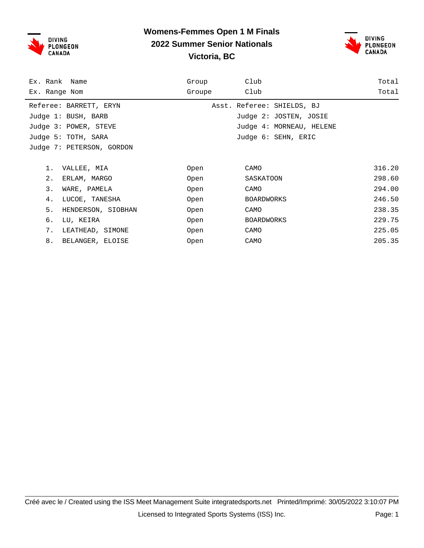

#### **Womens-Femmes Open 1 M Finals 2022 Summer Senior Nationals Victoria, BC**



| Ex. Rank Name             | Group  | Club                       | Total  |
|---------------------------|--------|----------------------------|--------|
| Ex. Range Nom             | Groupe | Club                       | Total  |
| Referee: BARRETT, ERYN    |        | Asst. Referee: SHIELDS, BJ |        |
| Judge 1: BUSH, BARB       |        | Judge 2: JOSTEN, JOSIE     |        |
| Judge 3: POWER, STEVE     |        | Judge 4: MORNEAU, HELENE   |        |
| Judge 5: TOTH, SARA       |        | Judge 6: SEHN, ERIC        |        |
| Judge 7: PETERSON, GORDON |        |                            |        |
|                           |        |                            |        |
| 1.<br>VALLEE, MIA         | Open   | CAMO                       | 316.20 |
| 2.<br>ERLAM, MARGO        | Open   | SASKATOON                  | 298.60 |
| 3.<br>WARE, PAMELA        | Open   | CAMO                       | 294.00 |
| 4.<br>LUCOE, TANESHA      | Open   | <b>BOARDWORKS</b>          | 246.50 |
| 5.<br>HENDERSON, SIOBHAN  | Open   | CAMO                       | 238.35 |
| б.<br>LU, KEIRA           | Open   | <b>BOARDWORKS</b>          | 229.75 |
| 7.<br>LEATHEAD, SIMONE    | Open   | CAMO                       | 225.05 |
| 8.<br>BELANGER, ELOISE    | Open   | CAMO                       | 205.35 |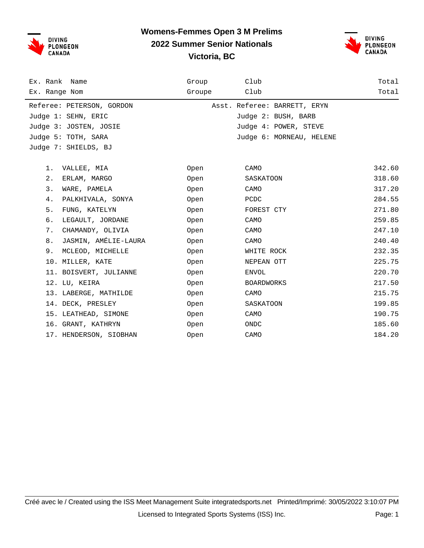



| Ex. Rank Name              | Group  | Club                         | Total  |
|----------------------------|--------|------------------------------|--------|
| Ex. Range Nom              | Groupe | Club                         | Total  |
| Referee: PETERSON, GORDON  |        | Asst. Referee: BARRETT, ERYN |        |
| Judge 1: SEHN, ERIC        |        | Judge 2: BUSH, BARB          |        |
| Judge 3: JOSTEN, JOSIE     |        | Judge 4: POWER, STEVE        |        |
| Judge 5: TOTH, SARA        |        | Judge 6: MORNEAU, HELENE     |        |
| Judge 7: SHIELDS, BJ       |        |                              |        |
| 1.<br>VALLEE, MIA          | Open   | CAMO                         | 342.60 |
| 2.<br>ERLAM, MARGO         | Open   | SASKATOON                    | 318.60 |
| 3.<br>WARE, PAMELA         | Open   | CAMO                         | 317.20 |
|                            |        |                              |        |
| 4.<br>PALKHIVALA, SONYA    | Open   | PCDC                         | 284.55 |
| 5.<br>FUNG, KATELYN        | Open   | FOREST CTY                   | 271.80 |
| б.<br>LEGAULT, JORDANE     | Open   | CAMO                         | 259.85 |
| 7.<br>CHAMANDY, OLIVIA     | Open   | CAMO                         | 247.10 |
| JASMIN, AMÉLIE-LAURA<br>8. | Open   | CAMO                         | 240.40 |
| 9. MCLEOD, MICHELLE        | Open   | WHITE ROCK                   | 232.35 |
| 10. MILLER, KATE           | Open   | NEPEAN OTT                   | 225.75 |
| 11. BOISVERT, JULIANNE     | Open   | ENVOL                        | 220.70 |
| 12. LU, KEIRA              | Open   | BOARDWORKS                   | 217.50 |
| 13. LABERGE, MATHILDE      | Open   | CAMO                         | 215.75 |
| 14. DECK, PRESLEY          | Open   | SASKATOON                    | 199.85 |
| 15. LEATHEAD, SIMONE       | Open   | CAMO                         | 190.75 |
| 16. GRANT, KATHRYN         | Open   | ONDC                         | 185.60 |
| 17. HENDERSON, SIOBHAN     | Open   | CAMO                         | 184.20 |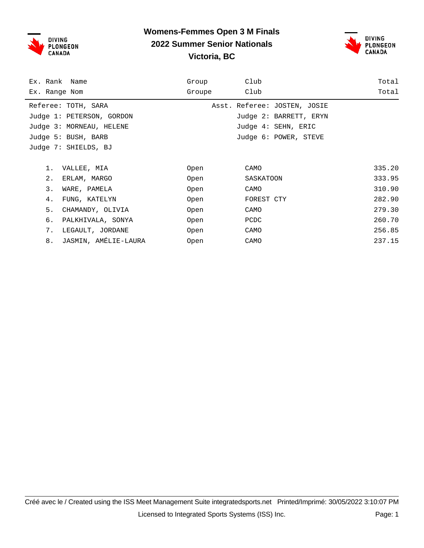

#### **Womens-Femmes Open 3 M Finals 2022 Summer Senior Nationals Victoria, BC**



| Ex. Rank Name              | Group  | Club                         | Total  |
|----------------------------|--------|------------------------------|--------|
| Ex. Range Nom              | Groupe | Club                         | Total  |
| Referee: TOTH, SARA        |        | Asst. Referee: JOSTEN, JOSIE |        |
| Judge 1: PETERSON, GORDON  |        | Judge 2: BARRETT, ERYN       |        |
| Judge 3: MORNEAU, HELENE   |        | Judge 4: SEHN, ERIC          |        |
| Judge 5: BUSH, BARB        |        | Judge 6: POWER, STEVE        |        |
| Judge 7: SHIELDS, BJ       |        |                              |        |
|                            |        |                              |        |
| 1.<br>VALLEE, MIA          | Open   | CAMO                         | 335.20 |
| 2.<br>ERLAM, MARGO         | Open   | SASKATOON                    | 333.95 |
| 3.<br>WARE, PAMELA         | Open   | CAMO                         | 310.90 |
| 4.<br>FUNG, KATELYN        | Open   | FOREST CTY                   | 282.90 |
| 5.<br>CHAMANDY, OLIVIA     | Open   | CAMO                         | 279.30 |
| б.<br>PALKHIVALA, SONYA    | Open   | PCDC                         | 260.70 |
| 7.<br>LEGAULT, JORDANE     | Open   | CAMO                         | 256.85 |
| JASMIN, AMÉLIE-LAURA<br>8. | Open   | CAMO                         | 237.15 |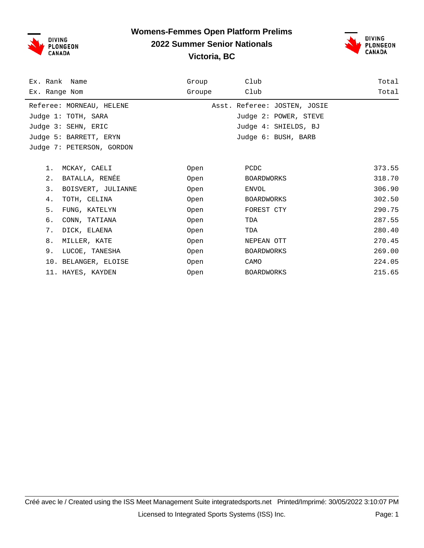

#### **Womens-Femmes Open Platform Prelims 2022 Summer Senior Nationals Victoria, BC**



| Ex. Rank Name             | Group  | Club                         | Total  |
|---------------------------|--------|------------------------------|--------|
| Ex. Range Nom             | Groupe | Club                         | Total  |
| Referee: MORNEAU, HELENE  |        | Asst. Referee: JOSTEN, JOSIE |        |
| Judge 1: TOTH, SARA       |        | Judge 2: POWER, STEVE        |        |
| Judge 3: SEHN, ERIC       |        | Judge 4: SHIELDS, BJ         |        |
| Judge 5: BARRETT, ERYN    |        | Judge 6: BUSH, BARB          |        |
| Judge 7: PETERSON, GORDON |        |                              |        |
|                           |        |                              |        |
| 1.<br>MCKAY, CAELI        | Open   | PCDC                         | 373.55 |
| BATALLA, RENÉE<br>2.      | Open   | <b>BOARDWORKS</b>            | 318.70 |
| 3.<br>BOISVERT, JULIANNE  | Open   | ENVOL                        | 306.90 |
| 4.<br>TOTH, CELINA        | Open   | <b>BOARDWORKS</b>            | 302.50 |
| 5.<br>FUNG, KATELYN       | Open   | FOREST CTY                   | 290.75 |
| б.<br>CONN, TATIANA       | Open   | TDA                          | 287.55 |
| 7.<br>DICK, ELAENA        | Open   | TDA                          | 280.40 |
| 8.<br>MILLER, KATE        | Open   | NEPEAN OTT                   | 270.45 |
| 9.<br>LUCOE, TANESHA      | Open   | <b>BOARDWORKS</b>            | 269.00 |
| 10. BELANGER, ELOISE      | Open   | CAMO                         | 224.05 |
| 11. HAYES, KAYDEN         | Open   | <b>BOARDWORKS</b>            | 215.65 |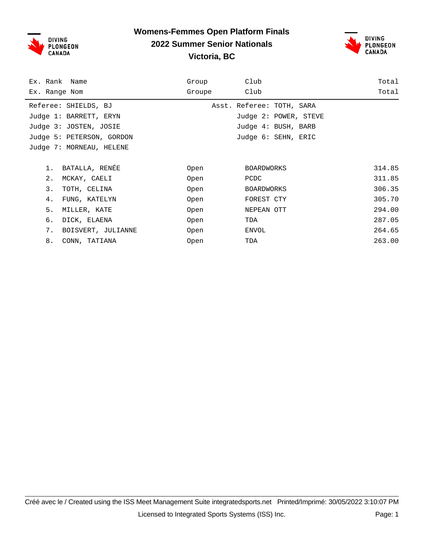

#### **Womens-Femmes Open Platform Finals 2022 Summer Senior Nationals Victoria, BC**



| Ex. Rank Name             | Group  | Club                      | Total  |
|---------------------------|--------|---------------------------|--------|
| Ex. Range Nom             | Groupe | Club                      | Total  |
| Referee: SHIELDS, BJ      |        | Asst. Referee: TOTH, SARA |        |
| Judge 1: BARRETT, ERYN    |        | Judge 2: POWER, STEVE     |        |
| Judge 3: JOSTEN, JOSIE    |        | Judge 4: BUSH, BARB       |        |
| Judge 5: PETERSON, GORDON |        | Judge 6: SEHN, ERIC       |        |
| Judge 7: MORNEAU, HELENE  |        |                           |        |
|                           |        |                           |        |
| BATALLA, RENÉE<br>1.      | Open   | <b>BOARDWORKS</b>         | 314.85 |
| 2.<br>MCKAY, CAELI        | Open   | PCDC                      | 311.85 |
| 3.<br>TOTH, CELINA        | Open   | BOARDWORKS                | 306.35 |
| 4.<br>FUNG, KATELYN       | Open   | FOREST CTY                | 305.70 |
| 5.<br>MILLER, KATE        | Open   | NEPEAN OTT                | 294.00 |
| б.<br>DICK, ELAENA        | Open   | TDA                       | 287.05 |
| 7.<br>BOISVERT, JULIANNE  | Open   | ENVOL                     | 264.65 |
| 8.<br>CONN, TATIANA       | Open   | TDA                       | 263.00 |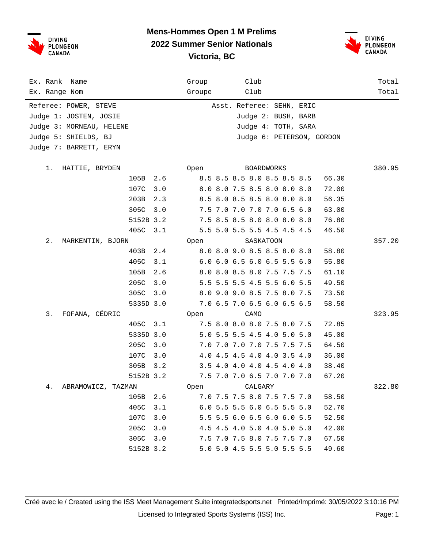



| Ex. Rank Name<br>Ex. Range Nom |           |     | Group<br>Groupe | Club<br>Club |                             |       | Total<br>Total |
|--------------------------------|-----------|-----|-----------------|--------------|-----------------------------|-------|----------------|
| Referee: POWER, STEVE          |           |     |                 |              | Asst. Referee: SEHN, ERIC   |       |                |
| Judge 1: JOSTEN, JOSIE         |           |     |                 |              | Judge 2: BUSH, BARB         |       |                |
| Judge 3: MORNEAU, HELENE       |           |     |                 |              | Judge 4: TOTH, SARA         |       |                |
| Judge 5: SHIELDS, BJ           |           |     |                 |              | Judge 6: PETERSON, GORDON   |       |                |
| Judge 7: BARRETT, ERYN         |           |     |                 |              |                             |       |                |
|                                |           |     |                 |              |                             |       |                |
| 1. HATTIE, BRYDEN              |           |     | Open            |              | BOARDWORKS                  |       | 380.95         |
|                                | 105B      | 2.6 |                 |              | 8.5 8.5 8.5 8.0 8.5 8.5 8.5 | 66.30 |                |
|                                | 107C      | 3.0 |                 |              | 8.0 8.0 7.5 8.5 8.0 8.0 8.0 | 72.00 |                |
|                                | 203B      | 2.3 |                 |              | 8.5 8.0 8.5 8.5 8.0 8.0 8.0 | 56.35 |                |
|                                | 305C      | 3.0 |                 |              | 7.5 7.0 7.0 7.0 7.0 6.5 6.0 | 63.00 |                |
|                                | 5152B 3.2 |     |                 |              | 7.5 8.5 8.5 8.0 8.0 8.0 8.0 | 76.80 |                |
|                                | 405C      | 3.1 |                 |              | 5.5 5.0 5.5 5.5 4.5 4.5 4.5 | 46.50 |                |
| $2$ .<br>MARKENTIN, BJORN      |           |     | Open            | SASKATOON    |                             |       | 357.20         |
|                                | 403B      | 2.4 |                 |              | 8.0 8.0 9.0 8.5 8.5 8.0 8.0 | 58.80 |                |
|                                | 405C      | 3.1 |                 |              | 6.0 6.0 6.5 6.0 6.5 5.5 6.0 | 55.80 |                |
|                                | 105B      | 2.6 |                 |              | 8.0 8.0 8.5 8.0 7.5 7.5 7.5 | 61.10 |                |
|                                | 205C      | 3.0 |                 |              | 5.5 5.5 5.5 4.5 5.5 6.0 5.5 | 49.50 |                |
|                                | 305C      | 3.0 |                 |              | 8.0 9.0 9.0 8.5 7.5 8.0 7.5 | 73.50 |                |
|                                | 5335D 3.0 |     |                 |              | 7.0 6.5 7.0 6.5 6.0 6.5 6.5 | 58.50 |                |
| FOFANA, CÉDRIC<br>3.           |           |     | Open            | CAMO         |                             |       | 323.95         |
|                                | 405C      | 3.1 |                 |              | 7.5 8.0 8.0 8.0 7.5 8.0 7.5 | 72.85 |                |
|                                | 5335D 3.0 |     |                 |              | 5.0 5.5 5.5 4.5 4.0 5.0 5.0 | 45.00 |                |
|                                | 205C      | 3.0 |                 |              | 7.0 7.0 7.0 7.0 7.5 7.5 7.5 | 64.50 |                |
|                                | 107C      | 3.0 |                 |              | 4.0 4.5 4.5 4.0 4.0 3.5 4.0 | 36.00 |                |
|                                | 305B      | 3.2 |                 |              | 3.5 4.0 4.0 4.0 4.5 4.0 4.0 | 38.40 |                |
|                                | 5152B 3.2 |     |                 |              | 7.5 7.0 7.0 6.5 7.0 7.0 7.0 | 67.20 |                |
| 4.<br>ABRAMOWICZ, TAZMAN       |           |     | Open            | CALGARY      |                             |       | 322.80         |
|                                | 105B      | 2.6 |                 |              | 7.0 7.5 7.5 8.0 7.5 7.5 7.0 | 58.50 |                |
|                                | 405C      | 3.1 |                 |              | 6.0 5.5 5.5 6.0 6.5 5.5 5.0 | 52.70 |                |
|                                | 107C      | 3.0 |                 |              | 5.5 5.5 6.0 6.5 6.0 6.0 5.5 | 52.50 |                |
|                                | 205C      | 3.0 |                 |              | 4.5 4.5 4.0 5.0 4.0 5.0 5.0 | 42.00 |                |
|                                | 305C      | 3.0 |                 |              | 7.5 7.0 7.5 8.0 7.5 7.5 7.0 | 67.50 |                |
|                                | 5152B 3.2 |     |                 |              | 5.0 5.0 4.5 5.5 5.0 5.5 5.5 | 49.60 |                |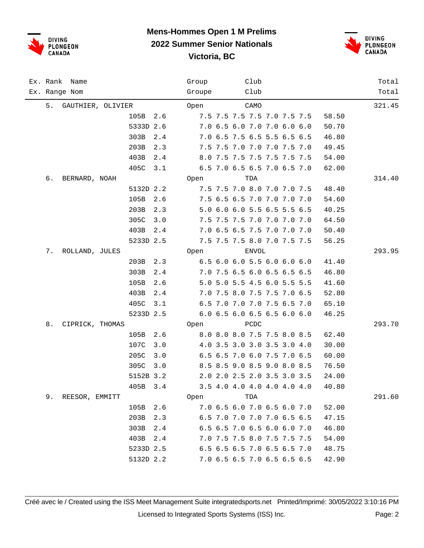



|    | Ex. Rank Name     |           |     | Group  | Club  |                             |  |       | Total  |
|----|-------------------|-----------|-----|--------|-------|-----------------------------|--|-------|--------|
|    | Ex. Range Nom     |           |     | Groupe | Club  |                             |  |       | Total  |
| 5. | GAUTHIER, OLIVIER |           |     | Open   | CAMO  |                             |  |       | 321.45 |
|    |                   | 105B      | 2.6 |        |       | 7.5 7.5 7.5 7.5 7.0 7.5 7.5 |  | 58.50 |        |
|    |                   | 5333D 2.6 |     |        |       | 7.0 6.5 6.0 7.0 7.0 6.0 6.0 |  | 50.70 |        |
|    |                   | 303B      | 2.4 |        |       | 7.0 6.5 7.5 6.5 5.5 6.5 6.5 |  | 46.80 |        |
|    |                   | 203B      | 2.3 |        |       | 7.5 7.5 7.0 7.0 7.0 7.5 7.0 |  | 49.45 |        |
|    |                   | 403B      | 2.4 |        |       | 8.0 7.5 7.5 7.5 7.5 7.5 7.5 |  | 54.00 |        |
|    |                   | 405C      | 3.1 |        |       | 6.5 7.0 6.5 6.5 7.0 6.5 7.0 |  | 62.00 |        |
| б. | BERNARD, NOAH     |           |     | Open   | TDA   |                             |  |       | 314.40 |
|    |                   | 5132D 2.2 |     |        |       | 7.5 7.5 7.0 8.0 7.0 7.0 7.5 |  | 48.40 |        |
|    |                   | 105B      | 2.6 |        |       | 7.5 6.5 6.5 7.0 7.0 7.0 7.0 |  | 54.60 |        |
|    |                   | 203B      | 2.3 |        |       | 5.0 6.0 6.0 5.5 6.5 5.5 6.5 |  | 40.25 |        |
|    |                   | 305C      | 3.0 |        |       | 7.5 7.5 7.5 7.0 7.0 7.0 7.0 |  | 64.50 |        |
|    |                   | 403B      | 2.4 |        |       | 7.0 6.5 6.5 7.5 7.0 7.0 7.0 |  | 50.40 |        |
|    |                   | 5233D 2.5 |     |        |       | 7.5 7.5 7.5 8.0 7.0 7.5 7.5 |  | 56.25 |        |
| 7. | ROLLAND, JULES    |           |     | Open   | ENVOL |                             |  |       | 293.95 |
|    |                   | 203B      | 2.3 |        |       | 6.5 6.0 6.0 5.5 6.0 6.0 6.0 |  | 41.40 |        |
|    |                   | 303B      | 2.4 |        |       | 7.0 7.5 6.5 6.0 6.5 6.5 6.5 |  | 46.80 |        |
|    |                   | 105B      | 2.6 |        |       | 5.0 5.0 5.5 4.5 6.0 5.5 5.5 |  | 41.60 |        |
|    |                   | 403B      | 2.4 |        |       | 7.0 7.5 8.0 7.5 7.5 7.0 6.5 |  | 52.80 |        |
|    |                   | 405C      | 3.1 |        |       | 6.5 7.0 7.0 7.0 7.5 6.5 7.0 |  | 65.10 |        |
|    |                   | 5233D 2.5 |     |        |       | 6.0 6.5 6.0 6.5 6.5 6.0 6.0 |  | 46.25 |        |
| 8. | CIPRICK, THOMAS   |           |     | Open   | PCDC  |                             |  |       | 293.70 |
|    |                   | 105B      | 2.6 |        |       | 8.0 8.0 8.0 7.5 7.5 8.0 8.5 |  | 62.40 |        |
|    |                   | 107C      | 3.0 |        |       | 4.0 3.5 3.0 3.0 3.5 3.0 4.0 |  | 30.00 |        |
|    |                   | 205C      | 3.0 |        |       | 6.5 6.5 7.0 6.0 7.5 7.0 6.5 |  | 60.00 |        |
|    |                   | 305C      | 3.0 |        |       | 8.5 8.5 9.0 8.5 9.0 8.0 8.5 |  | 76.50 |        |
|    |                   | 5152B 3.2 |     |        |       | 2.0 2.0 2.5 2.0 3.5 3.0 3.5 |  | 24.00 |        |
|    |                   | 405B      | 3.4 |        |       | 3.5 4.0 4.0 4.0 4.0 4.0 4.0 |  | 40.80 |        |
| 9. | REESOR, EMMITT    |           |     | Open   | TDA   |                             |  |       | 291.60 |
|    |                   | 105B      | 2.6 |        |       | 7.0 6.5 6.0 7.0 6.5 6.0 7.0 |  | 52.00 |        |
|    |                   | 203B      | 2.3 |        |       | 6.5 7.0 7.0 7.0 7.0 6.5 6.5 |  | 47.15 |        |
|    |                   | 303B      | 2.4 |        |       | 6.5 6.5 7.0 6.5 6.0 6.0 7.0 |  | 46.80 |        |
|    |                   | 403B      | 2.4 |        |       | 7.0 7.5 7.5 8.0 7.5 7.5 7.5 |  | 54.00 |        |
|    |                   | 5233D 2.5 |     |        |       | 6.5 6.5 6.5 7.0 6.5 6.5 7.0 |  | 48.75 |        |
|    |                   | 5132D 2.2 |     |        |       | 7.0 6.5 6.5 7.0 6.5 6.5 6.5 |  | 42.90 |        |
|    |                   |           |     |        |       |                             |  |       |        |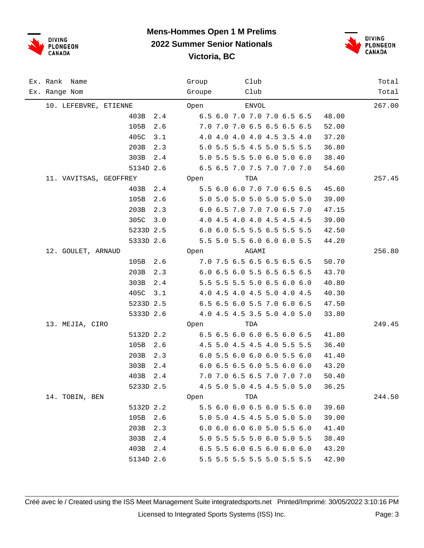



| Ex. Rank Name<br>Ex. Range Nom | Club<br>Group<br>Club<br>Groupe      | Total<br>Total |
|--------------------------------|--------------------------------------|----------------|
| 10. LEFEBVRE, ETIENNE          | <b>ENVOL</b><br>Open                 | 267.00         |
| 403B<br>2.4                    | 6.5 6.0 7.0 7.0 7.0 6.5 6.5<br>48.00 |                |
| 105B<br>2.6                    | 7.0 7.0 7.0 6.5 6.5 6.5 6.5<br>52.00 |                |
| 405C<br>3.1                    | 37.20<br>4.0 4.0 4.0 4.0 4.5 3.5 4.0 |                |
| 203B<br>2.3                    | 5.0 5.5 5.5 4.5 5.0 5.5 5.5<br>36.80 |                |
| 303B<br>$2.4\,$                | 5.0 5.5 5.5 5.0 6.0 5.0 6.0<br>38.40 |                |
| 5134D 2.6                      | 6.5 6.5 7.0 7.5 7.0 7.0 7.0<br>54.60 |                |
| 11. VAVITSAS, GEOFFREY         | TDA<br>Open                          | 257.45         |
| 403B<br>2.4                    | 5.5 6.0 6.0 7.0 7.0 6.5 6.5<br>45.60 |                |
| 105B<br>2.6                    | 5.0 5.0 5.0 5.0 5.0 5.0 5.0<br>39.00 |                |
| 203B<br>2.3                    | 6.0 6.5 7.0 7.0 7.0 6.5 7.0<br>47.15 |                |
| 305C<br>3.0                    | 4.0 4.5 4.0 4.0 4.5 4.5 4.5<br>39.00 |                |
| 5233D 2.5                      | 6.0 6.0 5.5 5.5 6.5 5.5 5.5<br>42.50 |                |
| 5333D 2.6                      | 5.5 5.0 5.5 6.0 6.0 6.0 5.5<br>44.20 |                |
| 12. GOULET, ARNAUD             | AGAMI<br>Open                        | 256.80         |
| 105B<br>2.6                    | 7.0 7.5 6.5 6.5 6.5 6.5 6.5<br>50.70 |                |
| 203B<br>2.3                    | 6.0 6.5 6.0 5.5 6.5 6.5 6.5<br>43.70 |                |
| 303B<br>2.4                    | 5.5 5.5 5.5 5.0 6.5 6.0 6.0<br>40.80 |                |
| 405C<br>3.1                    | 4.0 4.5 4.0 4.5 5.0 4.0 4.5<br>40.30 |                |
| 5233D 2.5                      | 6.5 6.5 6.0 5.5 7.0 6.0 6.5<br>47.50 |                |
| 5333D 2.6                      | 4.0 4.5 4.5 3.5 5.0 4.0 5.0<br>33.80 |                |
| 13. MEJIA, CIRO                | Open<br>TDA                          | 249.45         |
| 5132D 2.2                      | 6.5 6.5 6.0 6.0 6.5 6.0 6.5<br>41.80 |                |
| 105B<br>2.6                    | 4.5 5.0 4.5 4.5 4.0 5.5 5.5<br>36.40 |                |
| 203B<br>2.3                    | 6.0 5.5 6.0 6.0 6.0 5.5 6.0<br>41.40 |                |
| 303B<br>2.4                    | 6.0 6.5 6.5 6.0 5.5 6.0 6.0<br>43.20 |                |
| 403B<br>2.4                    | 7.0 7.0 6.5 6.5 7.0 7.0 7.0<br>50.40 |                |
| 5233D 2.5                      | 4.5 5.0 5.0 4.5 4.5 5.0 5.0<br>36.25 |                |
| 14. TOBIN, BEN                 | Open<br>TDA                          | 244.50         |
| 5132D 2.2                      | 5.5 6.0 6.0 6.5 6.0 5.5 6.0<br>39.60 |                |
| 105B<br>2.6                    | 5.0 5.0 4.5 4.5 5.0 5.0 5.0<br>39.00 |                |
| 203B<br>2.3                    | 6.0 6.0 6.0 6.0 5.0 5.5 6.0<br>41.40 |                |
| 303B 2.4                       | 5.0 5.5 5.5 5.0 6.0 5.0 5.5<br>38.40 |                |
| 403B 2.4                       | 6.5 5.5 6.0 6.5 6.0 6.0 6.0<br>43.20 |                |
| 5134D 2.6                      | 5.5 5.5 5.5 5.5 5.0 5.5 5.5<br>42.90 |                |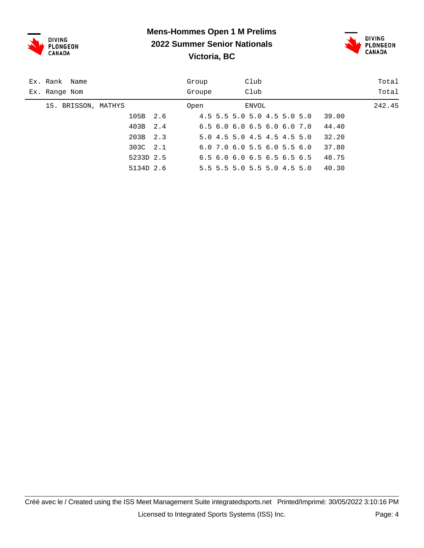



| Ex. Rank Name       | Group  | Club                                      | Total  |
|---------------------|--------|-------------------------------------------|--------|
| Ex. Range Nom       | Groupe | Club                                      | Total  |
| 15. BRISSON, MATHYS | Open   | ENVOL                                     | 242.45 |
| 105B                | 2.6    | 4.5 5.5 5.0 5.0 4.5 5.0 5.0               | 39.00  |
| 403B                | 2.4    | 6.56.06.06.56.06.07.0                     | 44.40  |
| 203B                | 2.3    | 5.0 4.5 5.0 4.5 4.5 4.5 5.0               | 32.20  |
| 303C                | 2.1    | $6.0$ 7.0 $6.0$ 5.5 $6.0$ 5.5 $6.0$       | 37.80  |
| 5233D 2.5           |        | $6.5$ $6.0$ $6.0$ $6.5$ $6.5$ $6.5$ $6.5$ | 48.75  |
| 5134D 2.6           |        | 5.5 5.5 5.0 5.5 5.0 4.5 5.0               | 40.30  |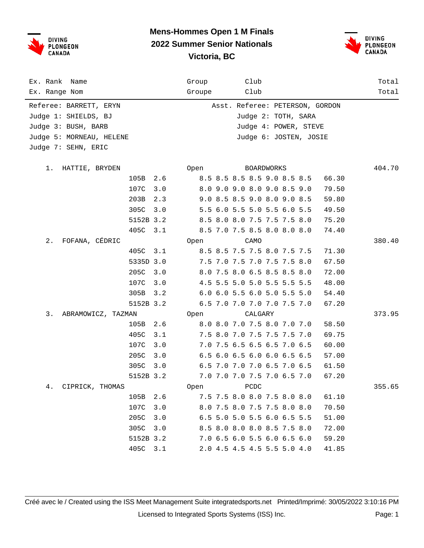



| Ex. Rank Name<br>Ex. Range Nom                                                                                           |           |     | Group<br>Groupe | Club<br>Club                |            |                                                                                                           |       | Total<br>Total |
|--------------------------------------------------------------------------------------------------------------------------|-----------|-----|-----------------|-----------------------------|------------|-----------------------------------------------------------------------------------------------------------|-------|----------------|
| Referee: BARRETT, ERYN<br>Judge 1: SHIELDS, BJ<br>Judge 3: BUSH, BARB<br>Judge 5: MORNEAU, HELENE<br>Judge 7: SEHN, ERIC |           |     |                 |                             |            | Asst. Referee: PETERSON, GORDON<br>Judge 2: TOTH, SARA<br>Judge 4: POWER, STEVE<br>Judge 6: JOSTEN, JOSIE |       |                |
| 1. HATTIE, BRYDEN                                                                                                        |           |     | Open            |                             | BOARDWORKS |                                                                                                           |       | 404.70         |
|                                                                                                                          | 105B      |     |                 |                             |            |                                                                                                           |       |                |
|                                                                                                                          |           | 2.6 |                 | 8.5 8.5 8.5 8.5 9.0 8.5 8.5 |            |                                                                                                           | 66.30 |                |
|                                                                                                                          | 107C      | 3.0 |                 | 8.0 9.0 9.0 8.0 9.0 8.5 9.0 |            |                                                                                                           | 79.50 |                |
|                                                                                                                          | 203B      | 2.3 |                 | 9.0 8.5 8.5 9.0 8.0 9.0 8.5 |            |                                                                                                           | 59.80 |                |
|                                                                                                                          | 305C      | 3.0 |                 | 5.5 6.0 5.5 5.0 5.5 6.0 5.5 |            |                                                                                                           | 49.50 |                |
|                                                                                                                          | 5152B 3.2 |     |                 | 8.5 8.0 8.0 7.5 7.5 7.5 8.0 |            |                                                                                                           | 75.20 |                |
|                                                                                                                          | 405C      | 3.1 |                 | 8.5 7.0 7.5 8.5 8.0 8.0 8.0 |            |                                                                                                           | 74.40 |                |
| FOFANA, CÉDRIC<br>$2$ .                                                                                                  |           |     | Open            | CAMO                        |            |                                                                                                           |       | 380.40         |
|                                                                                                                          | 405C      | 3.1 |                 | 8.5 8.5 7.5 7.5 8.0 7.5 7.5 |            |                                                                                                           | 71.30 |                |
|                                                                                                                          | 5335D 3.0 |     |                 | 7.5 7.0 7.5 7.0 7.5 7.5 8.0 |            |                                                                                                           | 67.50 |                |
|                                                                                                                          | 205C      | 3.0 |                 | 8.0 7.5 8.0 6.5 8.5 8.5 8.0 |            |                                                                                                           | 72.00 |                |
|                                                                                                                          | 107C      | 3.0 |                 | 4.5 5.5 5.0 5.0 5.5 5.5 5.5 |            |                                                                                                           | 48.00 |                |
|                                                                                                                          | 305B      | 3.2 |                 | 6.0 6.0 5.5 6.0 5.0 5.5 5.0 |            |                                                                                                           | 54.40 |                |
|                                                                                                                          | 5152B 3.2 |     |                 | 6.5 7.0 7.0 7.0 7.0 7.5 7.0 |            |                                                                                                           | 67.20 |                |
| 3.<br>ABRAMOWICZ, TAZMAN                                                                                                 |           |     | Open            | CALGARY                     |            |                                                                                                           |       | 373.95         |
|                                                                                                                          | 105B      | 2.6 |                 | 8.0 8.0 7.0 7.5 8.0 7.0 7.0 |            |                                                                                                           | 58.50 |                |
|                                                                                                                          | 405C      | 3.1 |                 | 7.5 8.0 7.0 7.5 7.5 7.5 7.0 |            |                                                                                                           | 69.75 |                |
|                                                                                                                          | 107C      | 3.0 |                 | 7.0 7.5 6.5 6.5 6.5 7.0 6.5 |            |                                                                                                           | 60.00 |                |
|                                                                                                                          | 205C      | 3.0 |                 | 6.5 6.0 6.5 6.0 6.0 6.5 6.5 |            |                                                                                                           | 57.00 |                |
|                                                                                                                          | 305C      | 3.0 |                 | 6.5 7.0 7.0 7.0 6.5 7.0 6.5 |            |                                                                                                           | 61.50 |                |
|                                                                                                                          | 5152B 3.2 |     |                 | 7.0 7.0 7.0 7.5 7.0 6.5 7.0 |            |                                                                                                           | 67.20 |                |
| CIPRICK, THOMAS<br>4.                                                                                                    |           |     | Open            | PCDC                        |            |                                                                                                           |       | 355.65         |
|                                                                                                                          | 105B      | 2.6 |                 | 7.5 7.5 8.0 8.0 7.5 8.0 8.0 |            |                                                                                                           | 61.10 |                |
|                                                                                                                          | 107C      | 3.0 |                 | 8.0 7.5 8.0 7.5 7.5 8.0 8.0 |            |                                                                                                           | 70.50 |                |
|                                                                                                                          | 205C      | 3.0 |                 | 6.5 5.0 5.0 5.5 6.0 6.5 5.5 |            |                                                                                                           | 51.00 |                |
|                                                                                                                          | 305C      | 3.0 |                 | 8.5 8.0 8.0 8.0 8.5 7.5 8.0 |            |                                                                                                           | 72.00 |                |
|                                                                                                                          | 5152B 3.2 |     |                 | 7.0 6.5 6.0 5.5 6.0 6.5 6.0 |            |                                                                                                           | 59.20 |                |
|                                                                                                                          | 405C      | 3.1 |                 | 2.0 4.5 4.5 4.5 5.5 5.0 4.0 |            |                                                                                                           | 41.85 |                |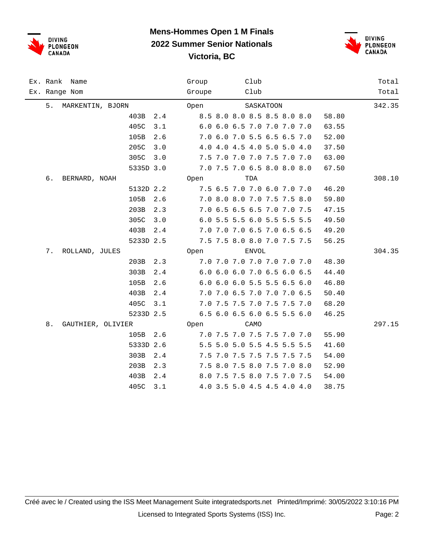



| Ex. Rank Name           | Club<br>Group                        | Total  |
|-------------------------|--------------------------------------|--------|
| Ex. Range Nom           | Club<br>Groupe                       | Total  |
| 5.<br>MARKENTIN, BJORN  | SASKATOON<br>Open                    | 342.35 |
| 403B<br>2.4             | 8.5 8.0 8.0 8.5 8.5 8.0 8.0<br>58.80 |        |
| 405C<br>3.1             | 6.0 6.0 6.5 7.0 7.0 7.0 7.0<br>63.55 |        |
| 105B<br>2.6             | 7.0 6.0 7.0 5.5 6.5 6.5 7.0<br>52.00 |        |
| 205C<br>3.0             | 4.0 4.0 4.5 4.0 5.0 5.0 4.0<br>37.50 |        |
| 305C<br>3.0             | 7.5 7.0 7.0 7.0 7.5 7.0 7.0<br>63.00 |        |
| 5335D 3.0               | 7.0 7.5 7.0 6.5 8.0 8.0 8.0<br>67.50 |        |
| б.<br>BERNARD, NOAH     | TDA<br>Open                          | 308.10 |
| 5132D 2.2               | 7.5 6.5 7.0 7.0 6.0 7.0 7.0<br>46.20 |        |
| 105B<br>2.6             | 7.0 8.0 8.0 7.0 7.5 7.5 8.0<br>59.80 |        |
| 203B<br>2.3             | 7.0 6.5 6.5 6.5 7.0 7.0 7.5<br>47.15 |        |
| 305C<br>3.0             | 6.0 5.5 5.5 6.0 5.5 5.5 5.5<br>49.50 |        |
| 403B<br>2.4             | 7.0 7.0 7.0 6.5 7.0 6.5 6.5<br>49.20 |        |
| 5233D 2.5               | 7.5 7.5 8.0 8.0 7.0 7.5 7.5<br>56.25 |        |
| 7.<br>ROLLAND, JULES    | ENVOL<br>Open                        | 304.35 |
| 203B<br>2.3             | 7.0 7.0 7.0 7.0 7.0 7.0 7.0<br>48.30 |        |
| 303B<br>2.4             | 6.0 6.0 6.0 7.0 6.5 6.0 6.5<br>44.40 |        |
| 105B<br>2.6             | 6.0 6.0 6.0 5.5 5.5 6.5 6.0<br>46.80 |        |
| 403B<br>2.4             | 7.0 7.0 6.5 7.0 7.0 7.0 6.5<br>50.40 |        |
| 405C<br>3.1             | 7.0 7.5 7.5 7.0 7.5 7.5 7.0<br>68.20 |        |
| 5233D 2.5               | 6.5 6.0 6.5 6.0 6.5 5.5 6.0<br>46.25 |        |
| 8.<br>GAUTHIER, OLIVIER | Open<br>CAMO                         | 297.15 |
| 105B 2.6                | 7.0 7.5 7.0 7.5 7.5 7.0 7.0<br>55.90 |        |
| 5333D 2.6               | 5.5 5.0 5.0 5.5 4.5 5.5 5.5<br>41.60 |        |
| 303B<br>2.4             | 7.5 7.0 7.5 7.5 7.5 7.5 7.5<br>54.00 |        |
| 203B<br>2.3             | 7.5 8.0 7.5 8.0 7.5 7.0 8.0<br>52.90 |        |
| 403B<br>2.4             | 8.0 7.5 7.5 8.0 7.5 7.0 7.5<br>54.00 |        |
| 405C<br>3.1             | 4.0 3.5 5.0 4.5 4.5 4.0 4.0<br>38.75 |        |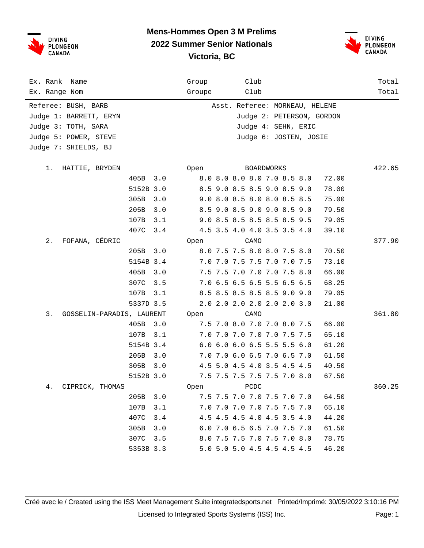



| Ex. Rank Name<br>Ex. Range Nom                                                                                        |           | Group<br>Groupe | Club<br>Club      |                                                                                                              |       | Total<br>Total |
|-----------------------------------------------------------------------------------------------------------------------|-----------|-----------------|-------------------|--------------------------------------------------------------------------------------------------------------|-------|----------------|
| Referee: BUSH, BARB<br>Judge 1: BARRETT, ERYN<br>Judge 3: TOTH, SARA<br>Judge 5: POWER, STEVE<br>Judge 7: SHIELDS, BJ |           |                 |                   | Asst. Referee: MORNEAU, HELENE<br>Judge 2: PETERSON, GORDON<br>Judge 4: SEHN, ERIC<br>Judge 6: JOSTEN, JOSIE |       |                |
| 1.<br>HATTIE, BRYDEN                                                                                                  |           | Open            | <b>BOARDWORKS</b> |                                                                                                              |       | 422.65         |
|                                                                                                                       | 405B      | 3.0             |                   | 8.0 8.0 8.0 8.0 7.0 8.5 8.0                                                                                  | 72.00 |                |
|                                                                                                                       | 5152B 3.0 |                 |                   | 8.5 9.0 8.5 8.5 9.0 8.5 9.0                                                                                  | 78.00 |                |
|                                                                                                                       | 305B      | 3.0             |                   | 9.0 8.0 8.5 8.0 8.0 8.5 8.5                                                                                  | 75.00 |                |
|                                                                                                                       | 205B      | 3.0             |                   | 8.5 9.0 8.5 9.0 9.0 8.5 9.0                                                                                  | 79.50 |                |
|                                                                                                                       | 107B      | 3.1             |                   | 9.0 8.5 8.5 8.5 8.5 8.5 9.5                                                                                  | 79.05 |                |
|                                                                                                                       | 407C      | 3.4             |                   | 4.5 3.5 4.0 4.0 3.5 3.5 4.0                                                                                  | 39.10 |                |
| FOFANA, CÉDRIC<br>$2$ .                                                                                               |           | Open            | CAMO              |                                                                                                              |       | 377.90         |
|                                                                                                                       | 205B      | 3.0             |                   | 8.0 7.5 7.5 8.0 8.0 7.5 8.0                                                                                  | 70.50 |                |
|                                                                                                                       | 5154B 3.4 |                 |                   | 7.0 7.0 7.5 7.5 7.0 7.0 7.5                                                                                  | 73.10 |                |
|                                                                                                                       | 405B      | 3.0             |                   | 7.5 7.5 7.0 7.0 7.0 7.5 8.0                                                                                  | 66.00 |                |
|                                                                                                                       | 307C      | 3.5             |                   | 7.0 6.5 6.5 6.5 5.5 6.5 6.5                                                                                  | 68.25 |                |
|                                                                                                                       | 107B      | 3.1             |                   | 8.5 8.5 8.5 8.5 8.5 9.0 9.0                                                                                  | 79.05 |                |
|                                                                                                                       | 5337D 3.5 |                 |                   | 2.0 2.0 2.0 2.0 2.0 2.0 3.0                                                                                  | 21.00 |                |
| 3.<br>GOSSELIN-PARADIS, LAURENT                                                                                       |           | Open            | CAMO              |                                                                                                              |       | 361.80         |
|                                                                                                                       | 405B      | 3.0             |                   | 7.5 7.0 8.0 7.0 7.0 8.0 7.5                                                                                  | 66.00 |                |
|                                                                                                                       | 107B      | 3.1             |                   | 7.0 7.0 7.0 7.0 7.0 7.5 7.5                                                                                  | 65.10 |                |
|                                                                                                                       | 5154B 3.4 |                 |                   | 6.0 6.0 6.0 6.5 5.5 5.5 6.0                                                                                  | 61.20 |                |
|                                                                                                                       | 205B      | 3.0             |                   | 7.0 7.0 6.0 6.5 7.0 6.5 7.0                                                                                  | 61.50 |                |
|                                                                                                                       | 305B      | 3.0             |                   | 4.5 5.0 4.5 4.0 3.5 4.5 4.5                                                                                  | 40.50 |                |
|                                                                                                                       | 5152B 3.0 |                 |                   | 7.5 7.5 7.5 7.5 7.5 7.0 8.0                                                                                  | 67.50 |                |
| CIPRICK, THOMAS<br>4.                                                                                                 |           | Open            | PCDC              |                                                                                                              |       | 360.25         |
|                                                                                                                       | 205B      | 3.0             |                   | 7.5 7.5 7.0 7.0 7.5 7.0 7.0                                                                                  | 64.50 |                |
|                                                                                                                       | 107B      | 3.1             |                   | 7.0 7.0 7.0 7.0 7.5 7.5 7.0                                                                                  | 65.10 |                |
|                                                                                                                       | 407C      | 3.4             |                   | 4.5 4.5 4.5 4.0 4.5 3.5 4.0                                                                                  | 44.20 |                |
|                                                                                                                       | 305B      | 3.0             |                   | 6.0 7.0 6.5 6.5 7.0 7.5 7.0                                                                                  | 61.50 |                |
|                                                                                                                       | 307C      | 3.5             |                   | 8.0 7.5 7.5 7.0 7.5 7.0 8.0                                                                                  | 78.75 |                |
|                                                                                                                       | 5353B 3.3 |                 |                   | 5.0 5.0 5.0 4.5 4.5 4.5 4.5                                                                                  | 46.20 |                |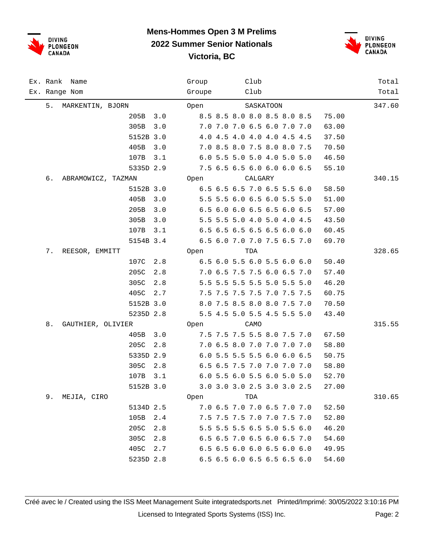



| Ex. Rank Name |                                 | Group  | Club                        | Total  |
|---------------|---------------------------------|--------|-----------------------------|--------|
| Ex. Range Nom |                                 | Groupe | Club                        | Total  |
| 5.            | MARKENTIN, BJORN                | Open   | SASKATOON                   | 347.60 |
|               | 205B<br>3.0                     |        | 8.5 8.5 8.0 8.0 8.5 8.0 8.5 | 75.00  |
|               | 305B<br>3.0                     |        | 7.0 7.0 7.0 6.5 6.0 7.0 7.0 | 63.00  |
|               | 5152B 3.0                       |        | 4.0 4.5 4.0 4.0 4.0 4.5 4.5 | 37.50  |
|               | 405B<br>3.0                     |        | 7.0 8.5 8.0 7.5 8.0 8.0 7.5 | 70.50  |
|               | 107B<br>3.1                     |        | 6.0 5.5 5.0 5.0 4.0 5.0 5.0 | 46.50  |
|               | 5335D 2.9                       |        | 7.5 6.5 6.5 6.0 6.0 6.0 6.5 | 55.10  |
| б.            | ABRAMOWICZ, TAZMAN Open CALGARY |        |                             | 340.15 |
|               | 5152B 3.0                       |        | 6.5 6.5 6.5 7.0 6.5 5.5 6.0 | 58.50  |
|               | 405B 3.0                        |        | 5.5 5.5 6.0 6.5 6.0 5.5 5.0 | 51.00  |
|               | 205B<br>3.0                     |        | 6.5 6.0 6.0 6.5 6.5 6.0 6.5 | 57.00  |
|               | 305B<br>3.0                     |        | 5.5 5.5 5.0 4.0 5.0 4.0 4.5 | 43.50  |
|               | 107B<br>3.1                     |        | 6.5 6.5 6.5 6.5 6.5 6.0 6.0 | 60.45  |
|               | 5154B 3.4                       |        | 6.5 6.0 7.0 7.0 7.5 6.5 7.0 | 69.70  |
| 7.            | REESOR, EMMITT                  | Open   | TDA                         | 328.65 |
|               | 107C 2.8                        |        | 6.5 6.0 5.5 6.0 5.5 6.0 6.0 | 50.40  |
|               | 205C<br>2.8                     |        | 7.0 6.5 7.5 7.5 6.0 6.5 7.0 | 57.40  |
|               | 305C<br>2.8                     |        | 5.5 5.5 5.5 5.5 5.0 5.5 5.0 | 46.20  |
|               | 405C<br>2.7                     |        | 7.5 7.5 7.5 7.5 7.0 7.5 7.5 | 60.75  |
|               | 5152B 3.0                       |        | 8.0 7.5 8.5 8.0 8.0 7.5 7.0 | 70.50  |
|               | 5235D 2.8                       |        | 5.5 4.5 5.0 5.5 4.5 5.5 5.0 | 43.40  |
| 8.            | GAUTHIER, OLIVIER               | Open   | CAMO                        | 315.55 |
|               | 405B 3.0                        |        | 7.5 7.5 7.5 5.5 8.0 7.5 7.0 | 67.50  |
|               | 205C<br>2.8                     |        | 7.0 6.5 8.0 7.0 7.0 7.0 7.0 | 58.80  |
|               | 5335D 2.9                       |        | 6.0 5.5 5.5 5.5 6.0 6.0 6.5 | 50.75  |
|               | 305C<br>2.8                     |        | 6.5 6.5 7.5 7.0 7.0 7.0 7.0 | 58.80  |
|               | 107B 3.1                        |        | 6.0 5.5 6.0 5.5 6.0 5.0 5.0 | 52.70  |
|               | 5152B 3.0                       |        | 3.0 3.0 3.0 2.5 3.0 3.0 2.5 | 27.00  |
| 9.            | MEJIA, CIRO                     | Open   | TDA                         | 310.65 |
|               | 5134D 2.5                       |        | 7.0 6.5 7.0 7.0 6.5 7.0 7.0 | 52.50  |
|               | 105B 2.4                        |        | 7.5 7.5 7.5 7.0 7.0 7.5 7.0 | 52.80  |
|               | 205C<br>2.8                     |        | 5.5 5.5 5.5 6.5 5.0 5.5 6.0 | 46.20  |
|               | 305C 2.8                        |        | 6.5 6.5 7.0 6.5 6.0 6.5 7.0 | 54.60  |
|               | 405C<br>2.7                     |        | 6.5 6.5 6.0 6.0 6.5 6.0 6.0 | 49.95  |
|               | 5235D 2.8                       |        | 6.5 6.5 6.0 6.5 6.5 6.5 6.0 | 54.60  |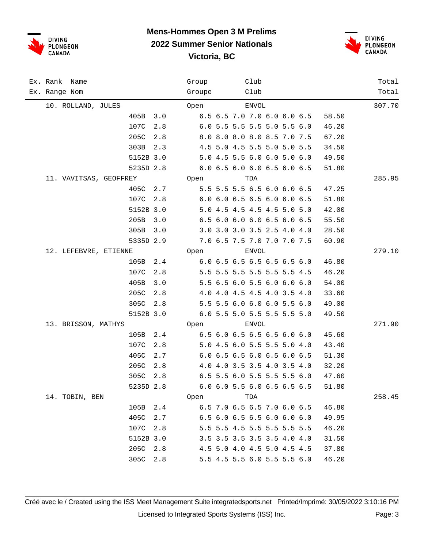



| Ex. Rank Name<br>Ex. Range Nom |             | Group<br>Groupe | Club<br>Club                | Total<br>Total |
|--------------------------------|-------------|-----------------|-----------------------------|----------------|
| 10. ROLLAND, JULES             |             | Open            | <b>ENVOL</b>                | 307.70         |
|                                | 405B<br>3.0 |                 | 6.5 6.5 7.0 7.0 6.0 6.0 6.5 | 58.50          |
|                                | 107C<br>2.8 |                 | 6.0 5.5 5.5 5.5 5.0 5.5 6.0 | 46.20          |
|                                | 205C<br>2.8 |                 | 8.0 8.0 8.0 8.0 8.5 7.0 7.5 | 67.20          |
|                                | 303B<br>2.3 |                 | 4.5 5.0 4.5 5.5 5.0 5.0 5.5 | 34.50          |
|                                | 5152B 3.0   |                 | 5.0 4.5 5.5 6.0 6.0 5.0 6.0 | 49.50          |
|                                | 5235D 2.8   |                 | 6.0 6.5 6.0 6.0 6.5 6.0 6.5 | 51.80          |
| 11. VAVITSAS, GEOFFREY         |             | Open            | TDA                         | 285.95         |
|                                | 405C 2.7    |                 | 5.5 5.5 5.5 6.5 6.0 6.0 6.5 | 47.25          |
|                                | 107C<br>2.8 |                 | 6.0 6.0 6.5 6.5 6.0 6.0 6.5 | 51.80          |
|                                | 5152B 3.0   |                 | 5.0 4.5 4.5 4.5 4.5 5.0 5.0 | 42.00          |
|                                | 205B<br>3.0 |                 | 6.5 6.0 6.0 6.0 6.5 6.0 6.5 | 55.50          |
|                                | 305B<br>3.0 |                 | 3.0 3.0 3.0 3.5 2.5 4.0 4.0 | 28.50          |
|                                | 5335D 2.9   |                 | 7.0 6.5 7.5 7.0 7.0 7.0 7.5 | 60.90          |
| 12. LEFEBVRE, ETIENNE          |             | Open            | <b>ENVOL</b>                | 279.10         |
|                                | 105B<br>2.4 |                 | 6.0 6.5 6.5 6.5 6.5 6.5 6.0 | 46.80          |
|                                | 107C<br>2.8 |                 | 5.5 5.5 5.5 5.5 5.5 5.5 4.5 | 46.20          |
|                                | 405B<br>3.0 |                 | 5.5 6.5 6.0 5.5 6.0 6.0 6.0 | 54.00          |
|                                | 205C<br>2.8 |                 | 4.0 4.0 4.5 4.5 4.0 3.5 4.0 | 33.60          |
|                                | 305C<br>2.8 |                 | 5.5 5.5 6.0 6.0 6.0 5.5 6.0 | 49.00          |
|                                | 5152B 3.0   |                 | 6.0 5.5 5.0 5.5 5.5 5.5 5.0 | 49.50          |
| 13. BRISSON, MATHYS            |             | Open            | <b>ENVOL</b>                | 271.90         |
|                                | 105B<br>2.4 |                 | 6.5 6.0 6.5 6.5 6.5 6.0 6.0 | 45.60          |
|                                | 107C<br>2.8 |                 | 5.0 4.5 6.0 5.5 5.5 5.0 4.0 | 43.40          |
|                                | 405C<br>2.7 |                 | 6.0 6.5 6.5 6.0 6.5 6.0 6.5 | 51.30          |
|                                | 205C<br>2.8 |                 | 4.0 4.0 3.5 3.5 4.0 3.5 4.0 | 32.20          |
|                                | 305C<br>2.8 |                 | 6.5 5.5 6.0 5.5 5.5 5.5 6.0 | 47.60          |
|                                | 5235D 2.8   |                 | 6.0 6.0 5.5 6.0 6.5 6.5 6.5 | 51.80          |
| 14. TOBIN, BEN                 |             | Open            | TDA                         | 258.45         |
|                                | 105B 2.4    |                 | 6.5 7.0 6.5 6.5 7.0 6.0 6.5 | 46.80          |
|                                | 405C<br>2.7 |                 | 6.5 6.0 6.5 6.5 6.0 6.0 6.0 | 49.95          |
|                                | 107C<br>2.8 |                 | 5.5 5.5 4.5 5.5 5.5 5.5 5.5 | 46.20          |
|                                | 5152B 3.0   |                 | 3.5 3.5 3.5 3.5 3.5 4.0 4.0 | 31.50          |
|                                | 205C<br>2.8 |                 | 4.5 5.0 4.0 4.5 5.0 4.5 4.5 | 37.80          |
|                                | 305C<br>2.8 |                 | 5.5 4.5 5.5 6.0 5.5 5.5 6.0 | 46.20          |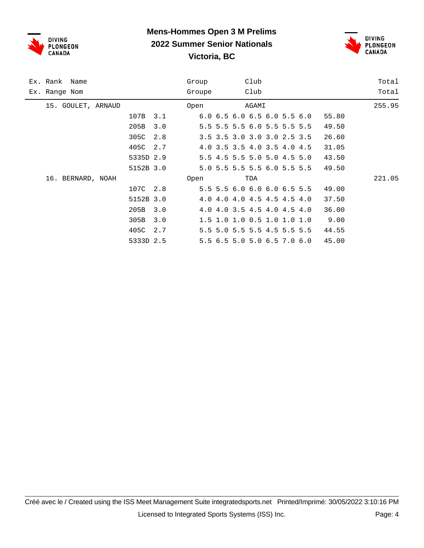



|               | Ex. Rank Name      |           |     | Group  |                             | Club  |  |       | Total  |
|---------------|--------------------|-----------|-----|--------|-----------------------------|-------|--|-------|--------|
| Ex. Range Nom |                    |           |     | Groupe |                             | Club  |  |       | Total  |
|               | 15. GOULET, ARNAUD |           |     | Open   |                             | AGAMI |  |       | 255.95 |
|               |                    | 107B      | 3.1 |        | 6.0 6.5 6.0 6.5 6.0 5.5 6.0 |       |  | 55.80 |        |
|               |                    | 205B      | 3.0 |        | 5.5 5.5 5.5 6.0 5.5 5.5 5.5 |       |  | 49.50 |        |
|               |                    | 305C      | 2.8 |        | 3.5 3.5 3.0 3.0 3.0 2.5 3.5 |       |  | 26.60 |        |
|               |                    | 405C      | 2.7 |        | 4.0 3.5 3.5 4.0 3.5 4.0 4.5 |       |  | 31.05 |        |
|               |                    | 5335D 2.9 |     |        | 5.5 4.5 5.5 5.0 5.0 4.5 5.0 |       |  | 43.50 |        |
|               |                    | 5152B 3.0 |     |        | 5.0 5.5 5.5 5.5 6.0 5.5 5.5 |       |  | 49.50 |        |
|               | 16. BERNARD, NOAH  |           |     | Open   |                             | TDA   |  |       | 221.05 |
|               |                    | 107C 2.8  |     |        | 5.5 5.5 6.0 6.0 6.0 6.5 5.5 |       |  | 49.00 |        |
|               |                    | 5152B 3.0 |     |        | 4.0 4.0 4.0 4.5 4.5 4.5 4.0 |       |  | 37.50 |        |
|               |                    | 205B      | 3.0 |        | 4.0 4.0 3.5 4.5 4.0 4.5 4.0 |       |  | 36.00 |        |
|               |                    | 305B      | 3.0 |        | 1.5 1.0 1.0 0.5 1.0 1.0 1.0 |       |  | 9.00  |        |
|               |                    | 405C      | 2.7 |        | 5.5 5.0 5.5 5.5 4.5 5.5 5.5 |       |  | 44.55 |        |
|               |                    | 5333D 2.5 |     |        | 5.5 6.5 5.0 5.0 6.5 7.0 6.0 |       |  | 45.00 |        |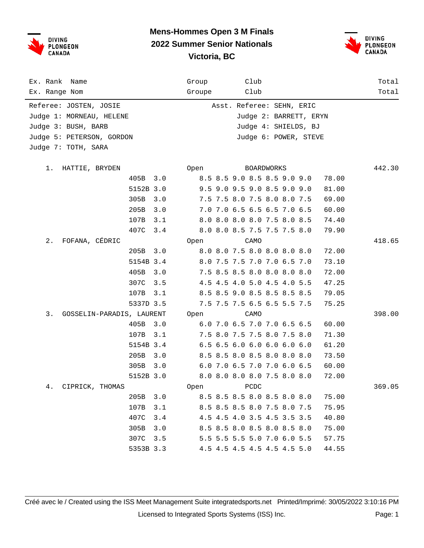



| Ex. Rank Name                   |           |                           | Group  |  |  | Club |                             |  |                       |       | Total  |
|---------------------------------|-----------|---------------------------|--------|--|--|------|-----------------------------|--|-----------------------|-------|--------|
| Ex. Range Nom                   |           |                           | Groupe |  |  | Club |                             |  |                       |       | Total  |
| Referee: JOSTEN, JOSIE          |           | Asst. Referee: SEHN, ERIC |        |  |  |      |                             |  |                       |       |        |
| Judge 1: MORNEAU, HELENE        |           |                           |        |  |  |      |                             |  |                       |       |        |
| Judge 3: BUSH, BARB             |           |                           |        |  |  |      |                             |  | Judge 4: SHIELDS, BJ  |       |        |
| Judge 5: PETERSON, GORDON       |           |                           |        |  |  |      |                             |  | Judge 6: POWER, STEVE |       |        |
| Judge 7: TOTH, SARA             |           |                           |        |  |  |      |                             |  |                       |       |        |
|                                 |           |                           |        |  |  |      |                             |  |                       |       |        |
| 1. HATTIE, BRYDEN               |           |                           | Open   |  |  |      | <b>BOARDWORKS</b>           |  |                       |       | 442.30 |
|                                 | 405B 3.0  |                           |        |  |  |      | 8.5 8.5 9.0 8.5 8.5 9.0 9.0 |  |                       | 78.00 |        |
|                                 | 5152B 3.0 |                           |        |  |  |      | 9.5 9.0 9.5 9.0 8.5 9.0 9.0 |  |                       | 81.00 |        |
|                                 | 305B      | 3.0                       |        |  |  |      | 7.5 7.5 8.0 7.5 8.0 8.0 7.5 |  |                       | 69.00 |        |
|                                 | 205B      | 3.0                       |        |  |  |      | 7.0 7.0 6.5 6.5 6.5 7.0 6.5 |  |                       | 60.00 |        |
|                                 | 107B      | 3.1                       |        |  |  |      | 8.0 8.0 8.0 8.0 7.5 8.0 8.5 |  |                       | 74.40 |        |
|                                 | 407C      | 3.4                       |        |  |  |      | 8.0 8.0 8.5 7.5 7.5 7.5 8.0 |  |                       | 79.90 |        |
| FOFANA, CÉDRIC<br>$2$ .         |           |                           | Open   |  |  | CAMO |                             |  |                       |       | 418.65 |
|                                 | 205B      | 3.0                       |        |  |  |      | 8.0 8.0 7.5 8.0 8.0 8.0 8.0 |  |                       | 72.00 |        |
|                                 | 5154B 3.4 |                           |        |  |  |      | 8.0 7.5 7.5 7.0 7.0 6.5 7.0 |  |                       | 73.10 |        |
|                                 | 405B      | 3.0                       |        |  |  |      | 7.5 8.5 8.5 8.0 8.0 8.0 8.0 |  |                       | 72.00 |        |
|                                 | 307C      | 3.5                       |        |  |  |      | 4.5 4.5 4.0 5.0 4.5 4.0 5.5 |  |                       | 47.25 |        |
|                                 | 107B      | 3.1                       |        |  |  |      | 8.5 8.5 9.0 8.5 8.5 8.5 8.5 |  |                       | 79.05 |        |
|                                 | 5337D 3.5 |                           |        |  |  |      | 7.5 7.5 7.5 6.5 6.5 5.5 7.5 |  |                       | 75.25 |        |
| 3.<br>GOSSELIN-PARADIS, LAURENT |           |                           | Open   |  |  | CAMO |                             |  |                       |       | 398.00 |
|                                 | 405B      | 3.0                       |        |  |  |      | 6.0 7.0 6.5 7.0 7.0 6.5 6.5 |  |                       | 60.00 |        |
|                                 | 107B      | 3.1                       |        |  |  |      | 7.5 8.0 7.5 7.5 8.0 7.5 8.0 |  |                       | 71.30 |        |
|                                 | 5154B 3.4 |                           |        |  |  |      | 6.5 6.5 6.0 6.0 6.0 6.0 6.0 |  |                       | 61.20 |        |
|                                 | 205B      | 3.0                       |        |  |  |      | 8.5 8.5 8.0 8.5 8.0 8.0 8.0 |  |                       | 73.50 |        |
|                                 | 305B      | 3.0                       |        |  |  |      | 6.0 7.0 6.5 7.0 7.0 6.0 6.5 |  |                       | 60.00 |        |
|                                 | 5152B 3.0 |                           |        |  |  |      | 8.0 8.0 8.0 8.0 7.5 8.0 8.0 |  |                       | 72.00 |        |
| CIPRICK, THOMAS<br>4.           |           |                           | Open   |  |  | PCDC |                             |  |                       |       | 369.05 |
|                                 | 205B      | 3.0                       |        |  |  |      | 8.5 8.5 8.5 8.0 8.5 8.0 8.0 |  |                       | 75.00 |        |
|                                 | 107B      | 3.1                       |        |  |  |      | 8.5 8.5 8.5 8.0 7.5 8.0 7.5 |  |                       | 75.95 |        |
|                                 | 407C      | 3.4                       |        |  |  |      | 4.5 4.5 4.0 3.5 4.5 3.5 3.5 |  |                       | 40.80 |        |
|                                 | 305B      | 3.0                       |        |  |  |      | 8.5 8.5 8.0 8.5 8.0 8.5 8.0 |  |                       | 75.00 |        |
|                                 | 307C      | 3.5                       |        |  |  |      | 5.5 5.5 5.5 5.0 7.0 6.0 5.5 |  |                       | 57.75 |        |
|                                 | 5353B 3.3 |                           |        |  |  |      | 4.5 4.5 4.5 4.5 4.5 4.5 5.0 |  |                       | 44.55 |        |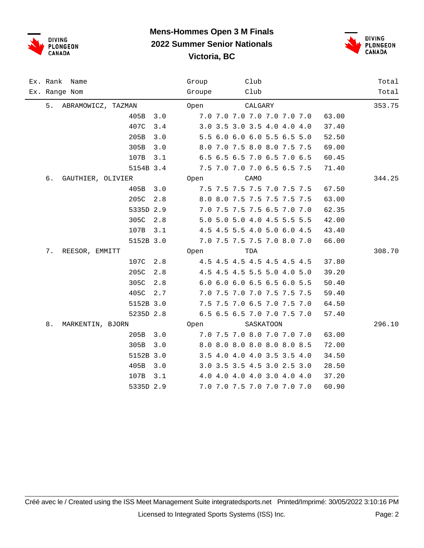



| Ex. Rank Name            | Group<br>Club                        | Total  |
|--------------------------|--------------------------------------|--------|
| Ex. Range Nom            | Club<br>Groupe                       | Total  |
| 5.<br>ABRAMOWICZ, TAZMAN | Open<br>CALGARY                      | 353.75 |
| 405B<br>3.0              | 7.0 7.0 7.0 7.0 7.0 7.0 7.0<br>63.00 |        |
| 407C<br>3.4              | 3.0 3.5 3.0 3.5 4.0 4.0 4.0<br>37.40 |        |
| 205B<br>3.0              | 5.5 6.0 6.0 6.0 5.5 6.5 5.0<br>52.50 |        |
| 305B<br>3.0              | 8.0 7.0 7.5 8.0 8.0 7.5 7.5<br>69.00 |        |
| 107B<br>3.1              | 6.5 6.5 6.5 7.0 6.5 7.0 6.5<br>60.45 |        |
| 5154B 3.4                | 7.5 7.0 7.0 7.0 6.5 6.5 7.5<br>71.40 |        |
| 6.<br>GAUTHIER, OLIVIER  | Open<br>CAMO                         | 344.25 |
| 3.0<br>405B              | 7.5 7.5 7.5 7.5 7.0 7.5 7.5<br>67.50 |        |
| 205C<br>2.8              | 8.0 8.0 7.5 7.5 7.5 7.5 7.5<br>63.00 |        |
| 5335D 2.9                | 7.0 7.5 7.5 7.5 6.5 7.0 7.0<br>62.35 |        |
| 305C<br>2.8              | 5.0 5.0 5.0 4.0 4.5 5.5 5.5<br>42.00 |        |
| 107B<br>3.1              | 4.5 4.5 5.5 4.0 5.0 6.0 4.5<br>43.40 |        |
| 5152B 3.0                | 7.0 7.5 7.5 7.5 7.0 8.0 7.0<br>66.00 |        |
| 7.<br>REESOR, EMMITT     | TDA<br>Open                          | 308.70 |
| 107C<br>2.8              | 4.5 4.5 4.5 4.5 4.5 4.5 4.5<br>37.80 |        |
| 205C<br>2.8              | 4.5 4.5 4.5 5.5 5.0 4.0 5.0<br>39.20 |        |
| 305C<br>2.8              | 6.0 6.0 6.0 6.5 6.5 6.0 5.5<br>50.40 |        |
| 405C<br>2.7              | 7.0 7.5 7.0 7.0 7.5 7.5 7.5<br>59.40 |        |
| 5152B 3.0                | 7.5 7.5 7.0 6.5 7.0 7.5 7.0<br>64.50 |        |
| 5235D 2.8                | 6.5 6.5 6.5 7.0 7.0 7.5 7.0<br>57.40 |        |
| 8.<br>MARKENTIN, BJORN   | SASKATOON<br>Open                    | 296.10 |
| 205B<br>3.0              | 7.0 7.5 7.0 8.0 7.0 7.0 7.0<br>63.00 |        |
| 305B<br>3.0              | 8.0 8.0 8.0 8.0 8.0 8.0 8.5<br>72.00 |        |
| 5152B 3.0                | 3.5 4.0 4.0 4.0 3.5 3.5 4.0<br>34.50 |        |
| 405B<br>3.0              | 3.0 3.5 3.5 4.5 3.0 2.5 3.0<br>28.50 |        |
| 107B<br>3.1              | 37.20<br>4.0 4.0 4.0 4.0 3.0 4.0 4.0 |        |
| 5335D 2.9                | 7.0 7.0 7.5 7.0 7.0 7.0 7.0<br>60.90 |        |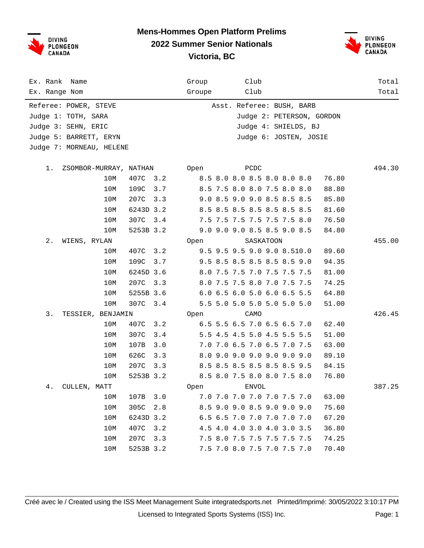



| Ex. Rank<br>Name             |             | Club<br>Group                        | Total  |
|------------------------------|-------------|--------------------------------------|--------|
| Ex. Range Nom                |             | Club<br>Groupe                       | Total  |
| Referee: POWER, STEVE        |             | Asst. Referee: BUSH, BARB            |        |
| Judge 1: TOTH, SARA          |             | Judge 2: PETERSON, GORDON            |        |
| Judge 3: SEHN, ERIC          |             | Judge 4: SHIELDS, BJ                 |        |
| Judge 5: BARRETT, ERYN       |             | Judge 6: JOSTEN, JOSIE               |        |
| Judge 7: MORNEAU, HELENE     |             |                                      |        |
|                              |             |                                      |        |
| 1.<br>ZSOMBOR-MURRAY, NATHAN |             | PCDC<br>Open                         | 494.30 |
| 10M                          | 407C<br>3.2 | 8.5 8.0 8.0 8.5 8.0 8.0 8.0<br>76.80 |        |
| 10M                          | 109C<br>3.7 | 8.5 7.5 8.0 8.0 7.5 8.0 8.0<br>88.80 |        |
| 10M                          | 207C<br>3.3 | 9.0 8.5 9.0 9.0 8.5 8.5 8.5<br>85.80 |        |
| 10M                          | 6243D 3.2   | 8.5 8.5 8.5 8.5 8.5 8.5 8.5<br>81.60 |        |
| 10M                          | 307C<br>3.4 | 7.5 7.5 7.5 7.5 7.5 7.5 8.0<br>76.50 |        |
| 10M                          | 5253B 3.2   | 9.0 9.0 9.0 8.5 8.5 9.0 8.5<br>84.80 |        |
| 2.<br>WIENS, RYLAN           |             | SASKATOON<br>0pen                    | 455.00 |
| 10M                          | 3.2<br>407C | 9.5 9.5 9.5 9.0 9.0 8.510.0<br>89.60 |        |
| 10M                          | 109C<br>3.7 | 9.5 8.5 8.5 8.5 8.5 8.5 9.0<br>94.35 |        |
| 10M                          | 6245D 3.6   | 8.0 7.5 7.5 7.0 7.5 7.5 7.5<br>81.00 |        |
| 10M                          | 207C<br>3.3 | 8.0 7.5 7.5 8.0 7.0 7.5 7.5<br>74.25 |        |
| 10M                          | 5255B 3.6   | 6.0 6.5 6.0 5.0 6.0 6.5 5.5<br>64.80 |        |
| 10M                          | 307C<br>3.4 | 5.5 5.0 5.0 5.0 5.0 5.0 5.0<br>51.00 |        |
| 3.<br>TESSIER, BENJAMIN      |             | 0pen<br>CAMO                         | 426.45 |
| 10M                          | 407C<br>3.2 | 6.5 5.5 6.5 7.0 6.5 6.5 7.0<br>62.40 |        |
| 10M                          | 307C<br>3.4 | 5.5 4.5 4.5 5.0 4.5 5.5 5.5<br>51.00 |        |
| 10M                          | 107B<br>3.0 | 7.0 7.0 6.5 7.0 6.5 7.0 7.5<br>63.00 |        |
| 10M                          | 626C<br>3.3 | 8.0 9.0 9.0 9.0 9.0 9.0 9.0<br>89.10 |        |
| 10M                          | 207C<br>3.3 | 8.5 8.5 8.5 8.5 8.5 8.5 9.5<br>84.15 |        |
| 10M                          | 5253B 3.2   | 8.5 8.0 7.5 8.0 8.0 7.5 8.0<br>76.80 |        |
| 4.<br>CULLEN, MATT           |             | ENVOL<br>Open                        | 387.25 |
| 10M                          | 107B<br>3.0 | 7.0 7.0 7.0 7.0 7.0 7.5 7.0<br>63.00 |        |
| 10M                          | 305C<br>2.8 | 8.5 9.0 9.0 8.5 9.0 9.0 9.0<br>75.60 |        |
| 10M                          | 6243D 3.2   | 6.5 6.5 7.0 7.0 7.0 7.0 7.0<br>67.20 |        |
| 10M                          | 407C<br>3.2 | 4.5 4.0 4.0 3.0 4.0 3.0 3.5<br>36.80 |        |
| 10M                          | 207C<br>3.3 | 7.5 8.0 7.5 7.5 7.5 7.5 7.5<br>74.25 |        |
| 10M                          | 5253B 3.2   | 7.5 7.0 8.0 7.5 7.0 7.5 7.0<br>70.40 |        |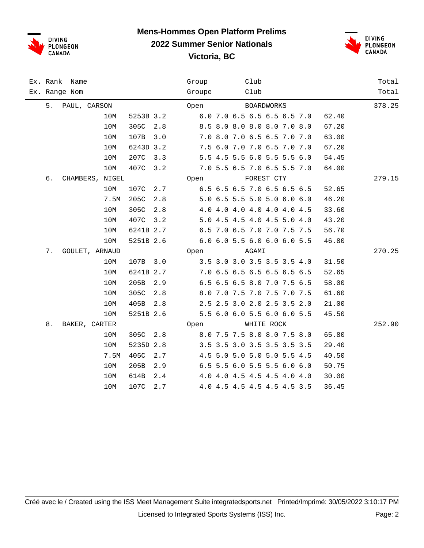



|    | Ex. Rank Name   |      |           |     | Group  |  | Club  |                   |                             |       | Total  |
|----|-----------------|------|-----------|-----|--------|--|-------|-------------------|-----------------------------|-------|--------|
|    | Ex. Range Nom   |      |           |     | Groupe |  | Club  |                   |                             |       | Total  |
| 5. | PAUL, CARSON    |      |           |     | Open   |  |       | <b>BOARDWORKS</b> |                             |       | 378.25 |
|    |                 | 10M  | 5253B 3.2 |     |        |  |       |                   | 6.0 7.0 6.5 6.5 6.5 6.5 7.0 | 62.40 |        |
|    |                 | 10M  | 305C      | 2.8 |        |  |       |                   | 8.5 8.0 8.0 8.0 8.0 7.0 8.0 | 67.20 |        |
|    |                 | 10M  | 107B      | 3.0 |        |  |       |                   | 7.0 8.0 7.0 6.5 6.5 7.0 7.0 | 63.00 |        |
|    |                 | 10M  | 6243D 3.2 |     |        |  |       |                   | 7.5 6.0 7.0 7.0 6.5 7.0 7.0 | 67.20 |        |
|    |                 | 10M  | 207C      | 3.3 |        |  |       |                   | 5.5 4.5 5.5 6.0 5.5 5.5 6.0 | 54.45 |        |
|    |                 | 10M  | 407C      | 3.2 |        |  |       |                   | 7.0 5.5 6.5 7.0 6.5 5.5 7.0 | 64.00 |        |
| 6. | CHAMBERS, NIGEL |      |           |     | Open   |  |       | FOREST CTY        |                             |       | 279.15 |
|    |                 | 10M  | 107C      | 2.7 |        |  |       |                   | 6.5 6.5 6.5 7.0 6.5 6.5 6.5 | 52.65 |        |
|    |                 | 7.5M | 205C      | 2.8 |        |  |       |                   | 5.0 6.5 5.5 5.0 5.0 6.0 6.0 | 46.20 |        |
|    |                 | 10M  | 305C      | 2.8 |        |  |       |                   | 4.0 4.0 4.0 4.0 4.0 4.0 4.5 | 33.60 |        |
|    |                 | 10M  | 407C      | 3.2 |        |  |       |                   | 5.0 4.5 4.5 4.0 4.5 5.0 4.0 | 43.20 |        |
|    |                 | 10M  | 6241B 2.7 |     |        |  |       |                   | 6.5 7.0 6.5 7.0 7.0 7.5 7.5 | 56.70 |        |
|    |                 | 10M  | 5251B 2.6 |     |        |  |       |                   | 6.0 6.0 5.5 6.0 6.0 6.0 5.5 | 46.80 |        |
| 7. | GOULET, ARNAUD  |      |           |     | Open   |  | AGAMI |                   |                             |       | 270.25 |
|    |                 | 10M  | 107B      | 3.0 |        |  |       |                   | 3.5 3.0 3.0 3.5 3.5 3.5 4.0 | 31.50 |        |
|    |                 | 10M  | 6241B 2.7 |     |        |  |       |                   | 7.0 6.5 6.5 6.5 6.5 6.5 6.5 | 52.65 |        |
|    |                 | 10M  | 205B      | 2.9 |        |  |       |                   | 6.5 6.5 6.5 8.0 7.0 7.5 6.5 | 58.00 |        |
|    |                 | 10M  | 305C      | 2.8 |        |  |       |                   | 8.0 7.0 7.5 7.0 7.5 7.0 7.5 | 61.60 |        |
|    |                 | 10M  | 405B      | 2.8 |        |  |       |                   | 2.5 2.5 3.0 2.0 2.5 3.5 2.0 | 21.00 |        |
|    |                 | 10M  | 5251B 2.6 |     |        |  |       |                   | 5.5 6.0 6.0 5.5 6.0 6.0 5.5 | 45.50 |        |
| 8. | BAKER, CARTER   |      |           |     | Open   |  |       | WHITE ROCK        |                             |       | 252.90 |
|    |                 | 10M  | 305C      | 2.8 |        |  |       |                   | 8.0 7.5 7.5 8.0 8.0 7.5 8.0 | 65.80 |        |
|    |                 | 10M  | 5235D 2.8 |     |        |  |       |                   | 3.5 3.5 3.0 3.5 3.5 3.5 3.5 | 29.40 |        |
|    |                 | 7.5M | 405C      | 2.7 |        |  |       |                   | 4.5 5.0 5.0 5.0 5.0 5.5 4.5 | 40.50 |        |
|    |                 | 10M  | 205B      | 2.9 |        |  |       |                   | 6.5 5.5 6.0 5.5 5.5 6.0 6.0 | 50.75 |        |
|    |                 | 10M  | 614B      | 2.4 |        |  |       |                   | 4.0 4.0 4.5 4.5 4.5 4.0 4.0 | 30.00 |        |
|    |                 | 10M  | 107C      | 2.7 |        |  |       |                   | 4.0 4.5 4.5 4.5 4.5 4.5 3.5 | 36.45 |        |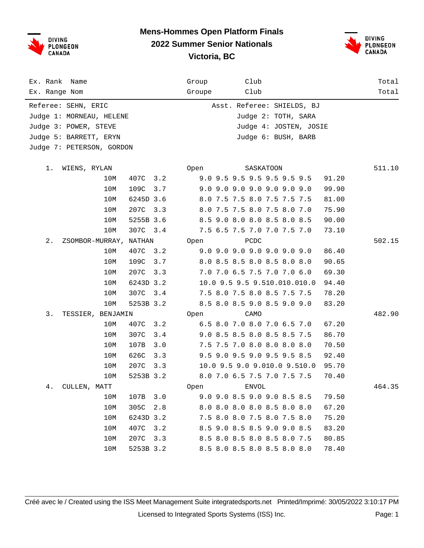

#### **Mens-Hommes Open Platform Finals 2022 Summer Senior Nationals Victoria, BC**



| Ex. Rank Name                | Club<br>Group                       | Total  |
|------------------------------|-------------------------------------|--------|
| Ex. Range Nom                | Club<br>Groupe                      | Total  |
| Referee: SEHN, ERIC          | Asst. Referee: SHIELDS, BJ          |        |
| Judge 1: MORNEAU, HELENE     | Judge 2: TOTH, SARA                 |        |
| Judge 3: POWER, STEVE        | Judge 4: JOSTEN, JOSIE              |        |
| Judge 5: BARRETT, ERYN       | Judge 6: BUSH, BARB                 |        |
| Judge 7: PETERSON, GORDON    |                                     |        |
|                              |                                     |        |
| 1.<br>WIENS, RYLAN           | SASKATOON<br>Open                   | 511.10 |
| 10M<br>407C<br>3.2           | 9.0 9.5 9.5 9.5 9.5 9.5 9.5         | 91.20  |
| 10M<br>109C                  | 3.7<br>9.0 9.0 9.0 9.0 9.0 9.0 9.0  | 99.90  |
| 6245D 3.6<br>10M             | 8.0 7.5 7.5 8.0 7.5 7.5 7.5         | 81.00  |
| 10M<br>207C                  | 3.3<br>8.0 7.5 7.5 8.0 7.5 8.0 7.0  | 75.90  |
| 10M<br>5255B 3.6             | 8.5 9.0 8.0 8.0 8.5 8.0 8.5         | 90.00  |
| 10M<br>307C<br>3.4           | 7.5 6.5 7.5 7.0 7.0 7.5 7.0         | 73.10  |
| 2.<br>ZSOMBOR-MURRAY, NATHAN | PCDC<br>Open                        | 502.15 |
| 407C<br>10M                  | 3.2<br>9.0 9.0 9.0 9.0 9.0 9.0 9.0  | 86.40  |
| 10M<br>109C                  | 3.7<br>8.0 8.5 8.5 8.0 8.5 8.0 8.0  | 90.65  |
| 10M<br>207C                  | 7.0 7.0 6.5 7.5 7.0 7.0 6.0<br>3.3  | 69.30  |
| 6243D 3.2<br>10M             | 10.0 9.5 9.5 9.510.010.010.0        | 94.40  |
| 307C<br>10M                  | 7.5 8.0 7.5 8.0 8.5 7.5 7.5<br>3.4  | 78.20  |
| 10M<br>5253B 3.2             | 8.5 8.0 8.5 9.0 8.5 9.0 9.0         | 83.20  |
| 3.<br>TESSIER, BENJAMIN      | Open<br>CAMO                        | 482.90 |
| 10M<br>407C                  | 6.5 8.0 7.0 8.0 7.0 6.5 7.0<br>3.2  | 67.20  |
| 10M<br>307C                  | 9.0 8.5 8.5 8.0 8.5 8.5 7.5<br>3.4  | 86.70  |
| 10M<br>107B                  | 3.0<br>7.5 7.5 7.0 8.0 8.0 8.0 8.0  | 70.50  |
| 10M<br>626C                  | 3.3<br>9.5 9.0 9.5 9.0 9.5 9.5 8.5  | 92.40  |
| 207C<br>10M                  | 3.3<br>10.0 9.5 9.0 9.010.0 9.510.0 | 95.70  |
| 10M<br>5253B 3.2             | 8.0 7.0 6.5 7.5 7.0 7.5 7.5         | 70.40  |
| 4.<br>CULLEN, MATT           | <b>ENVOL</b><br>Open                | 464.35 |
| 10M<br>107B                  | 9.0 9.0 8.5 9.0 9.0 8.5 8.5<br>3.0  | 79.50  |
| 305C<br>10M                  | 2.8<br>8.0 8.0 8.0 8.0 8.5 8.0 8.0  | 67.20  |
| 6243D 3.2<br>10M             | 7.5 8.0 8.0 7.5 8.0 7.5 8.0         | 75.20  |
| 10M<br>407C                  | 8.5 9.0 8.5 8.5 9.0 9.0 8.5<br>3.2  | 83.20  |
| 207C<br>10M                  | 8.5 8.0 8.5 8.0 8.5 8.0 7.5<br>3.3  | 80.85  |
| 10M<br>5253B 3.2             | 8.5 8.0 8.5 8.0 8.5 8.0 8.0         | 78.40  |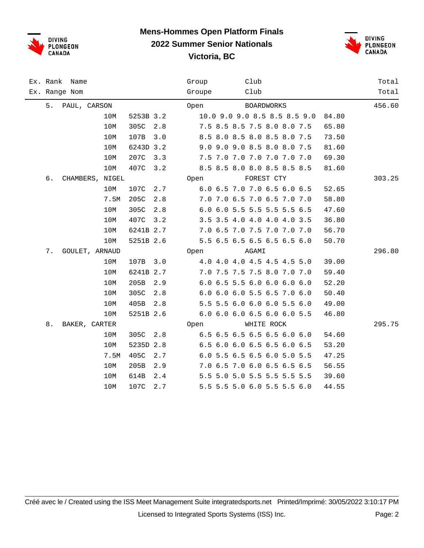

#### **Mens-Hommes Open Platform Finals 2022 Summer Senior Nationals Victoria, BC**



| Ex. Rank Name         | Club<br>Group                         | Total  |
|-----------------------|---------------------------------------|--------|
| Ex. Range Nom         | Groupe<br>Club                        | Total  |
| 5. PAUL, CARSON       | <b>BOARDWORKS</b><br>Open             | 456.60 |
| 10M<br>5253B 3.2      | 10.0 9.0 9.0 8.5 8.5 8.5 9.0<br>84.80 |        |
| 10M<br>305C<br>2.8    | 7.5 8.5 8.5 7.5 8.0 8.0 7.5<br>65.80  |        |
| 10M<br>107B<br>3.0    | 8.5 8.0 8.5 8.0 8.5 8.0 7.5<br>73.50  |        |
| 6243D 3.2<br>10M      | 9.0 9.0 9.0 8.5 8.0 8.0 7.5<br>81.60  |        |
| 10M<br>207C<br>3.3    | 7.5 7.0 7.0 7.0 7.0 7.0 7.0<br>69.30  |        |
| 10M<br>407C<br>3.2    | 8.5 8.5 8.0 8.0 8.5 8.5 8.5<br>81.60  |        |
| б.<br>CHAMBERS, NIGEL | FOREST CTY<br>Open                    | 303.25 |
| 10M<br>107C<br>2.7    | 6.0 6.5 7.0 7.0 6.5 6.0 6.5<br>52.65  |        |
| 7.5M<br>205C<br>2.8   | 7.0 7.0 6.5 7.0 6.5 7.0 7.0<br>58.80  |        |
| 10M<br>305C<br>2.8    | 6.0 6.0 5.5 5.5 5.5 5.5 6.5<br>47.60  |        |
| 407C<br>10M<br>3.2    | 3.5 3.5 4.0 4.0 4.0 4.0 3.5<br>36.80  |        |
| 10M<br>6241B 2.7      | 7.0 6.5 7.0 7.5 7.0 7.0 7.0<br>56.70  |        |
| 10M<br>5251B 2.6      | 5.5 6.5 6.5 6.5 6.5 6.5 6.0<br>50.70  |        |
| 7.<br>GOULET, ARNAUD  | AGAMI<br>Open                         | 296.80 |
| 10M<br>107B<br>3.0    | 4.0 4.0 4.0 4.5 4.5 4.5 5.0<br>39.00  |        |
| 10M<br>6241B 2.7      | 7.0 7.5 7.5 7.5 8.0 7.0 7.0<br>59.40  |        |
| 10M<br>205B<br>2.9    | 6.0 6.5 5.5 6.0 6.0 6.0 6.0<br>52.20  |        |
| 10M<br>305C<br>2.8    | 6.0 6.0 6.0 5.5 6.5 7.0 6.0<br>50.40  |        |
| 10M<br>405B<br>2.8    | 5.5 5.5 6.0 6.0 6.0 5.5 6.0<br>49.00  |        |
| 5251B 2.6<br>10M      | 6.0 6.0 6.0 6.5 6.0 6.0 5.5<br>46.80  |        |
| 8.<br>BAKER, CARTER   | WHITE ROCK<br>Open                    | 295.75 |
| 305C<br>10M<br>2.8    | 6.5 6.5 6.5 6.5 6.5 6.0 6.0<br>54.60  |        |
| 10M<br>5235D 2.8      | 6.5 6.0 6.0 6.5 6.5 6.0 6.5<br>53.20  |        |
| 7.5M<br>405C<br>2.7   | 6.0 5.5 6.5 6.5 6.0 5.0 5.5<br>47.25  |        |
| 10M<br>205B<br>2.9    | 7.0 6.5 7.0 6.0 6.5 6.5 6.5<br>56.55  |        |
| 10M<br>614B<br>2.4    | 5.5 5.0 5.0 5.5 5.5 5.5 5.5<br>39.60  |        |
| 107C<br>2.7<br>10M    | 5.5 5.5 5.0 6.0 5.5 5.5 6.0<br>44.55  |        |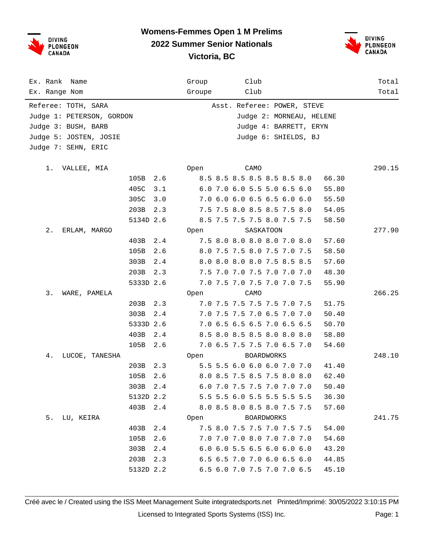

#### **Womens-Femmes Open 1 M Prelims 2022 Summer Senior Nationals**



**Victoria, BC**

| Ex. Rank<br>Name          |           |     | Group                       |                             | Club |                   |                             |       | Total  |
|---------------------------|-----------|-----|-----------------------------|-----------------------------|------|-------------------|-----------------------------|-------|--------|
| Ex. Range Nom             |           |     | Groupe                      |                             | Club |                   |                             |       | Total  |
| Referee: TOTH, SARA       |           |     |                             |                             |      |                   | Asst. Referee: POWER, STEVE |       |        |
| Judge 1: PETERSON, GORDON |           |     |                             |                             |      |                   | Judge 2: MORNEAU, HELENE    |       |        |
| Judge 3: BUSH, BARB       |           |     |                             |                             |      |                   | Judge 4: BARRETT, ERYN      |       |        |
| Judge 5: JOSTEN, JOSIE    |           |     |                             |                             |      |                   | Judge 6: SHIELDS, BJ        |       |        |
| Judge 7: SEHN, ERIC       |           |     |                             |                             |      |                   |                             |       |        |
|                           |           |     |                             |                             | CAMO |                   |                             |       | 290.15 |
| 1.<br>VALLEE, MIA         | 105B      | 2.6 | Open                        | 8.5 8.5 8.5 8.5 8.5 8.5 8.0 |      |                   |                             | 66.30 |        |
|                           | 405C      | 3.1 |                             | 6.0 7.0 6.0 5.5 5.0 6.5 6.0 |      |                   |                             | 55.80 |        |
|                           | 305C      | 3.0 |                             | 7.0 6.0 6.0 6.5 6.5 6.0 6.0 |      |                   |                             | 55.50 |        |
|                           | 203B      | 2.3 |                             | 7.5 7.5 8.0 8.5 8.5 7.5 8.0 |      |                   |                             | 54.05 |        |
|                           | 5134D 2.6 |     |                             | 8.5 7.5 7.5 7.5 8.0 7.5 7.5 |      |                   |                             | 58.50 |        |
| 2.<br>ERLAM, MARGO        |           |     | 0pen                        |                             |      | SASKATOON         |                             |       | 277.90 |
|                           | 403B      | 2.4 |                             | 7.5 8.0 8.0 8.0 8.0 7.0 8.0 |      |                   |                             | 57.60 |        |
|                           | 105B      | 2.6 |                             | 8.0 7.5 7.5 8.0 7.5 7.0 7.5 |      |                   |                             | 58.50 |        |
|                           | 303B      | 2.4 |                             | 8.0 8.0 8.0 8.0 7.5 8.5 8.5 |      |                   |                             | 57.60 |        |
|                           | 203B      | 2.3 |                             | 7.5 7.0 7.0 7.5 7.0 7.0 7.0 |      |                   |                             | 48.30 |        |
|                           | 5333D 2.6 |     |                             | 7.0 7.5 7.0 7.5 7.0 7.0 7.5 |      |                   |                             | 55.90 |        |
| 3.<br>WARE, PAMELA        |           |     | Open                        |                             | CAMO |                   |                             |       | 266.25 |
|                           | 203B      | 2.3 |                             | 7.0 7.5 7.5 7.5 7.5 7.0 7.5 |      |                   |                             | 51.75 |        |
|                           | 303B      | 2.4 |                             | 7.0 7.5 7.5 7.0 6.5 7.0 7.0 |      |                   |                             | 50.40 |        |
|                           | 5333D 2.6 |     |                             | 7.0 6.5 6.5 6.5 7.0 6.5 6.5 |      |                   |                             | 50.70 |        |
|                           | 403B      | 2.4 |                             | 8.5 8.0 8.5 8.5 8.0 8.0 8.0 |      |                   |                             | 58.80 |        |
|                           | 105B      | 2.6 |                             | 7.0 6.5 7.5 7.5 7.0 6.5 7.0 |      |                   |                             | 54.60 |        |
| 4.<br>LUCOE, TANESHA      |           |     | Open                        |                             |      | <b>BOARDWORKS</b> |                             |       | 248.10 |
|                           | 203B      | 2.3 |                             | 5.5 5.5 6.0 6.0 6.0 7.0 7.0 |      |                   |                             | 41.40 |        |
|                           | 105B      | 2.6 |                             | 8.0 8.5 7.5 8.5 7.5 8.0 8.0 |      |                   |                             | 62.40 |        |
|                           | 303B      | 2.4 |                             | 6.0 7.0 7.5 7.5 7.0 7.0 7.0 |      |                   |                             | 50.40 |        |
|                           | 5132D 2.2 |     |                             | 5.5 5.5 6.0 5.5 5.5 5.5 5.5 |      |                   |                             | 36.30 |        |
|                           | 403B 2.4  |     | 8.0 8.5 8.0 8.5 8.0 7.5 7.5 |                             |      |                   |                             | 57.60 |        |
| 5. LU, KEIRA              |           |     | Open BOARDWORKS             |                             |      |                   |                             |       | 241.75 |
|                           | 403B      | 2.4 |                             | 7.5 8.0 7.5 7.5 7.0 7.5 7.5 |      |                   |                             | 54.00 |        |
|                           | 105B      | 2.6 |                             | 7.0 7.0 7.0 8.0 7.0 7.0 7.0 |      |                   |                             | 54.60 |        |
|                           | 303B      | 2.4 |                             | 6.0 6.0 5.5 6.5 6.0 6.0 6.0 |      |                   |                             | 43.20 |        |
|                           | 203B      | 2.3 |                             | 6.5 6.5 7.0 7.0 6.0 6.5 6.0 |      |                   |                             | 44.85 |        |
|                           | 5132D 2.2 |     |                             | 6.5 6.0 7.0 7.5 7.0 7.0 6.5 |      |                   |                             | 45.10 |        |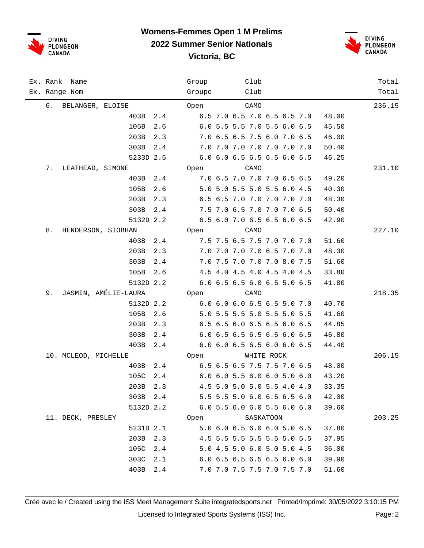

## **Womens-Femmes Open 1 M Prelims**

**2022 Summer Senior Nationals**

**Victoria, BC**



| Ex. Rank Name              | Club<br>Group                        | Total  |
|----------------------------|--------------------------------------|--------|
| Ex. Range Nom              | Groupe<br>Club                       | Total  |
| 6. BELANGER, ELOISE        | CAMO<br>Open                         | 236.15 |
| 403B<br>2.4                | 6.5 7.0 6.5 7.0 6.5 6.5 7.0<br>48.00 |        |
| 105B<br>2.6                | 6.0 5.5 5.5 7.0 5.5 6.0 6.5<br>45.50 |        |
| 203B<br>2.3                | 7.0 6.5 6.5 7.5 6.0 7.0 6.5<br>46.00 |        |
| 303B<br>2.4                | 7.0 7.0 7.0 7.0 7.0 7.0 7.0<br>50.40 |        |
| 5233D 2.5                  | 6.0 6.0 6.5 6.5 6.5 6.0 5.5<br>46.25 |        |
| 7.<br>LEATHEAD, SIMONE     | Open<br>CAMO                         | 231.10 |
| 403B<br>2.4                | 7.0 6.5 7.0 7.0 7.0 6.5 6.5<br>49.20 |        |
| 105B<br>2.6                | 5.0 5.0 5.5 5.0 5.5 6.0 4.5<br>40.30 |        |
| 203B<br>2.3                | 6.5 6.5 7.0 7.0 7.0 7.0 7.0<br>48.30 |        |
| 303B<br>2.4                | 7.5 7.0 6.5 7.0 7.0 7.0 6.5<br>50.40 |        |
| 5132D 2.2                  | 6.5 6.0 7.0 6.5 6.5 6.0 6.5<br>42.90 |        |
| 8.<br>HENDERSON, SIOBHAN   | CAMO<br>Open                         | 227.10 |
| 403B<br>2.4                | 7.5 7.5 6.5 7.5 7.0 7.0 7.0<br>51.60 |        |
| 203B<br>2.3                | 7.0 7.0 7.0 7.0 6.5 7.0 7.0<br>48.30 |        |
| 303B<br>2.4                | 7.0 7.5 7.0 7.0 7.0 8.0 7.5<br>51.60 |        |
| 105B<br>2.6                | 4.5 4.0 4.5 4.0 4.5 4.0 4.5<br>33.80 |        |
| 5132D 2.2                  | 6.0 6.5 6.5 6.0 6.5 5.0 6.5<br>41.80 |        |
| JASMIN, AMÉLIE-LAURA<br>9. | Open<br>CAMO                         | 218.35 |
| 5132D 2.2                  | 6.0 6.0 6.0 6.5 6.5 5.0 7.0<br>40.70 |        |
| 105B<br>2.6                | 5.0 5.5 5.5 5.0 5.5 5.0 5.5<br>41.60 |        |
| 203B<br>2.3                | 6.5 6.5 6.0 6.5 6.5 6.0 6.5<br>44.85 |        |
| 303B<br>2.4                | 6.0 6.5 6.5 6.5 6.5 6.0 6.5<br>46.80 |        |
| 403B<br>2.4                | 6.0 6.0 6.5 6.5 6.0 6.0 6.5<br>44.40 |        |
| 10. MCLEOD, MICHELLE       | WHITE ROCK<br>Open                   | 206.15 |
| 403B<br>2.4                | 6.5 6.5 6.5 7.5 7.5 7.0 6.5<br>48.00 |        |
| 105C<br>2.4                | 6.0 6.0 5.5 6.0 6.0 5.0 6.0<br>43.20 |        |
| 203B 2.3                   | 4.5 5.0 5.0 5.0 5.5 4.0 4.0<br>33.35 |        |
| 303B 2.4                   | 5.5 5.5 5.0 6.0 6.5 6.5 6.0<br>42.00 |        |
| 5132D 2.2                  | 6.0 5.5 6.0 6.0 5.5 6.0 6.0<br>39.60 |        |
| 11. DECK, PRESLEY          | SASKATOON<br>Open                    | 203.25 |
| 5231D 2.1                  | 5.0 6.0 6.5 6.0 6.0 5.0 6.5<br>37.80 |        |
| 203B<br>2.3                | 4.5 5.5 5.5 5.5 5.5 5.0 5.5<br>37.95 |        |
| 105C<br>2.4                | 5.0 4.5 5.0 6.0 5.0 5.0 4.5<br>36.00 |        |
| 303C<br>2.1                | 6.0 6.5 6.5 6.5 6.5 6.0 6.0<br>39.90 |        |
| 403B<br>2.4                | 7.0 7.0 7.5 7.5 7.0 7.5 7.0<br>51.60 |        |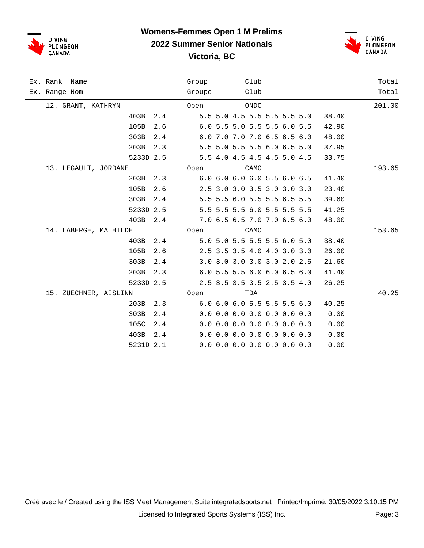

#### **Womens-Femmes Open 1 M Prelims 2022 Summer Senior Nationals**

**Victoria, BC**





| Ex. Rank Name         |             | Group  | Club                          |       | Total  |
|-----------------------|-------------|--------|-------------------------------|-------|--------|
| Ex. Range Nom         |             | Groupe | Club                          |       | Total  |
| 12. GRANT, KATHRYN    |             | Open   | ONDC                          |       | 201.00 |
|                       | 403B<br>2.4 |        | 5.5 5.0 4.5 5.5 5.5 5.5 5.0   | 38.40 |        |
|                       | 105B<br>2.6 |        | 6.0 5.5 5.0 5.5 5.5 6.0 5.5   | 42.90 |        |
|                       | 303B<br>2.4 |        | 6.0 7.0 7.0 7.0 6.5 6.5 6.0   | 48.00 |        |
|                       | 203B<br>2.3 |        | 5.5 5.0 5.5 5.5 6.0 6.5 5.0   | 37.95 |        |
|                       | 5233D 2.5   |        | 5.5 4.0 4.5 4.5 4.5 5.0 4.5   | 33.75 |        |
| 13. LEGAULT, JORDANE  |             |        | Open<br>CAMO                  |       | 193.65 |
|                       | 203B<br>2.3 |        | 6.0 6.0 6.0 6.0 5.5 6.0 6.5   | 41.40 |        |
|                       | 105B<br>2.6 |        | 2.5 3.0 3.0 3.5 3.0 3.0 3.0   | 23.40 |        |
|                       | 303B<br>2.4 |        | 5.5 5.5 6.0 5.5 5.5 6.5 5.5   | 39.60 |        |
|                       | 5233D 2.5   |        | 5.5 5.5 5.5 6.0 5.5 5.5 5.5   | 41.25 |        |
|                       | 403B<br>2.4 |        | 7.0 6.5 6.5 7.0 7.0 6.5 6.0   | 48.00 |        |
| 14. LABERGE, MATHILDE |             |        | Open<br>CAMO                  |       | 153.65 |
|                       | 403B 2.4    |        | 5.0 5.0 5.5 5.5 5.5 6.0 5.0   | 38.40 |        |
|                       | 105B<br>2.6 |        | 2.5 3.5 3.5 4.0 4.0 3.0 3.0   | 26.00 |        |
|                       | 303B<br>2.4 |        | 3.0 3.0 3.0 3.0 3.0 2.0 2.5   | 21.60 |        |
|                       | 203B<br>2.3 |        | 6.0 5.5 5.5 6.0 6.0 6.5 6.0   | 41.40 |        |
|                       | 5233D 2.5   |        | 2.5 3.5 3.5 3.5 2.5 3.5 4.0   | 26.25 |        |
| 15. ZUECHNER, AISLINN |             |        | <b>Open</b><br>TDA            |       | 40.25  |
|                       | 203B<br>2.3 |        | 6.0 6.0 6.0 5.5 5.5 5.5 6.0   | 40.25 |        |
|                       | 303B<br>2.4 |        | $0.0$ 0.0 0.0 0.0 0.0 0.0 0.0 | 0.00  |        |
|                       | 105C<br>2.4 |        | $0.0$ 0.0 0.0 0.0 0.0 0.0 0.0 | 0.00  |        |
|                       | 403B<br>2.4 |        | $0.0$ 0.0 0.0 0.0 0.0 0.0 0.0 | 0.00  |        |
|                       | 5231D 2.1   |        | $0.0$ 0.0 0.0 0.0 0.0 0.0 0.0 | 0.00  |        |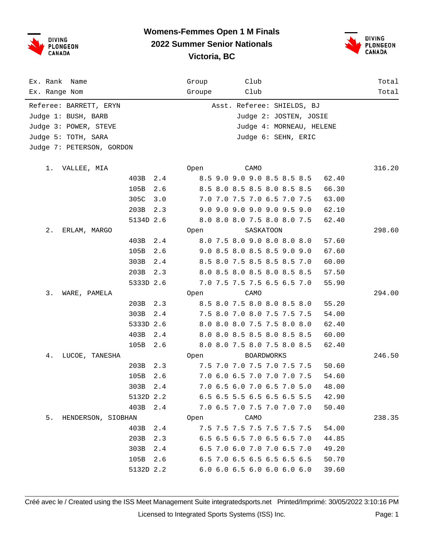

#### **Womens-Femmes Open 1 M Finals 2022 Summer Senior Nationals Victoria, BC**



| Ex. Rank Name<br>Ex. Range Nom |           |     | Group<br>Groupe |                             | Club<br>Club |            |                            |       | Total<br>Total |
|--------------------------------|-----------|-----|-----------------|-----------------------------|--------------|------------|----------------------------|-------|----------------|
|                                |           |     |                 |                             |              |            |                            |       |                |
| Referee: BARRETT, ERYN         |           |     |                 |                             |              |            | Asst. Referee: SHIELDS, BJ |       |                |
| Judge 1: BUSH, BARB            |           |     |                 |                             |              |            | Judge 2: JOSTEN, JOSIE     |       |                |
| Judge 3: POWER, STEVE          |           |     |                 |                             |              |            | Judge 4: MORNEAU, HELENE   |       |                |
| Judge 5: TOTH, SARA            |           |     |                 |                             |              |            | Judge 6: SEHN, ERIC        |       |                |
| Judge 7: PETERSON, GORDON      |           |     |                 |                             |              |            |                            |       |                |
| 1.<br>VALLEE, MIA              |           |     | Open            |                             | CAMO         |            |                            |       | 316.20         |
|                                | 403B      | 2.4 |                 | 8.5 9.0 9.0 9.0 8.5 8.5 8.5 |              |            |                            | 62.40 |                |
|                                | 105B      | 2.6 |                 | 8.5 8.0 8.5 8.5 8.0 8.5 8.5 |              |            |                            | 66.30 |                |
|                                | 305C      | 3.0 |                 | 7.0 7.0 7.5 7.0 6.5 7.0 7.5 |              |            |                            | 63.00 |                |
|                                | 203B      | 2.3 |                 | 9.0 9.0 9.0 9.0 9.0 9.5 9.0 |              |            |                            | 62.10 |                |
|                                | 5134D 2.6 |     |                 | 8.0 8.0 8.0 7.5 8.0 8.0 7.5 |              |            |                            | 62.40 |                |
| 2.<br>ERLAM, MARGO             |           |     | Open            |                             |              | SASKATOON  |                            |       | 298.60         |
|                                | 403B      | 2.4 |                 | 8.0 7.5 8.0 9.0 8.0 8.0 8.0 |              |            |                            | 57.60 |                |
|                                | 105B      | 2.6 |                 | 9.0 8.5 8.0 8.5 8.5 9.0 9.0 |              |            |                            | 67.60 |                |
|                                | 303B      | 2.4 |                 | 8.5 8.0 7.5 8.5 8.5 8.5 7.0 |              |            |                            | 60.00 |                |
|                                | 203B      | 2.3 |                 | 8.0 8.5 8.0 8.5 8.0 8.5 8.5 |              |            |                            | 57.50 |                |
|                                | 5333D 2.6 |     |                 | 7.0 7.5 7.5 7.5 6.5 6.5 7.0 |              |            |                            | 55.90 |                |
| 3.<br>WARE, PAMELA             |           |     | Open            |                             | CAMO         |            |                            |       | 294.00         |
|                                | 203B      | 2.3 |                 | 8.5 8.0 7.5 8.0 8.0 8.5 8.0 |              |            |                            | 55.20 |                |
|                                | 303B      | 2.4 |                 | 7.5 8.0 7.0 8.0 7.5 7.5 7.5 |              |            |                            | 54.00 |                |
|                                | 5333D 2.6 |     |                 | 8.0 8.0 8.0 7.5 7.5 8.0 8.0 |              |            |                            | 62.40 |                |
|                                | 403B      | 2.4 |                 | 8.0 8.0 8.5 8.5 8.0 8.5 8.5 |              |            |                            | 60.00 |                |
|                                | 105B      | 2.6 |                 | 8.0 8.0 7.5 8.0 7.5 8.0 8.5 |              |            |                            | 62.40 |                |
| 4.<br>LUCOE, TANESHA           |           |     | Open            |                             |              | BOARDWORKS |                            |       | 246.50         |
|                                | 203B      | 2.3 |                 | 7.5 7.0 7.0 7.5 7.0 7.5 7.5 |              |            |                            | 50.60 |                |
|                                | 105B      | 2.6 |                 | 7.0 6.0 6.5 7.0 7.0 7.0 7.5 |              |            |                            | 54.60 |                |
|                                | 303B 2.4  |     |                 | 7.0 6.5 6.0 7.0 6.5 7.0 5.0 |              |            |                            | 48.00 |                |
|                                | 5132D 2.2 |     |                 | 6.5 6.5 5.5 6.5 6.5 6.5 5.5 |              |            |                            | 42.90 |                |
|                                | 403B 2.4  |     |                 | 7.0 6.5 7.0 7.5 7.0 7.0 7.0 |              |            |                            | 50.40 |                |
| 5.<br>HENDERSON, SIOBHAN       |           |     | Open            |                             | CAMO         |            |                            |       | 238.35         |
|                                | 403B 2.4  |     |                 | 7.5 7.5 7.5 7.5 7.5 7.5 7.5 |              |            |                            | 54.00 |                |
|                                | 203B      | 2.3 |                 | 6.5 6.5 6.5 7.0 6.5 6.5 7.0 |              |            |                            | 44.85 |                |
|                                | 303B      | 2.4 |                 | 6.5 7.0 6.0 7.0 7.0 6.5 7.0 |              |            |                            | 49.20 |                |
|                                | 105B      | 2.6 |                 | 6.5 7.0 6.5 6.5 6.5 6.5 6.5 |              |            |                            | 50.70 |                |
|                                | 5132D 2.2 |     |                 | 6.0 6.0 6.5 6.0 6.0 6.0 6.0 |              |            |                            | 39.60 |                |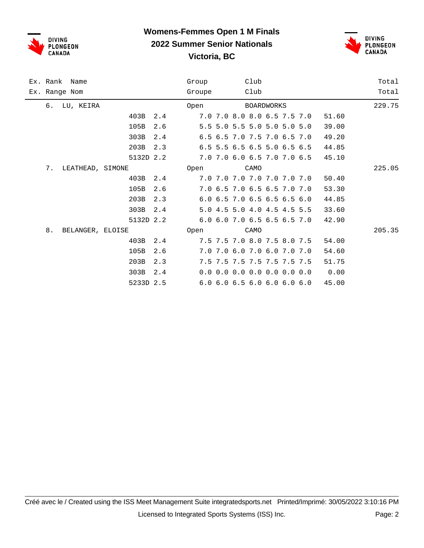

## **Womens-Femmes Open 1 M Finals 2022 Summer Senior Nationals**



**Victoria, BC**

|    | Ex. Rank Name    |           |     | Group  |  | Club |                               |  |       | Total  |
|----|------------------|-----------|-----|--------|--|------|-------------------------------|--|-------|--------|
|    | Ex. Range Nom    |           |     | Groupe |  | Club |                               |  |       | Total  |
| б. | LU, KEIRA        |           |     | Open   |  |      | <b>BOARDWORKS</b>             |  |       | 229.75 |
|    |                  | 403B      | 2.4 |        |  |      | 7.0 7.0 8.0 8.0 6.5 7.5 7.0   |  | 51.60 |        |
|    |                  | 105B      | 2.6 |        |  |      | 5.5 5.0 5.5 5.0 5.0 5.0 5.0   |  | 39.00 |        |
|    |                  | 303B      | 2.4 |        |  |      | 6.5 6.5 7.0 7.5 7.0 6.5 7.0   |  | 49.20 |        |
|    |                  | 203B      | 2.3 |        |  |      | 6.5 5.5 6.5 6.5 5.0 6.5 6.5   |  | 44.85 |        |
|    |                  | 5132D 2.2 |     |        |  |      | 7.0 7.0 6.0 6.5 7.0 7.0 6.5   |  | 45.10 |        |
| 7. | LEATHEAD, SIMONE |           |     | Open   |  | CAMO |                               |  |       | 225.05 |
|    |                  | 403B      | 2.4 |        |  |      | 7.0 7.0 7.0 7.0 7.0 7.0 7.0   |  | 50.40 |        |
|    |                  | 105B      | 2.6 |        |  |      | 7.0 6.5 7.0 6.5 6.5 7.0 7.0   |  | 53.30 |        |
|    |                  | 203B      | 2.3 |        |  |      | 6.0 6.5 7.0 6.5 6.5 6.5 6.0   |  | 44.85 |        |
|    |                  | 303B      | 2.4 |        |  |      | 5.0 4.5 5.0 4.0 4.5 4.5 5.5   |  | 33.60 |        |
|    |                  | 5132D 2.2 |     |        |  |      | 6.0 6.0 7.0 6.5 6.5 6.5 7.0   |  | 42.90 |        |
| 8. | BELANGER, ELOISE |           |     | Open   |  | CAMO |                               |  |       | 205.35 |
|    |                  | 403B      | 2.4 |        |  |      | 7.5 7.5 7.0 8.0 7.5 8.0 7.5   |  | 54.00 |        |
|    |                  | 105B      | 2.6 |        |  |      | 7.0 7.0 6.0 7.0 6.0 7.0 7.0   |  | 54.60 |        |
|    |                  | 203B      | 2.3 |        |  |      | 7.5 7.5 7.5 7.5 7.5 7.5 7.5   |  | 51.75 |        |
|    |                  | 303B      | 2.4 |        |  |      | $0.0$ 0.0 0.0 0.0 0.0 0.0 0.0 |  | 0.00  |        |
|    |                  | 5233D 2.5 |     |        |  |      | 6.0 6.0 6.5 6.0 6.0 6.0 6.0   |  | 45.00 |        |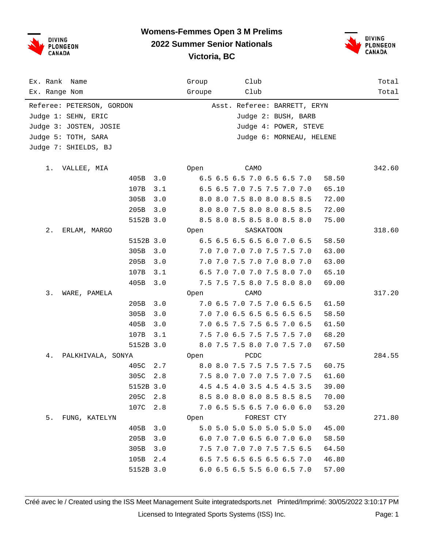DIVING<br>PLONGEON<br>CANADA

## **Womens-Femmes Open 3 M Prelims**



### **2022 Summer Senior Nationals**

**Victoria, BC**

| Ex. Rank<br>Name          |           |     | Group           | Club                         |           |  |       | Total  |
|---------------------------|-----------|-----|-----------------|------------------------------|-----------|--|-------|--------|
| Ex. Range Nom             |           |     | Groupe          | Club                         |           |  |       | Total  |
| Referee: PETERSON, GORDON |           |     |                 | Asst. Referee: BARRETT, ERYN |           |  |       |        |
| Judge 1: SEHN, ERIC       |           |     |                 | Judge 2: BUSH, BARB          |           |  |       |        |
| Judge 3: JOSTEN, JOSIE    |           |     |                 | Judge 4: POWER, STEVE        |           |  |       |        |
| Judge 5: TOTH, SARA       |           |     |                 | Judge 6: MORNEAU, HELENE     |           |  |       |        |
| Judge 7: SHIELDS, BJ      |           |     |                 |                              |           |  |       |        |
| 1.<br>VALLEE, MIA         |           |     | Open            | CAMO                         |           |  |       | 342.60 |
|                           | 405B      | 3.0 |                 | 6.5 6.5 6.5 7.0 6.5 6.5 7.0  |           |  | 58.50 |        |
|                           | 107B      | 3.1 |                 | 6.5 6.5 7.0 7.5 7.5 7.0 7.0  |           |  | 65.10 |        |
|                           | 305B      | 3.0 |                 | 8.0 8.0 7.5 8.0 8.0 8.5 8.5  |           |  | 72.00 |        |
|                           | 205B      | 3.0 |                 | 8.0 8.0 7.5 8.0 8.0 8.5 8.5  |           |  | 72.00 |        |
|                           | 5152B 3.0 |     |                 | 8.5 8.0 8.5 8.5 8.0 8.5 8.0  |           |  | 75.00 |        |
| $2$ .<br>ERLAM, MARGO     |           |     | Open            |                              | SASKATOON |  |       | 318.60 |
|                           | 5152B 3.0 |     |                 | 6.5 6.5 6.5 6.5 6.0 7.0 6.5  |           |  | 58.50 |        |
|                           | 305B      | 3.0 |                 | 7.0 7.0 7.0 7.0 7.5 7.5 7.0  |           |  | 63.00 |        |
|                           | 205B      | 3.0 |                 | 7.0 7.0 7.5 7.0 7.0 8.0 7.0  |           |  | 63.00 |        |
|                           | 107B      | 3.1 |                 | 6.5 7.0 7.0 7.0 7.5 8.0 7.0  |           |  | 65.10 |        |
|                           | 405B      | 3.0 |                 | 7.5 7.5 7.5 8.0 7.5 8.0 8.0  |           |  | 69.00 |        |
| 3.<br>WARE, PAMELA        |           |     | Open            | CAMO                         |           |  |       | 317.20 |
|                           | 205B      | 3.0 |                 | 7.0 6.5 7.0 7.5 7.0 6.5 6.5  |           |  | 61.50 |        |
|                           | 305B      | 3.0 |                 | 7.0 7.0 6.5 6.5 6.5 6.5 6.5  |           |  | 58.50 |        |
|                           | 405B      | 3.0 |                 | 7.0 6.5 7.5 7.5 6.5 7.0 6.5  |           |  | 61.50 |        |
|                           | 107B      | 3.1 |                 | 7.5 7.0 6.5 7.5 7.5 7.5 7.0  |           |  | 68.20 |        |
|                           | 5152B 3.0 |     |                 | 8.0 7.5 7.5 8.0 7.0 7.5 7.0  |           |  | 67.50 |        |
| 4.<br>PALKHIVALA, SONYA   |           |     | Open            | PCDC                         |           |  |       | 284.55 |
|                           | 405C      | 2.7 |                 | 8.0 8.0 7.5 7.5 7.5 7.5 7.5  |           |  | 60.75 |        |
|                           | 305C      | 2.8 |                 | 7.5 8.0 7.0 7.0 7.5 7.0 7.5  |           |  | 61.60 |        |
|                           | 5152B 3.0 |     |                 | 4.5 4.5 4.0 3.5 4.5 4.5 3.5  |           |  | 39.00 |        |
|                           | 205C 2.8  |     |                 | 8.5 8.0 8.0 8.0 8.5 8.5 8.5  |           |  | 70.00 |        |
|                           | 107C 2.8  |     |                 | 7.0 6.5 5.5 6.5 7.0 6.0 6.0  |           |  | 53.20 |        |
| 5. FUNG, KATELYN          |           |     | Open FOREST CTY |                              |           |  |       | 271.80 |
|                           | 405B      | 3.0 |                 | 5.0 5.0 5.0 5.0 5.0 5.0 5.0  |           |  | 45.00 |        |
|                           | 205B      | 3.0 |                 | 6.0 7.0 7.0 6.5 6.0 7.0 6.0  |           |  | 58.50 |        |
|                           | 305B      | 3.0 |                 | 7.5 7.0 7.0 7.0 7.5 7.5 6.5  |           |  | 64.50 |        |
|                           | 105B      | 2.4 |                 | 6.5 7.5 6.5 6.5 6.5 6.5 7.0  |           |  | 46.80 |        |
|                           | 5152B 3.0 |     |                 | 6.0 6.5 6.5 5.5 6.0 6.5 7.0  |           |  | 57.00 |        |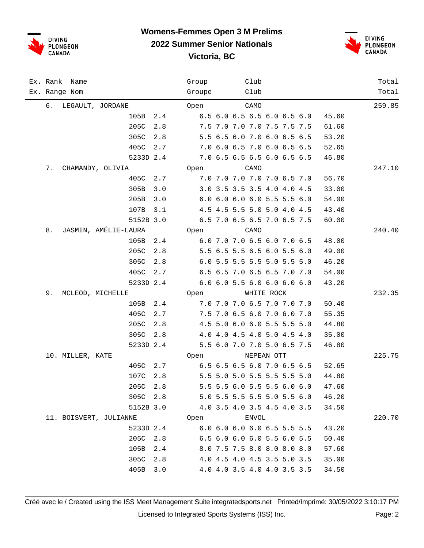

## **Womens-Femmes Open 3 M Prelims**

**2022 Summer Senior Nationals**

**Victoria, BC**



| Ex. Rank Name              | Club<br>Group                        | Total  |
|----------------------------|--------------------------------------|--------|
| Ex. Range Nom              | Club<br>Groupe                       | Total  |
| 6. LEGAULT, JORDANE        | CAMO<br>Open                         | 259.85 |
| 105B<br>2.4                | 6.5 6.0 6.5 6.5 6.0 6.5 6.0<br>45.60 |        |
| 205C<br>2.8                | 7.5 7.0 7.0 7.0 7.5 7.5 7.5<br>61.60 |        |
| 305C<br>2.8                | 5.5 6.5 6.0 7.0 6.0 6.5 6.5<br>53.20 |        |
| 405C<br>2.7                | 7.0 6.0 6.5 7.0 6.0 6.5 6.5<br>52.65 |        |
| 5233D 2.4                  | 7.0 6.5 6.5 6.5 6.0 6.5 6.5<br>46.80 |        |
| 7.<br>CHAMANDY, OLIVIA     | Open<br>CAMO                         | 247.10 |
| 405C<br>2.7                | 7.0 7.0 7.0 7.0 7.0 6.5 7.0<br>56.70 |        |
| 305B<br>3.0                | 3.0 3.5 3.5 3.5 4.0 4.0 4.5<br>33.00 |        |
| 205B<br>3.0                | 6.0 6.0 6.0 6.0 5.5 5.5 6.0<br>54.00 |        |
| 107B<br>3.1                | 4.5 4.5 5.5 5.0 5.0 4.0 4.5<br>43.40 |        |
| 5152B 3.0                  | 6.5 7.0 6.5 6.5 7.0 6.5 7.5<br>60.00 |        |
| JASMIN, AMÉLIE-LAURA<br>8. | CAMO<br>Open                         | 240.40 |
| 105B<br>2.4                | 6.0 7.0 7.0 6.5 6.0 7.0 6.5<br>48.00 |        |
| 205C<br>2.8                | 5.5 6.5 5.5 6.5 6.0 5.5 6.0<br>49.00 |        |
| 305C<br>2.8                | 6.0 5.5 5.5 5.5 5.0 5.5 5.0<br>46.20 |        |
| 405C<br>2.7                | 6.5 6.5 7.0 6.5 6.5 7.0 7.0<br>54.00 |        |
| 5233D 2.4                  | 6.0 6.0 5.5 6.0 6.0 6.0 6.0<br>43.20 |        |
| 9.<br>MCLEOD, MICHELLE     | Open<br>WHITE ROCK                   | 232.35 |
| 105B<br>2.4                | 7.0 7.0 7.0 6.5 7.0 7.0 7.0<br>50.40 |        |
| 405C<br>2.7                | 7.5 7.0 6.5 6.0 7.0 6.0 7.0<br>55.35 |        |
| 205C<br>2.8                | 4.5 5.0 6.0 6.0 5.5 5.5 5.0<br>44.80 |        |
| 305C<br>2.8                | 4.0 4.0 4.5 4.0 5.0 4.5 4.0<br>35.00 |        |
| 5233D 2.4                  | 5.5 6.0 7.0 7.0 5.0 6.5 7.5<br>46.80 |        |
| 10. MILLER, KATE           | NEPEAN OTT<br>Open                   | 225.75 |
| 405C<br>2.7                | 6.5 6.5 6.5 6.0 7.0 6.5 6.5<br>52.65 |        |
| 107C<br>2.8                | 5.5 5.0 5.0 5.5 5.5 5.5 5.0<br>44.80 |        |
| 205C 2.8                   | 5.5 5.5 6.0 5.5 5.5 6.0 6.0<br>47.60 |        |
| 305C 2.8                   | 5.0 5.5 5.5 5.5 5.0 5.5 6.0<br>46.20 |        |
| 5152B 3.0                  | 4.0 3.5 4.0 3.5 4.5 4.0 3.5<br>34.50 |        |
| 11. BOISVERT, JULIANNE     | ENVOL<br>Open                        | 220.70 |
| 5233D 2.4                  | 6.0 6.0 6.0 6.0 6.5 5.5 5.5<br>43.20 |        |
| 2.8<br>205C                | 6.5 6.0 6.0 6.0 5.5 6.0 5.5<br>50.40 |        |
| 105B<br>2.4                | 8.0 7.5 7.5 8.0 8.0 8.0 8.0<br>57.60 |        |
| 305C<br>2.8                | 4.0 4.5 4.0 4.5 3.5 5.0 3.5<br>35.00 |        |
| 405B<br>3.0                | 4.0 4.0 3.5 4.0 4.0 3.5 3.5<br>34.50 |        |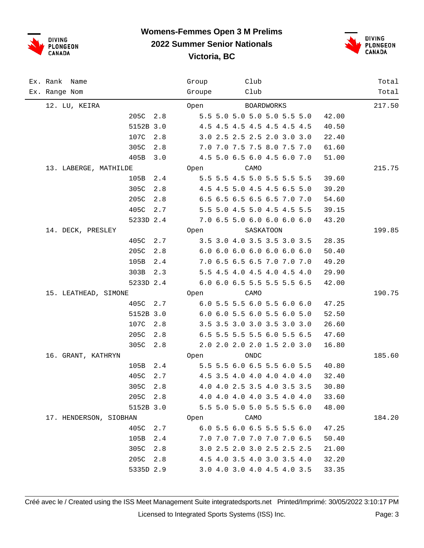

#### **Womens-Femmes Open 3 M Prelims 2022 Summer Senior Nationals**





| Ex. Rank Name          |             | Group  | Club                        |       | Total  |
|------------------------|-------------|--------|-----------------------------|-------|--------|
| Ex. Range Nom          |             | Groupe | Club                        |       | Total  |
| 12. LU, KEIRA          |             | Open   | BOARDWORKS                  |       | 217.50 |
|                        | 205C<br>2.8 |        | 5.5 5.0 5.0 5.0 5.0 5.5 5.0 | 42.00 |        |
|                        | 5152B 3.0   |        | 4.5 4.5 4.5 4.5 4.5 4.5 4.5 | 40.50 |        |
|                        | 107C<br>2.8 |        | 3.0 2.5 2.5 2.5 2.0 3.0 3.0 | 22.40 |        |
|                        | 305C<br>2.8 |        | 7.0 7.0 7.5 7.5 8.0 7.5 7.0 | 61.60 |        |
|                        | 405B<br>3.0 |        | 4.5 5.0 6.5 6.0 4.5 6.0 7.0 | 51.00 |        |
| 13. LABERGE, MATHILDE  |             | Open   | CAMO                        |       | 215.75 |
|                        | 105B<br>2.4 |        | 5.5 5.5 4.5 5.0 5.5 5.5 5.5 | 39.60 |        |
|                        | 305C<br>2.8 |        | 4.5 4.5 5.0 4.5 4.5 6.5 5.0 | 39.20 |        |
|                        | 205C<br>2.8 |        | 6.5 6.5 6.5 6.5 6.5 7.0 7.0 | 54.60 |        |
|                        | 405C<br>2.7 |        | 5.5 5.0 4.5 5.0 4.5 4.5 5.5 | 39.15 |        |
|                        | 5233D 2.4   |        | 7.0 6.5 5.0 6.0 6.0 6.0 6.0 | 43.20 |        |
| 14. DECK, PRESLEY      |             | Open   | SASKATOON                   |       | 199.85 |
|                        | 405C<br>2.7 |        | 3.5 3.0 4.0 3.5 3.5 3.0 3.5 | 28.35 |        |
|                        | 205C<br>2.8 |        | 6.0 6.0 6.0 6.0 6.0 6.0 6.0 | 50.40 |        |
|                        | 105B<br>2.4 |        | 7.0 6.5 6.5 6.5 7.0 7.0 7.0 | 49.20 |        |
|                        | 303B<br>2.3 |        | 5.5 4.5 4.0 4.5 4.0 4.5 4.0 | 29.90 |        |
|                        | 5233D 2.4   |        | 6.0 6.0 6.5 5.5 5.5 5.5 6.5 | 42.00 |        |
| 15. LEATHEAD, SIMONE   |             | Open   | CAMO                        |       | 190.75 |
|                        | 405C<br>2.7 |        | 6.0 5.5 5.5 6.0 5.5 6.0 6.0 | 47.25 |        |
|                        | 5152B 3.0   |        | 6.0 6.0 5.5 6.0 5.5 6.0 5.0 | 52.50 |        |
|                        | 107C<br>2.8 |        | 3.5 3.5 3.0 3.0 3.5 3.0 3.0 | 26.60 |        |
|                        | 205C<br>2.8 |        | 6.5 5.5 5.5 5.5 6.0 5.5 6.5 | 47.60 |        |
|                        | 305C<br>2.8 |        | 2.0 2.0 2.0 2.0 1.5 2.0 3.0 | 16.80 |        |
| 16. GRANT, KATHRYN     |             |        | Open<br>ONDC                |       | 185.60 |
|                        | 105B<br>2.4 |        | 5.5 5.5 6.0 6.5 5.5 6.0 5.5 | 40.80 |        |
|                        | 405C<br>2.7 |        | 4.5 3.5 4.0 4.0 4.0 4.0 4.0 | 32.40 |        |
|                        | 305C<br>2.8 |        | 4.0 4.0 2.5 3.5 4.0 3.5 3.5 | 30.80 |        |
|                        | 205C 2.8    |        | 4.0 4.0 4.0 4.0 3.5 4.0 4.0 | 33.60 |        |
|                        | 5152B 3.0   |        | 5.5 5.0 5.0 5.0 5.5 5.5 6.0 | 48.00 |        |
| 17. HENDERSON, SIOBHAN |             |        | CAMO<br>Open                |       | 184.20 |
|                        | 405C<br>2.7 |        | 6.0 5.5 6.0 6.5 5.5 5.5 6.0 | 47.25 |        |
|                        | 105B<br>2.4 |        | 7.0 7.0 7.0 7.0 7.0 7.0 6.5 | 50.40 |        |
|                        | 305C<br>2.8 |        | 3.0 2.5 2.0 3.0 2.5 2.5 2.5 | 21.00 |        |
|                        | 205C<br>2.8 |        | 4.5 4.0 3.5 4.0 3.0 3.5 4.0 | 32.20 |        |
|                        | 5335D 2.9   |        | 3.0 4.0 3.0 4.0 4.5 4.0 3.5 | 33.35 |        |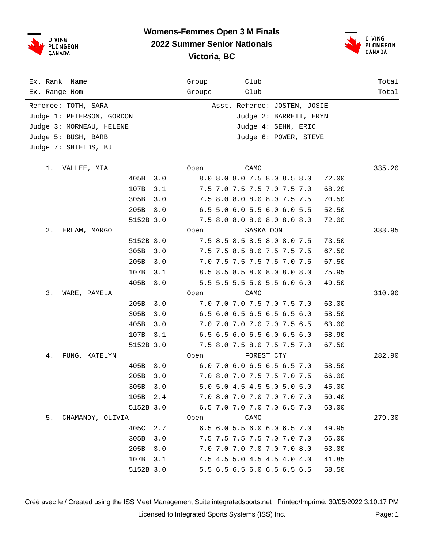

#### **Womens-Femmes Open 3 M Finals 2022 Summer Senior Nationals**



## **Victoria, BC**

Ex. Rank Name Group Club Total Ex. Range Nom Groupe Club Total Referee: TOTH, SARA Asst. Referee: JOSTEN, JOSIE Judge 1: PETERSON, GORDON Judge 2: BARRETT, ERYN Judge 3: MORNEAU, HELENE  $J$ udge 4: SEHN, ERIC Judge 5: BUSH, BARB Judge 6: POWER, STEVE Judge 7: SHIELDS, BJ 1. VALLEE, MIA Open CAMO 335.20 405B 3.0 8.0 8.0 8.0 7.5 8.0 8.5 8.0 72.00 107B 3.1 7.5 7.0 7.5 7.5 7.0 7.5 7.0 68.20 305B 3.0 7.5 8.0 8.0 8.0 8.0 7.5 7.5 70.50 205B 3.0 6.5 5.0 6.0 5.5 6.0 6.0 5.5 52.50 5152B 3.0 7.5 8.0 8.0 8.0 8.0 8.0 8.0 72.00 2. ERLAM, MARGO Open SASKATOON 333.95 5152B 3.0 7.5 8.5 8.5 8.5 8.0 8.0 7.5 73.50 305B 3.0 7.5 7.5 8.5 8.0 7.5 7.5 7.5 67.50 205B 3.0 7.0 7.5 7.5 7.5 7.5 7.0 7.5 67.50 107B 3.1 8.5 8.5 8.5 8.0 8.0 8.0 8.0 75.95 405B 3.0 5.5 5.5 5.5 5.0 5.5 6.0 6.0 49.50 3. WARE, PAMELA Open CAMO 310.90 205B 3.0 7.0 7.0 7.0 7.5 7.0 7.5 7.0 63.00 305B 3.0 6.5 6.0 6.5 6.5 6.5 6.5 6.0 58.50 405B 3.0 7.0 7.0 7.0 7.0 7.0 7.5 6.5 63.00 107B 3.1 6.5 6.5 6.0 6.5 6.0 6.5 6.0 58.90 5152B 3.0 7.5 8.0 7.5 8.0 7.5 7.5 7.0 67.50 4. FUNG, KATELYN Open FOREST CTY 282.90 405B 3.0 6.0 7.0 6.0 6.5 6.5 6.5 7.0 58.50 205B 3.0 7.0 8.0 7.0 7.5 7.5 7.0 7.5 66.00 305B 3.0 5.0 5.0 4.5 4.5 5.0 5.0 5.0 45.00 105B 2.4 7.0 8.0 7.0 7.0 7.0 7.0 7.0 50.40 5152B 3.0 6.5 7.0 7.0 7.0 7.0 6.5 7.0 63.00 5. CHAMANDY, OLIVIA Open CAMO 279.30 405C 2.7 6.5 6.0 5.5 6.0 6.0 6.5 7.0 49.95 305B 3.0 7.5 7.5 7.5 7.5 7.0 7.0 7.0 66.00 205B 3.0 7.0 7.0 7.0 7.0 7.0 7.0 8.0 63.00 107B 3.1 4.5 4.5 5.0 4.5 4.5 4.0 4.0 41.85 5152B 3.0 5.5 6.5 6.5 6.0 6.5 6.5 6.5 58.50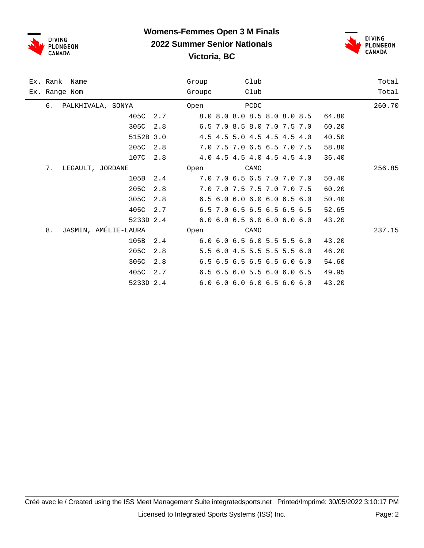

### **Womens-Femmes Open 3 M Finals 2022 Summer Senior Nationals**





|    | Ex. Rank Name        |           |     | Group  |  | Club |                                           |  |       | Total  |
|----|----------------------|-----------|-----|--------|--|------|-------------------------------------------|--|-------|--------|
|    | Ex. Range Nom        |           |     | Groupe |  | Club |                                           |  |       | Total  |
| б. | PALKHIVALA, SONYA    |           |     | Open   |  | PCDC |                                           |  |       | 260.70 |
|    |                      | 405C      | 2.7 |        |  |      | 8.0 8.0 8.0 8.5 8.0 8.0 8.5               |  | 64.80 |        |
|    |                      | 305C      | 2.8 |        |  |      | 6.5 7.0 8.5 8.0 7.0 7.5 7.0               |  | 60.20 |        |
|    |                      | 5152B 3.0 |     |        |  |      | 4.5 4.5 5.0 4.5 4.5 4.5 4.0               |  | 40.50 |        |
|    |                      | 205C      | 2.8 |        |  |      | 7.0 7.5 7.0 6.5 6.5 7.0 7.5               |  | 58.80 |        |
|    |                      | 107C      | 2.8 |        |  |      | 4.0 4.5 4.5 4.0 4.5 4.5 4.0               |  | 36.40 |        |
| 7. | LEGAULT, JORDANE     |           |     | Open   |  | CAMO |                                           |  |       | 256.85 |
|    |                      | 105B      | 2.4 |        |  |      | 7.0 7.0 6.5 6.5 7.0 7.0 7.0               |  | 50.40 |        |
|    |                      | 205C      | 2.8 |        |  |      | 7.0 7.0 7.5 7.5 7.0 7.0 7.5               |  | 60.20 |        |
|    |                      | 305C      | 2.8 |        |  |      | $6.5$ $6.0$ $6.0$ $6.0$ $6.0$ $6.5$ $6.0$ |  | 50.40 |        |
|    |                      | 405C      | 2.7 |        |  |      | 6.5 7.0 6.5 6.5 6.5 6.5 6.5               |  | 52.65 |        |
|    |                      | 5233D 2.4 |     |        |  |      | 6.0 6.0 6.5 6.0 6.0 6.0 6.0               |  | 43.20 |        |
| 8. | JASMIN, AMÉLIE-LAURA |           |     | Open   |  | CAMO |                                           |  |       | 237.15 |
|    |                      | 105B      | 2.4 |        |  |      | 6.0 6.0 6.5 6.0 5.5 5.5 6.0               |  | 43.20 |        |
|    |                      | 205C      | 2.8 |        |  |      | 5.5 6.0 4.5 5.5 5.5 5.5 6.0               |  | 46.20 |        |
|    |                      | 305C      | 2.8 |        |  |      | $6.5$ 6.5 6.5 6.5 6.5 6.0 6.0             |  | 54.60 |        |
|    |                      | 405C      | 2.7 |        |  |      | $6.5$ $6.5$ $6.0$ $5.5$ $6.0$ $6.0$ $6.5$ |  | 49.95 |        |
|    |                      | 5233D 2.4 |     |        |  |      | 6.0 6.0 6.0 6.0 6.5 6.0 6.0               |  | 43.20 |        |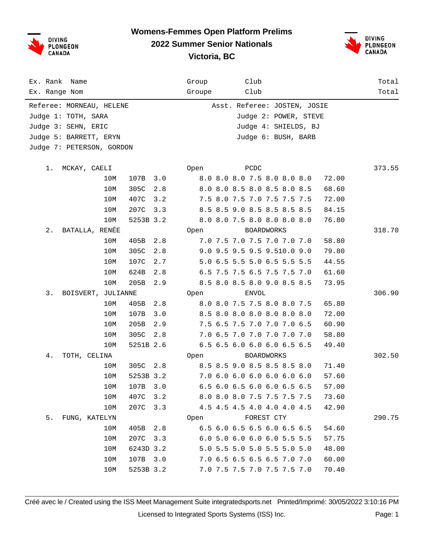DIVING<br>PLONGEON<br>CANADA

## **Womens-Femmes Open Platform Prelims**

**2022 Summer Senior Nationals**



**Victoria, BC**

| Ex. Rank Name             | Club<br>Group                        | Total  |
|---------------------------|--------------------------------------|--------|
| Ex. Range Nom             | Club<br>Groupe                       | Total  |
| Referee: MORNEAU, HELENE  | Asst. Referee: JOSTEN, JOSIE         |        |
| Judge 1: TOTH, SARA       | Judge 2: POWER, STEVE                |        |
| Judge 3: SEHN, ERIC       | Judge 4: SHIELDS, BJ                 |        |
| Judge 5: BARRETT, ERYN    | Judge 6: BUSH, BARB                  |        |
| Judge 7: PETERSON, GORDON |                                      |        |
|                           |                                      |        |
| MCKAY, CAELI<br>1.        | PCDC<br>Open                         | 373.55 |
| 10M<br>107B<br>3.0        | 8.0 8.0 8.0 7.5 8.0 8.0 8.0<br>72.00 |        |
| 305C<br>2.8<br>10M        | 8.0 8.0 8.5 8.0 8.5 8.0 8.5<br>68.60 |        |
| 407C<br>10M<br>3.2        | 7.5 8.0 7.5 7.0 7.5 7.5 7.5<br>72.00 |        |
| 10M<br>207C<br>3.3        | 8.5 8.5 9.0 8.5 8.5 8.5 8.5<br>84.15 |        |
| 10M<br>5253B 3.2          | 8.0 8.0 7.5 8.0 8.0 8.0 8.0<br>76.80 |        |
| BATALLA, RENÉE<br>$2$ .   | Open<br><b>BOARDWORKS</b>            | 318.70 |
| 405B<br>2.8<br>10M        | 7.0 7.5 7.0 7.5 7.0 7.0 7.0<br>58.80 |        |
| 10M<br>305C<br>2.8        | 9.0 9.5 9.5 9.5 9.510.0 9.0<br>79.80 |        |
| 107C<br>10M<br>2.7        | 5.0 6.5 5.5 5.0 6.5 5.5 5.5<br>44.55 |        |
| 624B<br>2.8<br>10M        | 6.5 7.5 7.5 6.5 7.5 7.5 7.0<br>61.60 |        |
| 10M<br>205B<br>2.9        | 8.5 8.0 8.5 8.0 9.0 8.5 8.5<br>73.95 |        |
| BOISVERT, JULIANNE<br>3.  | ENVOL<br>Open                        | 306.90 |
| 405B<br>2.8<br>10M        | 8.0 8.0 7.5 7.5 8.0 8.0 7.5<br>65.80 |        |
| 107B<br>10M<br>3.0        | 8.5 8.0 8.0 8.0 8.0 8.0 8.0<br>72.00 |        |
| 205B<br>10M<br>2.9        | 7.5 6.5 7.5 7.0 7.0 7.0 6.5<br>60.90 |        |
| 10M<br>305C<br>2.8        | 7.0 6.5 7.0 7.0 7.0 7.0 7.0<br>58.80 |        |
| 5251B 2.6<br>10M          | 6.5 6.5 6.0 6.0 6.0 6.5 6.5<br>49.40 |        |
| 4.<br>TOTH, CELINA        | <b>BOARDWORKS</b><br>Open            | 302.50 |
| 305C 2.8<br>10M           | 8.5 8.5 9.0 8.5 8.5 8.5 8.0<br>71.40 |        |
| 10M<br>5253B 3.2          | 7.0 6.0 6.0 6.0 6.0 6.0 6.0<br>57.60 |        |
| 10M<br>107B 3.0           | 6.5 6.0 6.5 6.0 6.0 6.5 6.5<br>57.00 |        |
| 10M<br>407C 3.2           | 8.0 8.0 8.0 7.5 7.5 7.5 7.5<br>73.60 |        |
| 10M<br>207C<br>3.3        | 4.5 4.5 4.5 4.0 4.0 4.0 4.5<br>42.90 |        |
| 5.<br>FUNG, KATELYN       | Open FOREST CTY                      | 290.75 |
| 405B<br>2.8<br>10M        | 6.5 6.0 6.5 6.5 6.0 6.5 6.5<br>54.60 |        |
| 10M<br>207C 3.3           | 6.0 5.0 6.0 6.0 6.0 5.5 5.5<br>57.75 |        |
| 10M<br>6243D 3.2          | 5.0 5.5 5.0 5.0 5.5 5.0 5.0<br>48.00 |        |
| 10M<br>107B 3.0           | 7.0 6.5 6.5 6.5 6.5 7.0 7.0<br>60.00 |        |
| 10M<br>5253B 3.2          | 70.40<br>7.0 7.5 7.5 7.0 7.5 7.5 7.0 |        |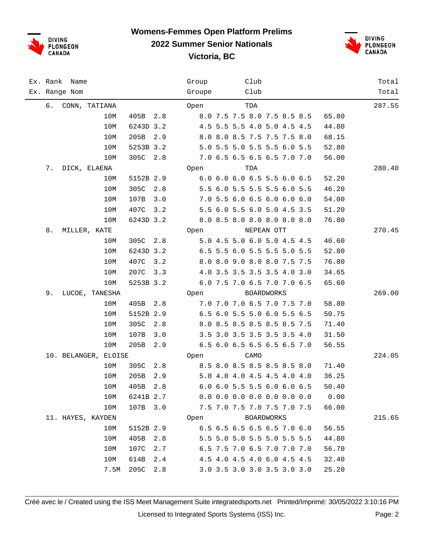

## **Womens-Femmes Open Platform Prelims**

**2022 Summer Senior Nationals**

**Victoria, BC**



| Ex. Rank Name        |                  | Group  | Club                          | Total  |
|----------------------|------------------|--------|-------------------------------|--------|
| Ex. Range Nom        |                  | Groupe | Club                          | Total  |
| CONN, TATIANA<br>6.  |                  | Open   | TDA                           | 287.55 |
|                      | 10M<br>405B      | 2.8    | 8.0 7.5 7.5 8.0 7.5 8.5 8.5   | 65.80  |
|                      | 6243D 3.2<br>10M |        | 4.5 5.5 5.5 4.0 5.0 4.5 4.5   | 44.80  |
|                      | 10M<br>205B      | 2.9    | 8.0 8.0 8.5 7.5 7.5 7.5 8.0   | 68.15  |
|                      | 10M<br>5253B 3.2 |        | 5.0 5.5 5.0 5.5 5.5 6.0 5.5   | 52.80  |
|                      | 305C<br>10M      | 2.8    | 7.0 6.5 6.5 6.5 6.5 7.0 7.0   | 56.00  |
| 7.<br>DICK, ELAENA   |                  | Open   | TDA                           | 280.40 |
|                      | 10M<br>5152B 2.9 |        | 6.0 6.0 6.0 6.5 5.5 6.0 6.5   | 52.20  |
|                      | 305C<br>10M      | 2.8    | 5.5 6.0 5.5 5.5 5.5 6.0 5.5   | 46.20  |
|                      | 10M<br>107B      | 3.0    | 7.0 5.5 6.0 6.5 6.0 6.0 6.0   | 54.00  |
|                      | 407C<br>10M      | 3.2    | 5.5 6.0 5.5 6.0 5.0 4.5 3.5   | 51.20  |
|                      | 10M<br>6243D 3.2 |        | 8.0 8.5 8.0 8.0 8.0 8.0 8.0   | 76.80  |
| 8.<br>MILLER, KATE   |                  | Open   | NEPEAN OTT                    | 270.45 |
|                      | 305C<br>10M      | 2.8    | 5.0 4.5 5.0 6.0 5.0 4.5 4.5   | 40.60  |
|                      | 6243D 3.2<br>10M |        | 6.5 5.5 6.0 5.5 5.5 5.0 5.5   | 52.80  |
|                      | 10M<br>407C      | 3.2    | 8.0 8.0 9.0 8.0 8.0 7.5 7.5   | 76.80  |
|                      | 207C<br>10M      | 3.3    | 4.0 3.5 3.5 3.5 3.5 4.0 3.0   | 34.65  |
|                      | 10M<br>5253B 3.2 |        | 6.0 7.5 7.0 6.5 7.0 7.0 6.5   | 65.60  |
| 9.<br>LUCOE, TANESHA |                  | Open   | BOARDWORKS                    | 269.00 |
|                      | 10M<br>405B      | 2.8    | 7.0 7.0 7.0 6.5 7.0 7.5 7.0   | 58.80  |
|                      | 10M<br>5152B 2.9 |        | 6.5 6.0 5.5 5.0 6.0 5.5 6.5   | 50.75  |
|                      | 305C<br>10M      | 2.8    | 8.0 8.5 8.5 8.5 8.5 8.5 7.5   | 71.40  |
|                      | 107B<br>10M      | 3.0    | 3.5 3.0 3.5 3.5 3.5 3.5 4.0   | 31.50  |
|                      | 205B<br>10M      | 2.9    | 6.5 6.0 6.5 6.5 6.5 6.5 7.0   | 56.55  |
| 10. BELANGER, ELOISE |                  | Open   | CAMO                          | 224.05 |
|                      | 10M<br>305C      | 2.8    | 8.5 8.0 8.5 8.5 8.5 8.5 8.0   | 71.40  |
|                      | 205B<br>10M      | 2.9    | 5.0 4.0 4.0 4.5 4.5 4.0 4.0   | 36.25  |
|                      | 405B 2.8<br>10M  |        | 6.0 6.0 5.5 5.5 6.0 6.0 6.5   | 50.40  |
|                      | 10M<br>6241B 2.7 |        | $0.0$ 0.0 0.0 0.0 0.0 0.0 0.0 | 0.00   |
|                      | 107B 3.0<br>10M  |        | 7.5 7.0 7.5 7.0 7.5 7.0 7.5   | 66.00  |
| 11. HAYES, KAYDEN    |                  | Open   | BOARDWORKS                    | 215.65 |
|                      | 5152B 2.9<br>10M |        | 6.5 6.5 6.5 6.5 6.5 7.0 6.0   | 56.55  |
|                      | 405B<br>10M      | 2.8    | 5.5 5.0 5.0 5.5 5.0 5.5 5.5   | 44.80  |
|                      | 107C<br>10M      | 2.7    | 6.5 7.5 7.0 6.5 7.0 7.0 7.0   | 56.70  |
|                      | 10M<br>614B      | 2.4    | 4.5 4.0 4.5 4.0 6.0 4.5 4.5   | 32.40  |
|                      | 205C<br>7.5M     | 2.8    | 3.0 3.5 3.0 3.0 3.5 3.0 3.0   | 25.20  |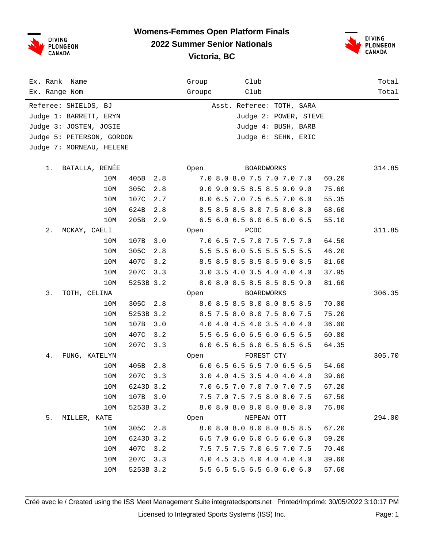DIVING<br>PLONGEON **CANADA** 

#### **Womens-Femmes Open Platform Finals 2022 Summer Senior Nationals**



**Victoria, BC**

| Ex. Rank<br>Name          |               |           | Group  | Club                        |       | Total  |
|---------------------------|---------------|-----------|--------|-----------------------------|-------|--------|
| Ex. Range Nom             |               |           | Groupe | Club                        |       | Total  |
| Referee: SHIELDS, BJ      |               |           |        | Asst. Referee: TOTH, SARA   |       |        |
| Judge 1: BARRETT, ERYN    |               |           |        | Judge 2: POWER, STEVE       |       |        |
| Judge 3: JOSTEN, JOSIE    |               |           |        | Judge 4: BUSH, BARB         |       |        |
| Judge 5: PETERSON, GORDON |               |           |        | Judge 6: SEHN, ERIC         |       |        |
| Judge 7: MORNEAU, HELENE  |               |           |        |                             |       |        |
|                           |               |           |        |                             |       |        |
| BATALLA, RENÉE<br>1.      |               |           | Open   | BOARDWORKS                  |       | 314.85 |
|                           | 10M<br>405B   | 2.8       |        | 7.0 8.0 8.0 7.5 7.0 7.0 7.0 | 60.20 |        |
|                           | 10M<br>305C   | 2.8       |        | 9.0 9.0 9.5 8.5 8.5 9.0 9.0 | 75.60 |        |
|                           | 10M<br>107C   | 2.7       |        | 8.0 6.5 7.0 7.5 6.5 7.0 6.0 | 55.35 |        |
|                           | 10M<br>624B   | 2.8       |        | 8.5 8.5 8.5 8.0 7.5 8.0 8.0 | 68.60 |        |
|                           | 205B<br>10M   | 2.9       |        | 6.5 6.0 6.5 6.0 6.5 6.0 6.5 | 55.10 |        |
| 2.<br>MCKAY, CAELI        |               |           | Open   | PCDC                        |       | 311.85 |
|                           | 10M<br>107B   | 3.0       |        | 7.0 6.5 7.5 7.0 7.5 7.5 7.0 | 64.50 |        |
|                           | 10M<br>305C   | 2.8       |        | 5.5 5.5 6.0 5.5 5.5 5.5 5.5 | 46.20 |        |
|                           | 10M<br>407C   | 3.2       |        | 8.5 8.5 8.5 8.5 8.5 9.0 8.5 | 81.60 |        |
|                           | 207C<br>10M   | 3.3       |        | 3.0 3.5 4.0 3.5 4.0 4.0 4.0 | 37.95 |        |
|                           | 10M           | 5253B 3.2 |        | 8.0 8.0 8.5 8.5 8.5 8.5 9.0 | 81.60 |        |
| 3.<br>TOTH, CELINA        |               |           | Open   | BOARDWORKS                  |       | 306.35 |
|                           | 10M<br>305C   | 2.8       |        | 8.0 8.5 8.5 8.0 8.0 8.5 8.5 | 70.00 |        |
|                           | 10M           | 5253B 3.2 |        | 8.5 7.5 8.0 8.0 7.5 8.0 7.5 | 75.20 |        |
|                           | 10M<br>107B   | 3.0       |        | 4.0 4.0 4.5 4.0 3.5 4.0 4.0 | 36.00 |        |
|                           | 407C<br>10M   | 3.2       |        | 5.5 6.5 6.0 6.5 6.0 6.5 6.5 | 60.80 |        |
|                           | 207C<br>10M   | 3.3       |        | 6.0 6.5 6.5 6.0 6.5 6.5 6.5 | 64.35 |        |
| 4.<br>FUNG, KATELYN       |               |           | Open   | FOREST CTY                  |       | 305.70 |
|                           | 10M<br>405B   | 2.8       |        | 6.0 6.5 6.5 6.5 7.0 6.5 6.5 | 54.60 |        |
|                           | 207C<br>10M   | 3.3       |        | 3.0 4.0 4.5 3.5 4.0 4.0 4.0 | 39.60 |        |
|                           | 10M 6243D 3.2 |           |        | 7.0 6.5 7.0 7.0 7.0 7.0 7.5 | 67.20 |        |
|                           | 10M           | 107B 3.0  |        | 7.5 7.0 7.5 7.5 8.0 8.0 7.5 | 67.50 |        |
|                           | 10M           | 5253B 3.2 |        | 8.0 8.0 8.0 8.0 8.0 8.0 8.0 | 76.80 |        |
| MILLER, KATE<br>5.        |               |           | Open   | NEPEAN OTT                  |       | 294.00 |
|                           | 10M           | 305C 2.8  |        | 8.0 8.0 8.0 8.0 8.0 8.5 8.5 | 67.20 |        |
|                           | 10M           | 6243D 3.2 |        | 6.5 7.0 6.0 6.0 6.5 6.0 6.0 | 59.20 |        |
|                           | 10M           | 407C 3.2  |        | 7.5 7.5 7.5 7.0 6.5 7.0 7.5 | 70.40 |        |
|                           | 10M           | 207C 3.3  |        | 4.0 4.5 3.5 4.0 4.0 4.0 4.0 | 39.60 |        |
|                           | 10M           | 5253B 3.2 |        | 5.5 6.5 5.5 6.5 6.0 6.0 6.0 | 57.60 |        |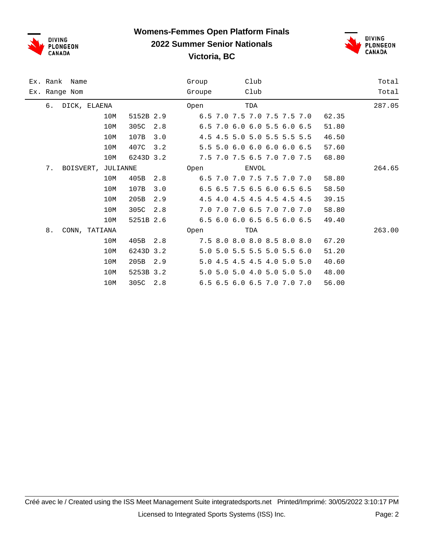

### **Womens-Femmes Open Platform Finals 2022 Summer Senior Nationals**



**Victoria, BC**

| Ex. Rank<br>Name         |     |           |     | Group  |                             | Club |  |       | Total  |
|--------------------------|-----|-----------|-----|--------|-----------------------------|------|--|-------|--------|
| Ex. Range Nom            |     |           |     | Groupe |                             | Club |  |       | Total  |
| DICK, ELAENA<br>б.       |     |           |     | Open   |                             | TDA  |  |       | 287.05 |
|                          | 10M | 5152B 2.9 |     |        | 6.5 7.0 7.5 7.0 7.5 7.5 7.0 |      |  | 62.35 |        |
|                          | 10M | 305C      | 2.8 |        | 6.5 7.0 6.0 6.0 5.5 6.0 6.5 |      |  | 51.80 |        |
|                          | 10M | 107B      | 3.0 |        | 4.5 4.5 5.0 5.0 5.5 5.5 5.5 |      |  | 46.50 |        |
|                          | 10M | 407C      | 3.2 |        | 5.5 5.0 6.0 6.0 6.0 6.0 6.5 |      |  | 57.60 |        |
|                          | 10M | 6243D 3.2 |     |        | 7.5 7.0 7.5 6.5 7.0 7.0 7.5 |      |  | 68.80 |        |
| 7.<br>BOISVERT, JULIANNE |     |           |     | Open   | ENVOL                       |      |  |       | 264.65 |
|                          | 10M | 405B      | 2.8 |        | 6.5 7.0 7.0 7.5 7.5 7.0 7.0 |      |  | 58.80 |        |
|                          | 10M | 107B      | 3.0 |        | 6.5 6.5 7.5 6.5 6.0 6.5 6.5 |      |  | 58.50 |        |
|                          | 10M | 205B      | 2.9 |        | 4.5 4.0 4.5 4.5 4.5 4.5 4.5 |      |  | 39.15 |        |
|                          | 10M | 305C      | 2.8 |        | 7.0 7.0 7.0 6.5 7.0 7.0 7.0 |      |  | 58.80 |        |
|                          | 10M | 5251B 2.6 |     |        | 6.5 6.0 6.0 6.5 6.5 6.0 6.5 |      |  | 49.40 |        |
| 8.<br>CONN, TATIANA      |     |           |     | Open   |                             | TDA  |  |       | 263.00 |
|                          | 10M | 405B      | 2.8 |        | 7.5 8.0 8.0 8.0 8.5 8.0 8.0 |      |  | 67.20 |        |
|                          | 10M | 6243D 3.2 |     |        | 5.0 5.0 5.5 5.5 5.0 5.5 6.0 |      |  | 51.20 |        |
|                          | 10M | 205B      | 2.9 |        | 5.0 4.5 4.5 4.5 4.0 5.0 5.0 |      |  | 40.60 |        |
|                          | 10M | 5253B 3.2 |     |        | 5.0 5.0 5.0 4.0 5.0 5.0 5.0 |      |  | 48.00 |        |
|                          | 10M | 305C      | 2.8 |        | 6.5 6.5 6.0 6.5 7.0 7.0 7.0 |      |  | 56.00 |        |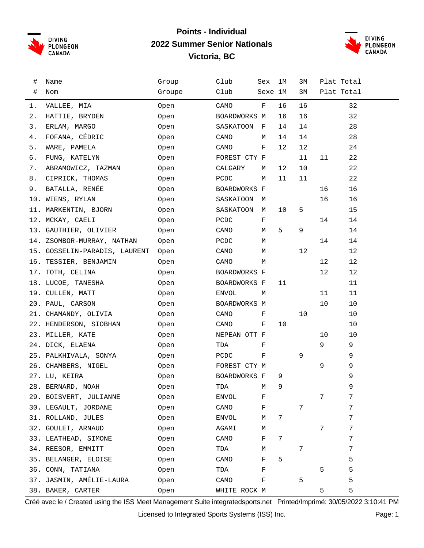

#### **Points - Individual 2022 Summer Senior Nationals Victoria, BC**



| #    | Name                          | Group  | Club         | Sex     | 1M | ЗМ | Plat Total |    |
|------|-------------------------------|--------|--------------|---------|----|----|------------|----|
| $\#$ | Nom                           | Groupe | Club         | Sexe 1M |    | 3M | Plat Total |    |
| 1.   | VALLEE, MIA                   | Open   | CAMO         | F       | 16 | 16 |            | 32 |
| 2.   | HATTIE, BRYDEN                | Open   | BOARDWORKS M |         | 16 | 16 |            | 32 |
| 3.   | ERLAM, MARGO                  | Open   | SASKATOON    | F       | 14 | 14 |            | 28 |
| 4.   | FOFANA, CÉDRIC                | Open   | CAMO         | М       | 14 | 14 |            | 28 |
| 5.   | WARE, PAMELA                  | Open   | CAMO         | F       | 12 | 12 |            | 24 |
| б.   | FUNG, KATELYN                 | Open   | FOREST CTY F |         |    | 11 | 11         | 22 |
| 7.   | ABRAMOWICZ, TAZMAN            | Open   | CALGARY      | М       | 12 | 10 |            | 22 |
| 8.   | CIPRICK, THOMAS               | Open   | PCDC         | М       | 11 | 11 |            | 22 |
| 9.   | BATALLA, RENÉE                | Open   | BOARDWORKS F |         |    |    | 16         | 16 |
|      | 10. WIENS, RYLAN              | Open   | SASKATOON    | М       |    |    | 16         | 16 |
|      | 11. MARKENTIN, BJORN          | Open   | SASKATOON M  |         | 10 | 5  |            | 15 |
|      | 12. MCKAY, CAELI              | Open   | PCDC         | F       |    |    | 14         | 14 |
|      | 13. GAUTHIER, OLIVIER         | Open   | CAMO         | М       | 5  | 9  |            | 14 |
|      | 14. ZSOMBOR-MURRAY, NATHAN    | Open   | PCDC         | М       |    |    | 14         | 14 |
|      | 15. GOSSELIN-PARADIS, LAURENT | Open   | CAMO         | М       |    | 12 |            | 12 |
|      | 16. TESSIER, BENJAMIN         | Open   | CAMO         | М       |    |    | 12         | 12 |
|      | 17. TOTH, CELINA              | Open   | BOARDWORKS F |         |    |    | 12         | 12 |
|      | 18. LUCOE, TANESHA            | Open   | BOARDWORKS F |         | 11 |    |            | 11 |
|      | 19. CULLEN, MATT              | Open   | ENVOL        | М       |    |    | 11         | 11 |
|      | 20. PAUL, CARSON              | Open   | BOARDWORKS M |         |    |    | 10         | 10 |
|      | 21. CHAMANDY, OLIVIA          | Open   | CAMO         | F       |    | 10 |            | 10 |
|      | 22. HENDERSON, SIOBHAN        | Open   | CAMO         | F       | 10 |    |            | 10 |
|      | 23. MILLER, KATE              | Open   | NEPEAN OTT F |         |    |    | 10         | 10 |
|      | 24. DICK, ELAENA              | Open   | TDA          | F       |    |    | 9          | 9  |
|      | 25. PALKHIVALA, SONYA         | Open   | PCDC         | F       |    | 9  |            | 9  |
|      | 26. CHAMBERS, NIGEL           | Open   | FOREST CTY M |         |    |    | 9          | 9  |
|      | 27. LU, KEIRA                 | Open   | BOARDWORKS F |         | 9  |    |            | 9  |
|      | 28. BERNARD, NOAH             | Open   | TDA M        |         | 9  |    |            | 9  |
|      | 29. BOISVERT, JULIANNE        | 0pen   | ENVOL        | F       |    |    | 7          | 7  |
|      | 30. LEGAULT, JORDANE          | Open   | CAMO         | F       |    | 7  |            | 7  |
|      | 31. ROLLAND, JULES            | 0pen   | <b>ENVOL</b> | М       | 7  |    |            | 7  |
|      | 32. GOULET, ARNAUD            | 0pen   | AGAMI        | М       |    |    | 7          | 7  |
|      | 33. LEATHEAD, SIMONE          | 0pen   | CAMO         | F       | 7  |    |            | 7  |
|      | 34. REESOR, EMMITT            | 0pen   | TDA          | М       |    | 7  |            | 7  |
|      | 35. BELANGER, ELOISE          | Open   | CAMO         | F       | 5  |    |            | 5  |
|      | 36. CONN, TATIANA             | 0pen   | TDA          | F       |    |    | 5          | 5  |
|      | 37. JASMIN, AMÉLIE-LAURA      | 0pen   | CAMO         | F       |    | 5  |            | 5  |
|      | 38. BAKER, CARTER             | 0pen   | WHITE ROCK M |         |    |    | 5          | 5  |